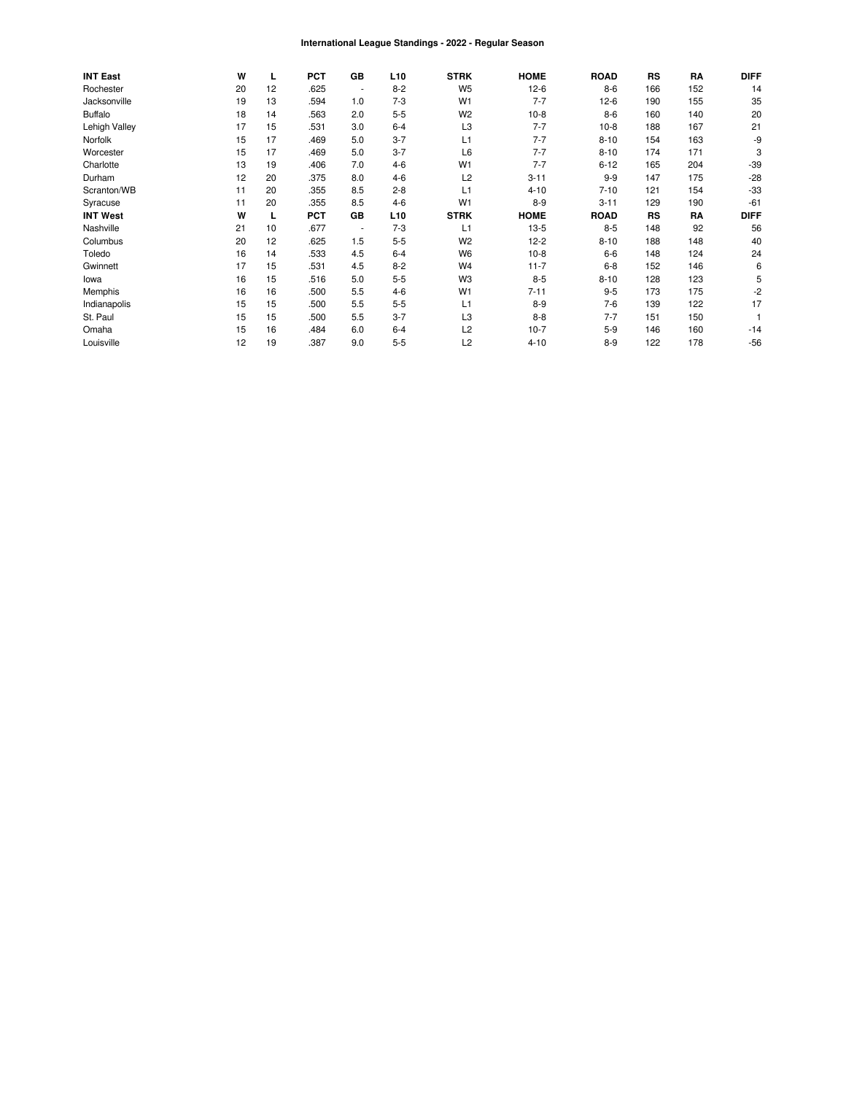#### International League Standings - 2022 - Regular Season

| <b>INT East</b> | W  | L  | <b>PCT</b> | <b>GB</b>                | L <sub>10</sub> | <b>STRK</b>    | <b>HOME</b> | <b>ROAD</b> | <b>RS</b> | RA  | <b>DIFF</b> |
|-----------------|----|----|------------|--------------------------|-----------------|----------------|-------------|-------------|-----------|-----|-------------|
| Rochester       | 20 | 12 | .625       | $\overline{\phantom{a}}$ | $8 - 2$         | W <sub>5</sub> | $12-6$      | $8-6$       | 166       | 152 | 14          |
| Jacksonville    | 19 | 13 | .594       | 1.0                      | $7-3$           | W <sub>1</sub> | $7 - 7$     | $12-6$      | 190       | 155 | 35          |
| <b>Buffalo</b>  | 18 | 14 | .563       | 2.0                      | $5 - 5$         | W <sub>2</sub> | $10-8$      | $8-6$       | 160       | 140 | 20          |
| Lehigh Valley   | 17 | 15 | .531       | 3.0                      | $6 - 4$         | L <sub>3</sub> | $7 - 7$     | $10-8$      | 188       | 167 | 21          |
| Norfolk         | 15 | 17 | .469       | 5.0                      | $3 - 7$         | L1             | $7 - 7$     | $8 - 10$    | 154       | 163 | -9          |
| Worcester       | 15 | 17 | .469       | 5.0                      | $3 - 7$         | L6             | $7 - 7$     | $8 - 10$    | 174       | 171 | 3           |
| Charlotte       | 13 | 19 | .406       | 7.0                      | $4 - 6$         | W <sub>1</sub> | $7 - 7$     | $6 - 12$    | 165       | 204 | $-39$       |
| Durham          | 12 | 20 | .375       | 8.0                      | $4-6$           | L2             | $3 - 11$    | $9-9$       | 147       | 175 | $-28$       |
| Scranton/WB     | 11 | 20 | .355       | 8.5                      | $2 - 8$         | L1             | $4 - 10$    | $7 - 10$    | 121       | 154 | $-33$       |
| Syracuse        | 11 | 20 | .355       | 8.5                      | $4-6$           | W <sub>1</sub> | $8 - 9$     | $3 - 11$    | 129       | 190 | $-61$       |
| <b>INT West</b> | W  | L  | <b>PCT</b> | GВ                       | L <sub>10</sub> | <b>STRK</b>    | <b>HOME</b> | <b>ROAD</b> | <b>RS</b> | RA  | <b>DIFF</b> |
| Nashville       | 21 | 10 | .677       | $\overline{\phantom{a}}$ | $7-3$           | L1             | $13-5$      | $8 - 5$     | 148       | 92  | 56          |
| Columbus        | 20 | 12 | .625       | 1.5                      | $5 - 5$         | W <sub>2</sub> | $12 - 2$    | $8 - 10$    | 188       | 148 | 40          |
| Toledo          | 16 | 14 | .533       | 4.5                      | $6 - 4$         | W <sub>6</sub> | $10-8$      | $6-6$       | 148       | 124 | 24          |
| Gwinnett        | 17 | 15 | .531       | 4.5                      | $8 - 2$         | W <sub>4</sub> | $11 - 7$    | $6 - 8$     | 152       | 146 | 6           |
| lowa            | 16 | 15 | .516       | 5.0                      | $5 - 5$         | W <sub>3</sub> | $8 - 5$     | $8 - 10$    | 128       | 123 | 5           |
| Memphis         | 16 | 16 | .500       | 5.5                      | $4-6$           | W <sub>1</sub> | $7 - 11$    | $9 - 5$     | 173       | 175 | -2          |
| Indianapolis    | 15 | 15 | .500       | 5.5                      | $5 - 5$         | L1             | $8 - 9$     | $7-6$       | 139       | 122 | 17          |
| St. Paul        | 15 | 15 | .500       | 5.5                      | $3 - 7$         | L3             | $8 - 8$     | $7 - 7$     | 151       | 150 |             |
| Omaha           | 15 | 16 | .484       | 6.0                      | $6 - 4$         | L2             | $10-7$      | $5-9$       | 146       | 160 | $-14$       |
| Louisville      | 12 | 19 | .387       | 9.0                      | $5 - 5$         | L2             | $4 - 10$    | $8 - 9$     | 122       | 178 | $-56$       |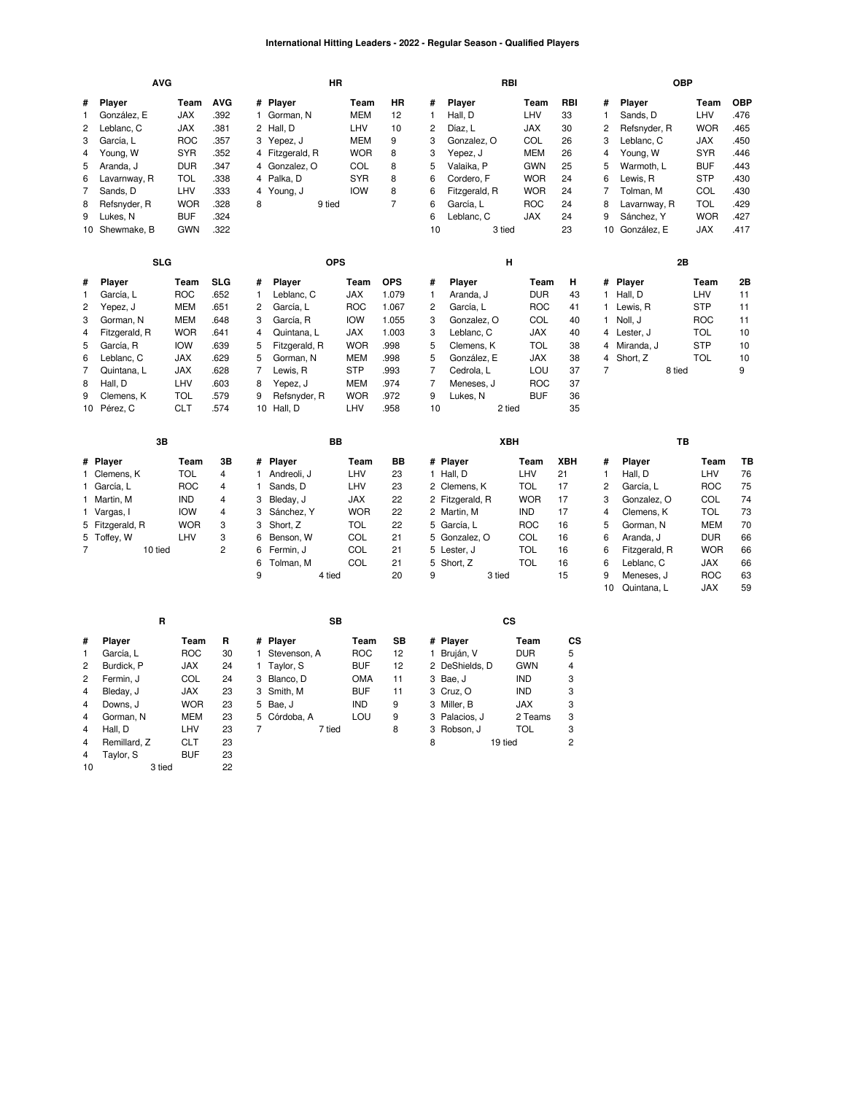#### **International Hitting Leaders - 2022 - Regular Season - Qualified Players**

|                                                                                          | <b>AVG</b>                                                                                                                                          |                                                                                                                                           |                                                                                            |                                                                   | HR                                                                                                                                             |                                                                                                                                           |                                                                                                |                                                                                             |                                                                                                                                      | RBI                                                                                                                            |                                                                 |                                                                              |                                                                                                                                                     | <b>OBP</b>                                                                                                                  |                                                                                          |
|------------------------------------------------------------------------------------------|-----------------------------------------------------------------------------------------------------------------------------------------------------|-------------------------------------------------------------------------------------------------------------------------------------------|--------------------------------------------------------------------------------------------|-------------------------------------------------------------------|------------------------------------------------------------------------------------------------------------------------------------------------|-------------------------------------------------------------------------------------------------------------------------------------------|------------------------------------------------------------------------------------------------|---------------------------------------------------------------------------------------------|--------------------------------------------------------------------------------------------------------------------------------------|--------------------------------------------------------------------------------------------------------------------------------|-----------------------------------------------------------------|------------------------------------------------------------------------------|-----------------------------------------------------------------------------------------------------------------------------------------------------|-----------------------------------------------------------------------------------------------------------------------------|------------------------------------------------------------------------------------------|
| #<br>1<br>$\overline{c}$<br>3<br>4<br>5<br>6<br>7<br>8<br>9                              | Player<br>González, E<br>Leblanc, C<br>García, L<br>Young, W<br>Aranda, J<br>Lavarnway, R<br>Sands, D<br>Refsnyder, R<br>Lukes, N<br>10 Shewmake, B | Team<br><b>JAX</b><br><b>JAX</b><br><b>ROC</b><br><b>SYR</b><br><b>DUR</b><br>TOL<br>LHV<br><b>WOR</b><br><b>BUF</b><br><b>GWN</b>        | <b>AVG</b><br>.392<br>.381<br>.357<br>.352<br>.347<br>.338<br>.333<br>.328<br>.324<br>.322 | #<br>1.<br>3<br>4<br>4<br>4<br>8                                  | Player<br>Gorman, N<br>2 Hall, D<br>Yepez, J<br>Fitzgerald, R<br>Gonzalez, O<br>4 Palka, D<br>Young, J<br>9 tied                               | Team<br><b>MEM</b><br>LHV<br><b>MEM</b><br><b>WOR</b><br>COL<br><b>SYR</b><br><b>IOW</b>                                                  | HR<br>12<br>10<br>9<br>8<br>8<br>8<br>8<br>$\overline{7}$                                      | #<br>$\mathbf{1}$<br>$\overline{c}$<br>3<br>3<br>5<br>6<br>6<br>6<br>6<br>10                | Player<br>Hall, D<br>Díaz, L<br>Gonzalez, O<br>Yepez, J<br>Valaika, P<br>Cordero, F<br>Fitzgerald, R<br>García, L<br>Leblanc, C      | Team<br>LHV<br><b>JAX</b><br>COL<br><b>MEM</b><br><b>GWN</b><br><b>WOR</b><br><b>WOR</b><br><b>ROC</b><br><b>JAX</b><br>3 tied | RBI<br>33<br>30<br>26<br>26<br>25<br>24<br>24<br>24<br>24<br>23 | #<br>$\mathbf{1}$<br>2<br>3<br>4<br>5<br>6<br>$\overline{7}$<br>8<br>9       | Player<br>Sands, D<br>Refsnyder, R<br>Leblanc, C<br>Young, W<br>Warmoth, L<br>Lewis, R<br>Tolman, M<br>Lavarnway, R<br>Sánchez, Y<br>10 González, E | Team<br>LHV<br><b>WOR</b><br><b>JAX</b><br><b>SYR</b><br><b>BUF</b><br><b>STP</b><br>COL<br>TOL<br><b>WOR</b><br><b>JAX</b> | <b>OBP</b><br>.476<br>465<br>.450<br>.446<br>.443<br>.430<br>.430<br>.429<br>427<br>.417 |
|                                                                                          | <b>SLG</b>                                                                                                                                          |                                                                                                                                           |                                                                                            |                                                                   | <b>OPS</b>                                                                                                                                     |                                                                                                                                           |                                                                                                |                                                                                             |                                                                                                                                      | Н                                                                                                                              |                                                                 |                                                                              |                                                                                                                                                     | 2В                                                                                                                          |                                                                                          |
| #<br>1<br>2<br>3<br>$\overline{4}$<br>5<br>6<br>7<br>8<br>9<br>10                        | Player<br>García, L<br>Yepez, J<br>Gorman, N<br>Fitzgerald, R<br>García, R<br>Leblanc, C<br>Quintana, L<br>Hall, D<br>Clemens, K<br>Pérez, C        | Team<br><b>ROC</b><br><b>MEM</b><br><b>MEM</b><br><b>WOR</b><br><b>IOW</b><br><b>JAX</b><br><b>JAX</b><br>LHV<br><b>TOL</b><br><b>CLT</b> | <b>SLG</b><br>.652<br>.651<br>.648<br>.641<br>.639<br>.629<br>.628<br>.603<br>.579<br>.574 | #<br>1<br>$\overline{c}$<br>3<br>4<br>5<br>5<br>7<br>8<br>9<br>10 | Player<br>Leblanc, C<br>García, L<br>García, R<br>Quintana, L<br>Fitzgerald, R<br>Gorman, N<br>Lewis, R<br>Yepez, J<br>Refsnyder, R<br>Hall, D | Team<br><b>JAX</b><br><b>ROC</b><br><b>IOW</b><br><b>JAX</b><br><b>WOR</b><br><b>MEM</b><br><b>STP</b><br><b>MEM</b><br><b>WOR</b><br>LHV | <b>OPS</b><br>1.079<br>1.067<br>1.055<br>1.003<br>.998<br>.998<br>.993<br>.974<br>.972<br>.958 | #<br>1<br>$\overline{c}$<br>3<br>3<br>5<br>5<br>$\overline{7}$<br>$\overline{7}$<br>9<br>10 | Player<br>Aranda, J<br>García, L<br>Gonzalez, O<br>Leblanc, C<br>Clemens, K<br>González, E<br>Cedrola, L<br>Meneses, J<br>Lukes, N   | Team<br><b>DUR</b><br><b>ROC</b><br>COL<br>JAX<br><b>TOL</b><br>JAX<br>LOU<br><b>ROC</b><br><b>BUF</b><br>2 tied               | н<br>43<br>41<br>40<br>40<br>38<br>38<br>37<br>37<br>36<br>35   | #<br>1<br>1<br>$\mathbf{1}$<br>4<br>4<br>4<br>$\overline{7}$                 | Player<br>Hall, D<br>Lewis, R<br>Noll, J<br>Lester, J<br>Miranda, J<br>Short, Z<br>8 tied                                                           | Team<br>LHV<br><b>STP</b><br><b>ROC</b><br><b>TOL</b><br><b>STP</b><br><b>TOL</b>                                           | 2Β<br>11<br>11<br>11<br>10<br>10<br>10<br>9                                              |
|                                                                                          | 3B                                                                                                                                                  |                                                                                                                                           |                                                                                            |                                                                   | BB                                                                                                                                             |                                                                                                                                           |                                                                                                |                                                                                             |                                                                                                                                      | XBH                                                                                                                            |                                                                 |                                                                              |                                                                                                                                                     | TB                                                                                                                          |                                                                                          |
| 5<br>$\overline{7}$                                                                      | # Player<br>1 Clemens, K<br>1 García, L<br>1 Martin, M<br>1 Vargas, I<br>5 Fitzgerald, R<br>Toffey, W<br>10 tied                                    | Team<br><b>TOL</b><br><b>ROC</b><br><b>IND</b><br><b>IOW</b><br><b>WOR</b><br>LHV                                                         | 3B<br>4<br>4<br>4<br>4<br>3<br>3<br>$\overline{c}$                                         | #<br>1<br>1<br>3<br>3<br>3<br>6<br>6<br>6<br>9                    | Player<br>Andreoli, J<br>Sands, D<br>Bleday, J<br>Sánchez, Y<br>Short, Z<br>Benson, W<br>Fermin, J<br>Tolman, M<br>4 tied                      | Team<br>LHV<br>LHV<br><b>JAX</b><br><b>WOR</b><br><b>TOL</b><br>COL<br>COL<br>COL                                                         | BВ<br>23<br>23<br>22<br>22<br>22<br>21<br>21<br>21<br>20                                       | 9                                                                                           | # Player<br>1 Hall, D<br>2 Clemens, K<br>2 Fitzgerald, R<br>2 Martin, M<br>5 García, L<br>5 Gonzalez, O<br>5 Lester, J<br>5 Short, Z | Team<br>LHV<br><b>TOL</b><br><b>WOR</b><br>IND<br><b>ROC</b><br>COL<br><b>TOL</b><br><b>TOL</b><br>3 tied                      | XBH<br>21<br>17<br>17<br>17<br>16<br>16<br>16<br>16<br>15       | #<br>$\mathbf{1}$<br>$\overline{c}$<br>3<br>4<br>5<br>6<br>6<br>6<br>9<br>10 | Player<br>Hall, D<br>García, L<br>Gonzalez, O<br>Clemens, K<br>Gorman, N<br>Aranda, J<br>Fitzgerald, R<br>Leblanc, C<br>Meneses, J<br>Quintana, L   | Team<br>LHV<br><b>ROC</b><br>COL<br><b>TOL</b><br><b>MEM</b><br><b>DUR</b><br><b>WOR</b><br>JAX<br><b>ROC</b><br>JAX        | TВ<br>76<br>75<br>74<br>73<br>70<br>66<br>66<br>66<br>63<br>59                           |
|                                                                                          | R                                                                                                                                                   |                                                                                                                                           |                                                                                            |                                                                   | <b>SB</b>                                                                                                                                      |                                                                                                                                           |                                                                                                |                                                                                             |                                                                                                                                      | <b>CS</b>                                                                                                                      |                                                                 |                                                                              |                                                                                                                                                     |                                                                                                                             |                                                                                          |
| #<br>1<br>$\overline{c}$<br>2<br>$\overline{4}$<br>$\overline{4}$<br>4<br>$\overline{4}$ | Player<br>García, L<br>Burdick, P<br>Fermin, J<br>Bleday, J<br>Downs, J<br>Gorman, N<br>Hall, D                                                     | Team<br><b>ROC</b><br><b>JAX</b><br>COL<br>JAX<br><b>WOR</b><br><b>MEM</b><br>LHV                                                         | R<br>30<br>24<br>24<br>23<br>23<br>23<br>23                                                | #<br>1<br>3<br>3<br>5<br>5<br>$\overline{7}$                      | Player<br>Stevenson, A<br>1 Taylor, S<br>Blanco, D<br>Smith, M<br>Bae, J<br>Córdoba, A<br>7 tied                                               | Team<br><b>ROC</b><br><b>BUF</b><br><b>OMA</b><br><b>BUF</b><br><b>IND</b><br>LOU                                                         | <b>SB</b><br>12<br>12<br>11<br>11<br>9<br>9<br>8                                               |                                                                                             | # Player<br>1 Bruján, V<br>2 DeShields, D<br>3 Bae, J<br>3 Cruz, O<br>3 Miller, B<br>3 Palacios, J<br>3 Robson, J                    | Team<br><b>DUR</b><br><b>GWN</b><br>IND<br><b>IND</b><br><b>JAX</b><br>2 Teams<br><b>TOL</b>                                   | <b>CS</b><br>5<br>4<br>3<br>3<br>3<br>3<br>3                    |                                                                              |                                                                                                                                                     |                                                                                                                             |                                                                                          |

[Remillard,](https://research.mlb.com/players/621545/stats#orgId=117) Z [CLT](https://research.mlb.com/teams/494/stats#timeframe=2022) 23<br>4 Taylor, S BUF 23<br>10 3 tied 22 [Taylor,](https://research.mlb.com/players/669392/stats#orgId=117) S [BUF](https://research.mlb.com/teams/422/stats#timeframe=2022)23
<br>
3
tied
22

3 tied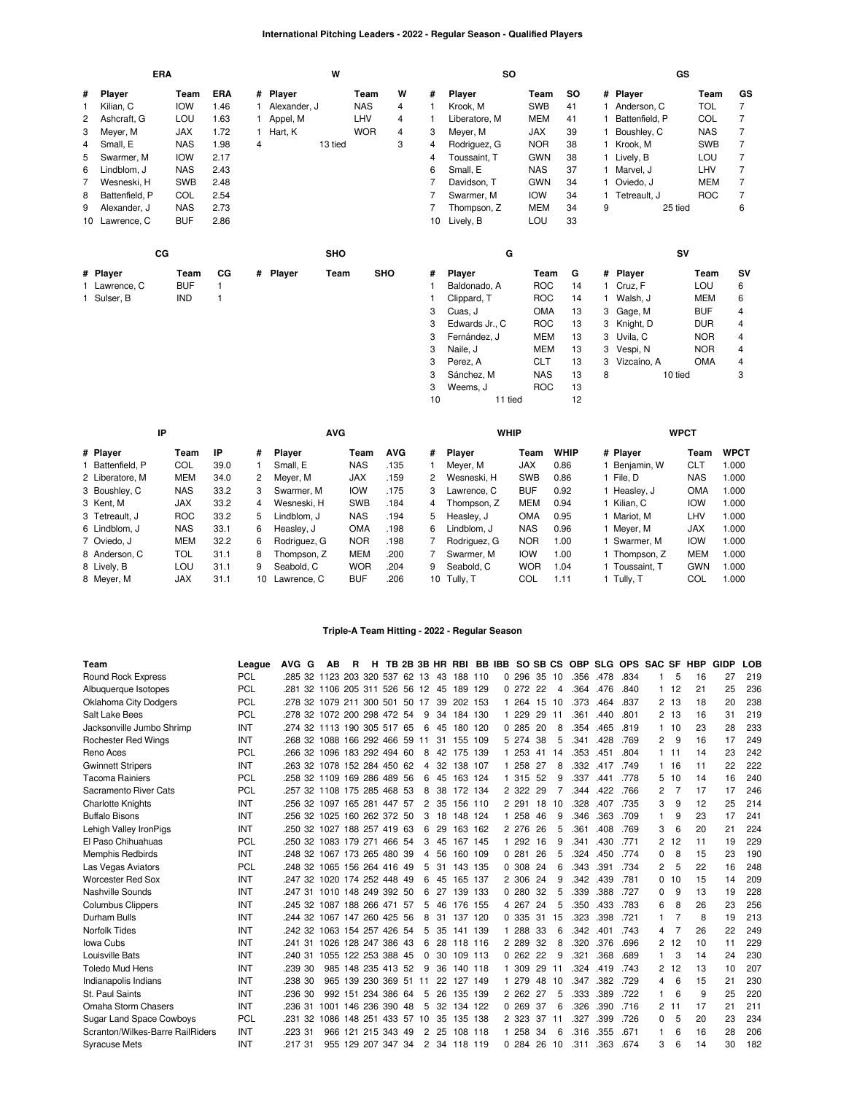# **International Pitching Leaders - 2022 - Regular Season - Qualified Players**

|              | <b>ERA</b>     |            |      |   |              | W       |            |   |    | <b>SO</b>      |            |           |    |                | GS      |            |    |
|--------------|----------------|------------|------|---|--------------|---------|------------|---|----|----------------|------------|-----------|----|----------------|---------|------------|----|
| #            | Player         | Team       | ERA  |   | # Player     |         | Team       | W | #  | Player         | Team       | <b>SO</b> |    | # Player       |         | Team       | GS |
| $\mathbf{1}$ | Kilian, C      | <b>IOW</b> | 1.46 |   | Alexander, J |         | <b>NAS</b> | 4 |    | Krook, M       | <b>SWB</b> | 41        |    | 1 Anderson, C  |         | <b>TOL</b> | 7  |
| 2            | Ashcraft, G    | LOU        | 1.63 |   | Appel, M     |         | LHV        | 4 |    | Liberatore, M  | <b>MEM</b> | 41        |    | Battenfield, P |         | <b>COL</b> | 7  |
| 3            | Meyer, M       | <b>JAX</b> | 1.72 |   | Hart, K      |         | <b>WOR</b> | 4 | 3  | Meyer, M       | <b>JAX</b> | 39        | 1. | Boushley, C    |         | <b>NAS</b> | 7  |
| 4            | Small, E       | <b>NAS</b> | 1.98 | 4 |              | 13 tied |            | 3 | 4  | Rodriguez, G   | <b>NOR</b> | 38        | 1. | Krook, M       |         | <b>SWB</b> | 7  |
| 5            | Swarmer, M     | <b>IOW</b> | 2.17 |   |              |         |            |   | 4  | Toussaint, T   | <b>GWN</b> | 38        |    | 1 Lively, B    |         | LOU        | 7  |
| 6            | Lindblom, J    | <b>NAS</b> | 2.43 |   |              |         |            |   | 6  | Small, E       | <b>NAS</b> | 37        |    | 1 Marvel, J    |         | LHV        | 7  |
| 7            | Wesneski, H    | <b>SWB</b> | 2.48 |   |              |         |            |   |    | Davidson, T    | <b>GWN</b> | 34        |    | Oviedo, J      |         | <b>MEM</b> | 7  |
| 8            | Battenfield, P | COL        | 2.54 |   |              |         |            |   | 7  | Swarmer, M     | <b>IOW</b> | 34        |    | Tetreault, J   |         | <b>ROC</b> | 7  |
| 9            | Alexander, J   | <b>NAS</b> | 2.73 |   |              |         |            |   |    | Thompson, Z    | <b>MEM</b> | 34        | 9  |                | 25 tied |            | 6  |
| 10           | Lawrence, C    | <b>BUF</b> | 2.86 |   |              |         |            |   | 10 | Lively, B      | LOU        | 33        |    |                |         |            |    |
|              | cc             |            |      |   |              | SHO     |            |   |    | G              |            |           |    |                | SV      |            |    |
|              | # Player       | Team       | CG   |   | # Player     | Team    | <b>SHO</b> |   | #  | Player         | Team       | G         |    | # Player       |         | Team       | SV |
|              | 1 Lawrence, C  | <b>BUF</b> |      |   |              |         |            |   |    | Baldonado, A   | <b>ROC</b> | 14        |    | 1 Cruz, F      |         | LOU        | 6  |
|              | 1 Sulser, B    | <b>IND</b> |      |   |              |         |            |   |    | Clippard, T    | <b>ROC</b> | 14        | 1  | Walsh, J       |         | <b>MEM</b> | 6  |
|              |                |            |      |   |              |         |            |   | 3  | Cuas, J        | OMA        | 13        |    | 3 Gage, M      |         | <b>BUF</b> | 4  |
|              |                |            |      |   |              |         |            |   | 3  | Edwards Jr., C | <b>ROC</b> | 13        | 3  | Knight, D      |         | <b>DUR</b> | 4  |
|              |                |            |      |   |              |         |            |   | 3  | Fernández. J   | MEM        | 13        |    | 3 Uvila, C     |         | <b>NOR</b> | 4  |
|              |                |            |      |   |              |         |            |   | 3  | Naile, J       | <b>MEM</b> | 13        | 3  | Vespi, N       |         | <b>NOR</b> | 4  |
|              |                |            |      |   |              |         |            |   | 3  | Perez, A       | <b>CLT</b> | 13        | 3  | Vizcaíno, A    |         | OMA        | 4  |
|              |                |            |      |   |              |         |            |   | 3  | Sánchez, M     | <b>NAS</b> | 13        | 8  |                | 10 tied |            | 3  |
|              |                |            |      |   |              |         |            |   | 3  | Weems. J       | <b>ROC</b> | 13        |    |                |         |            |    |

| IP               |  |            |      |    | <b>AVG</b>    |            |            |    | <b>WHIP</b>   |            |             |              | <b>WPCT</b> |             |
|------------------|--|------------|------|----|---------------|------------|------------|----|---------------|------------|-------------|--------------|-------------|-------------|
| # Player         |  | Team       | IP   | #  | <b>Player</b> | Team       | <b>AVG</b> | #  | <b>Plaver</b> | Team       | <b>WHIP</b> | # Player     | Team        | <b>WPCT</b> |
| 1 Battenfield, P |  | COL        | 39.0 |    | Small, E      | <b>NAS</b> | .135       |    | Mever, M      | <b>JAX</b> | 0.86        | Beniamin, W  | CLT         | 1.000       |
| 2 Liberatore, M  |  | <b>MEM</b> | 34.0 | 2  | Meyer, M      | <b>JAX</b> | .159       | 2  | Wesneski, H   | <b>SWB</b> | 0.86        | File. D      | <b>NAS</b>  | 1.000       |
| 3 Boushley, C    |  | <b>NAS</b> | 33.2 | 3  | Swarmer, M    | <b>IOW</b> | .175       | 3  | Lawrence, C   | <b>BUF</b> | 0.92        | Heasley, J   | OMA         | 1.000       |
| 3 Kent. M        |  | <b>JAX</b> | 33.2 | 4  | Wesneski, H   | <b>SWB</b> | .184       | 4  | Thompson, Z   | <b>MEM</b> | 0.94        | Kilian, C    | <b>IOW</b>  | 1.000       |
| 3 Tetreault. J   |  | <b>ROC</b> | 33.2 | 5. | Lindblom, J   | <b>NAS</b> | .194       | 5  | Heasley, J    | <b>OMA</b> | 0.95        | Mariot. M    | LHV         | 1.000       |
| 6 Lindblom, J    |  | <b>NAS</b> | 33.1 | 6  | Heasley, J    | <b>OMA</b> | .198       | 6  | Lindblom, J   | <b>NAS</b> | 0.96        | Mever. M     | <b>JAX</b>  | 1.000       |
| 7 Oviedo, J      |  | <b>MEM</b> | 32.2 | 6  | Rodriguez, G  | <b>NOR</b> | .198       |    | Rodriguez, G  | <b>NOR</b> | 1.00        | Swarmer. M   | <b>IOW</b>  | 1.000       |
| 8 Anderson, C    |  | TOL        | 31.1 | 8  | Thompson, Z   | <b>MEM</b> | .200       |    | Swarmer, M    | <b>IOW</b> | 1.00        | Thompson, Z  | <b>MEM</b>  | 1.000       |
| 8 Lively, B      |  | LOU        | 31.1 | 9  | Seabold, C    | <b>WOR</b> | .204       | 9  | Seabold, C    | <b>WOR</b> | 1.04        | Toussaint. T | <b>GWN</b>  | 1.000       |
| 8 Mever, M       |  | <b>JAX</b> | 31.1 | 10 | Lawrence, C   | <b>BUF</b> | .206       | 10 | Tully. T      | COL        | 1.11        | Tully. T     | COL         | 1.000       |

11 tied 12

## **Triple-A Team Hitting - 2022 - Regular Season**

| Team                             | League     | AVG G                          | AB                  | R                  | н |  |                |    |            |     |    | TB 2B 3B HR RBI BB IBB SO SB CS |     |    | <b>OBP</b> |      | SLG OPS SAC SF |          |       | HBP | GIDP | LOB |
|----------------------------------|------------|--------------------------------|---------------------|--------------------|---|--|----------------|----|------------|-----|----|---------------------------------|-----|----|------------|------|----------------|----------|-------|-----|------|-----|
| <b>Round Rock Express</b>        | <b>PCL</b> | .285 32 1123 203 320 537 62 13 |                     |                    |   |  |                | 43 | 188 110    |     |    | 0.296                           | 35  | 10 | .356       | .478 | .834           |          | 5     | 16  | 27   | 219 |
| Albuquerque Isotopes             | <b>PCL</b> | 281 32 1106 205 311 526 56 12  |                     |                    |   |  |                | 45 | 189 129    |     |    | 0272                            | 22  | 4  | .364       | .476 | .840           | 1        | 12    | 21  | 25   | 236 |
| Oklahoma City Dodgers            | <b>PCL</b> | 278 32 1079 211 300 501 50 17  |                     |                    |   |  |                | 39 | 202 153    |     |    | 1 264                           | 15  | 10 | .373       | .464 | .837           | 2        | 13    | 18  | 20   | 238 |
| Salt Lake Bees                   | <b>PCL</b> | 278 32 1072 200 298 472 54     |                     |                    |   |  | 9              |    | 34 184 130 |     |    | 1 229                           | 29  | 11 | .361       | .440 | .801           |          | 2, 13 | 16  | 31   | 219 |
| Jacksonville Jumbo Shrimp        | INT        | 274 32 1113 190 305 517 65     |                     |                    |   |  | -6             | 45 | 180 120    |     |    | 0.285                           | 20  | 8  | .354       | .465 | .819           | 1        | 10    | 23  | 28   | 233 |
| <b>Rochester Red Wings</b>       | INT        | .268 32 1088 166 292 466 59    |                     |                    |   |  | 11             |    | 31 155 109 |     |    | 5 274                           | -38 | 5  | .341       | .428 | .769           | 2        | 9     | 16  | 17   | 249 |
| Reno Aces                        | <b>PCL</b> | .266 32 1096 183 292 494 60    |                     |                    |   |  | 8              |    | 42 175 139 |     |    | 1 253                           | 41  | 14 | .353       | .451 | .804           | 1        | 11    | 14  | 23   | 242 |
| <b>Gwinnett Stripers</b>         | INT        | .263 32 1078 152 284 450 62    |                     |                    |   |  | 4              | 32 | 138 107    |     |    | 1 258                           | 27  | 8  | .332       | .417 | .749           |          | 16    | 11  | 22   | 222 |
| <b>Tacoma Rainiers</b>           | PCL        | .258 32 1109 169 286 489 56    |                     |                    |   |  | 6              | 45 | 163 124    |     |    | 1 315 52                        |     | 9  | .337       | .441 | .778           | 5        | 10    | 14  | 16   | 240 |
| Sacramento River Cats            | <b>PCL</b> | 257 32 1108 175 285 468 53     |                     |                    |   |  | 8              | 38 | 172 134    |     |    | 2 3 2 2                         | 29  | 7  | .344       | .422 | .766           | 2        |       | 17  | 17   | 246 |
| <b>Charlotte Knights</b>         | INT        | .256 32 1097 165 281 447 57    |                     |                    |   |  | $\overline{c}$ |    | 35 156 110 |     |    | 2 2 9 1                         | 18  | 10 | .328       | .407 | .735           | 3        | 9     | 12  | 25   | 214 |
| <b>Buffalo Bisons</b>            | INT        | .256 32 1025 160 262 372 50    |                     |                    |   |  | 3              | 18 | 148 124    |     |    | 1 258                           | 46  | 9  | .346       | .363 | .709           | 1        | 9     | 23  | 17   | 241 |
| Lehigh Valley IronPigs           | INT        | 250 32 1027 188 257 419 63     |                     |                    |   |  | 6              | 29 | 163 162    |     |    | 2 276                           | 26  | 5  | .361       | .408 | .769           | 3        | 6     | 20  | 21   | 224 |
| El Paso Chihuahuas               | <b>PCL</b> | .250 32 1083 179 271 466 54    |                     |                    |   |  | 3              | 45 | 167 145    |     |    | 1 292                           | 16  | 9  | .341       | .430 | .771           | 2        | 12    | 11  | 19   | 229 |
| <b>Memphis Redbirds</b>          | INT        | .248 32 1067 173 265 480 39    |                     |                    |   |  | 4              | 56 | 160 109    |     |    | 0.281                           | 26  | 5  | .324       | .450 | .774           | 0        | 8     | 15  | 23   | 190 |
| Las Vegas Aviators               | <b>PCL</b> | .248 32 1065 156 264 416 49    |                     |                    |   |  | 5              |    | 31 143 135 |     |    | 0.308                           | 24  | 6  | .343       | .391 | .734           | 2        | 5     | 22  | 16   | 248 |
| <b>Worcester Red Sox</b>         | INT        | .247 32 1020 174 252 448 49    |                     |                    |   |  | 6              | 45 | 165 137    |     |    | 2 306                           | 24  | 9  | .342       | .439 | .781           | $\Omega$ | 10    | 15  | 14   | 209 |
| Nashville Sounds                 | INT        | 247 31 1010 148 249 392 50     |                     |                    |   |  | 6              | 27 | 139 133    |     |    | 0.280                           | 32  | 5  | .339       | .388 | .727           | $\Omega$ | 9     | 13  | 19   | 228 |
| <b>Columbus Clippers</b>         | INT        | .245 32 1087 188 266 471 57    |                     |                    |   |  | 5              | 46 | 176 155    |     |    | 4 267                           | 24  | 5  | .350       | .433 | .783           | 6        | 8     | 26  | 23   | 256 |
| Durham Bulls                     | INT        | .244 32 1067 147 260 425 56    |                     |                    |   |  | 8              | 31 | 137        | 120 |    | 0.335                           | 31  | 15 | .323       | .398 | .721           |          |       | 8   | 19   | 213 |
| Norfolk Tides                    | INT        | .242 32 1063 154 257 426 54    |                     |                    |   |  | 5              | 35 | 141 139    |     |    | 1 288                           | 33  | 6  | .342       | .401 | .743           | 4        |       | 26  | 22   | 249 |
| Iowa Cubs                        | INT        | .241 31 1026 128 247 386 43    |                     |                    |   |  | 6              | 28 | 118 116    |     |    | 2 2 8 9                         | 32  | 8  | .320       | .376 | .696           | 2        | 12    | 10  | 11   | 229 |
| Louisville Bats                  | INT        | .240 31                        | 1055 122 253 388 45 |                    |   |  | $\Omega$       | 30 | 109 113    |     |    | 0.262                           | 22  | 9  | .321       | .368 | .689           |          | 3     | 14  | 24   | 230 |
| <b>Toledo Mud Hens</b>           | INT        | .239 30                        |                     | 985 148 235 413 52 |   |  | 9              | 36 | 140 118    |     |    | 1 309                           | 29  | 11 | .324       | .419 | .743           | 2        | 12    | 13  | 10   | 207 |
| Indianapolis Indians             | INT        | .238 30                        |                     | 965 139 230 369 51 |   |  | 11             | 22 | 127 149    |     | 1. | 279                             | 48  | 10 | .347       | .382 | .729           | 4        | 6     | 15  | 21   | 230 |
| St. Paul Saints                  | INT        | .236 30                        |                     | 992 151 234 386 64 |   |  | 5              | 26 | 135 139    |     |    | 2 2 6 2                         | 27  | 5  | .333       | .389 | .722           |          | 6     | 9   | 25   | 220 |
| Omaha Storm Chasers              | INT        | .236 31                        | 1001 146 236 390 48 |                    |   |  | 5              |    | 32 134 122 |     |    | 0.269                           | 37  | 6  | .326       | .390 | .716           | 2        | 11    | 17  | 21   | 211 |
| <b>Sugar Land Space Cowboys</b>  | <b>PCL</b> | .231 32                        | 1086 148 251 433 57 |                    |   |  | 10             | 35 | 135 138    |     |    | 2 323                           | 37  | 11 | .327       | .399 | .726           | 0        | 5     | 20  | 23   | 234 |
| Scranton/Wilkes-Barre RailRiders | INT        | .223 31                        |                     | 966 121 215 343 49 |   |  | 2              | 25 | 108 118    |     |    | 1 258                           | 34  | 6  | .316       | .355 | .671           |          | 6     | 16  | 28   | 206 |
| <b>Syracuse Mets</b>             | INT        | 217 31                         |                     | 955 129 207 347 34 |   |  | $\overline{2}$ |    | 34 118 119 |     |    | 0.284                           | 26  | 10 | .311       | .363 | .674           | 3        | հ     | 14  | 30   | 182 |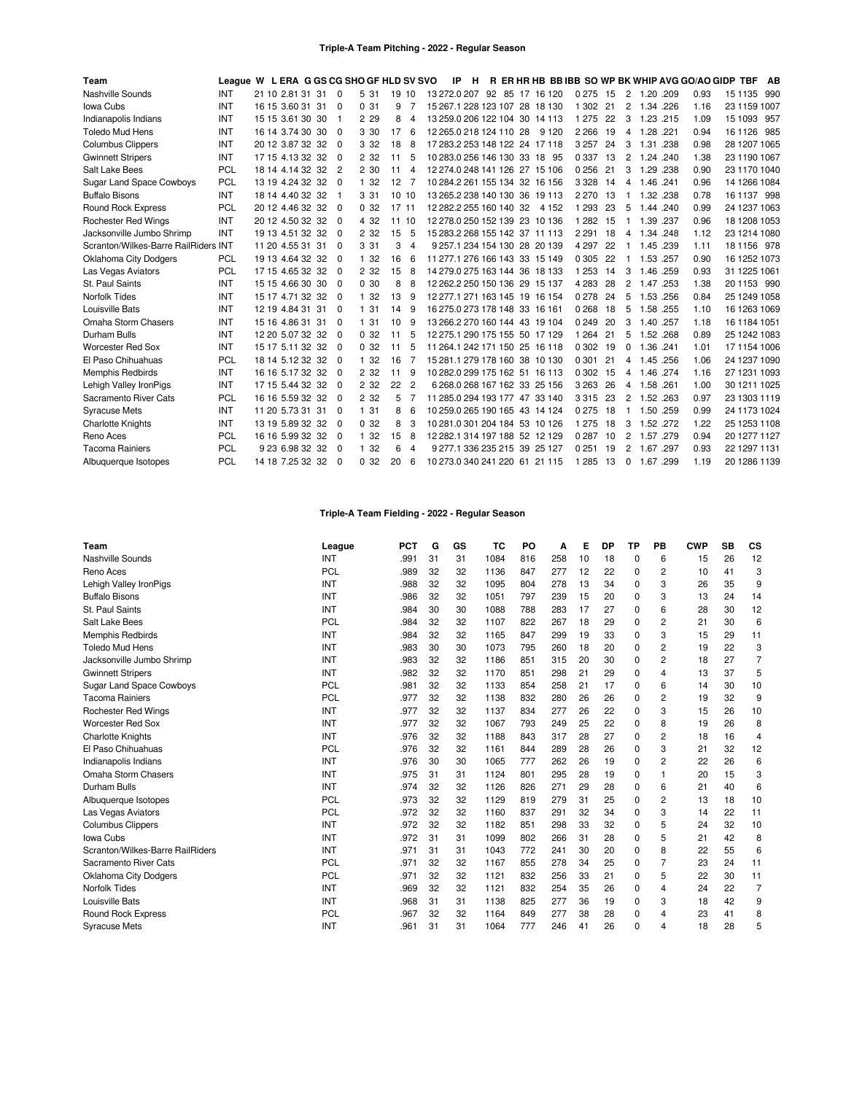## **Triple-A Team Pitching - 2022 - Regular Season**

| Team                                 | League W L ERA G GS CG SHO GF HLD SV SVO |                  |                |       |       |                |                         | IP | H |  |                                | R ER HR HB BB IBB SO WP BK WHIP AVG GO/AO GIDP TBF |    |                |           |      |      |              | AB |
|--------------------------------------|------------------------------------------|------------------|----------------|-------|-------|----------------|-------------------------|----|---|--|--------------------------------|----------------------------------------------------|----|----------------|-----------|------|------|--------------|----|
| Nashville Sounds                     | INT                                      | 21 10 2.81 31 31 | $\Omega$       | 5 31  | 19 10 |                |                         |    |   |  | 13 272.0 207 92 85 17 16 120   | 0 2 7 5                                            | 15 | $\overline{2}$ | 1.20 .209 |      | 0.93 | 15 1135 990  |    |
| Iowa Cubs                            | <b>INT</b>                               | 16 15 3.60 31 31 | $\Omega$       | 0.31  | 9     |                |                         |    |   |  | 15 267 1 228 123 107 28 18 130 | 1 3 0 2                                            | 21 | 2              | 1.34 .226 |      | 1.16 | 23 1159 1007 |    |
| Indianapolis Indians                 | INT                                      | 15 15 3.61 30 30 | $\overline{1}$ | 2 2 9 | 8     | 4              |                         |    |   |  | 13 259.0 206 122 104 30 14 113 | 1 2 7 5                                            | 22 | 3              | 1.23 .215 |      | 1.09 | 15 1093 957  |    |
| <b>Toledo Mud Hens</b>               | <b>INT</b>                               | 16 14 3.74 30 30 | $\Omega$       | 3 30  | 17    | 6              | 12 265.0 218 124 110 28 |    |   |  | 9 1 2 0                        | 2 2 6 6                                            | 19 | 4              | 1.28.221  |      | 0.94 | 16 1126 985  |    |
| <b>Columbus Clippers</b>             | INT                                      | 20 12 3.87 32 32 | $\Omega$       | 3 3 2 | 18    | 8              |                         |    |   |  | 17 283 2 253 148 122 24 17 118 | 3 2 5 7                                            | 24 | 3              | 1.31      | .238 | 0.98 | 28 1207 1065 |    |
| <b>Gwinnett Stripers</b>             | INT                                      | 17 15 4.13 32 32 | $\Omega$       | 2 3 2 | 11    | 5              |                         |    |   |  | 10 283.0 256 146 130 33 18 95  | 0 3 3 7                                            | 13 | 2              | 1.24 .240 |      | 1.38 | 23 1190 1067 |    |
| Salt Lake Bees                       | <b>PCL</b>                               | 18 14 4.14 32 32 | $\overline{2}$ | 2 30  | 11    | 4              |                         |    |   |  | 12 274.0 248 141 126 27 15 106 | 0256                                               | 21 | 3              | 1.29 .238 |      | 0.90 | 23 1170 1040 |    |
| <b>Sugar Land Space Cowboys</b>      | PCL                                      | 13 19 4.24 32 32 | $\Omega$       | 1 32  | 12    | 7              |                         |    |   |  | 10 284.2 261 155 134 32 16 156 | 3 3 2 8                                            | 14 | 4              | 1.46 .241 |      | 0.96 | 14 1266 1084 |    |
| <b>Buffalo Bisons</b>                | INT                                      | 18 14 4.40 32 32 |                | 3 3 1 | 10 10 |                |                         |    |   |  | 13 265.2 238 140 130 36 19 113 | 2 2 7 0                                            | 13 |                | 1.32 .238 |      | 0.78 | 16 1137 998  |    |
| <b>Round Rock Express</b>            | <b>PCL</b>                               | 20 12 4.46 32 32 | $\Omega$       | 0.32  | 17 11 |                | 12 282.2 255 160 140 32 |    |   |  | 4 152                          | 1 2 9 3                                            | 23 | 5              | 1.44 .240 |      | 0.99 | 24 1237 1063 |    |
| <b>Rochester Red Wings</b>           | INT                                      | 20 12 4.50 32 32 | $\Omega$       | 4 3 2 | 11 10 |                |                         |    |   |  | 12 278.0 250 152 139 23 10 136 | 1 2 8 2                                            | 15 |                | 1.39 .237 |      | 0.96 | 18 1208 1053 |    |
| Jacksonville Jumbo Shrimp            | INT                                      | 19 13 4.51 32 32 | $\Omega$       | 2 3 2 | 15    | 5              |                         |    |   |  | 15 283 2 268 155 142 37 11 113 | 2 2 9 1                                            | 18 | 4              | 1.34 .248 |      | 1.12 | 23 1214 1080 |    |
| Scranton/Wilkes-Barre RailRiders INT |                                          | 11 20 4.55 31 31 | $\Omega$       | 3 3 1 | 3     | 4              |                         |    |   |  | 9 257.1 234 154 130 28 20 139  | 4 2 9 7                                            | 22 | -1             | 1.45 .239 |      | 1.11 | 18 1156 978  |    |
| <b>Oklahoma City Dodgers</b>         | <b>PCL</b>                               | 19 13 4.64 32 32 | $\Omega$       | 1 32  | 16    | 6              |                         |    |   |  | 11 277 1 276 166 143 33 15 149 | 0 3 0 5                                            | 22 |                | 1.53 .257 |      | 0.90 | 16 1252 1073 |    |
| Las Vegas Aviators                   | PCL                                      | 17 15 4.65 32 32 | $\Omega$       | 2 3 2 | 15    | 8              |                         |    |   |  | 14 279.0 275 163 144 36 18 133 | 1 2 5 3                                            | 14 | 3              | 1.46 .259 |      | 0.93 | 31 1225 1061 |    |
| St. Paul Saints                      | <b>INT</b>                               | 15 15 4.66 30 30 | $\Omega$       | 0.30  | 8     | 8              |                         |    |   |  | 12 262 2 250 150 136 29 15 137 | 4 2 8 3                                            | 28 | 2              | 1.47      | .253 | 1.38 | 20 1153 990  |    |
| <b>Norfolk Tides</b>                 | INT                                      | 15 17 4.71 32 32 | $\Omega$       | 1 32  | 13    | 9              |                         |    |   |  | 12 277 1 271 163 145 19 16 154 | 0278                                               | 24 | 5              | 1.53 .256 |      | 0.84 | 25 1249 1058 |    |
| Louisville Bats                      | INT                                      | 12 19 4 84 31 31 | $\Omega$       | 1 31  | 14    | 9              |                         |    |   |  | 16 275 0 273 178 148 33 16 161 | 0268                                               | 18 | 5              | 1.58 .255 |      | 1.10 | 16 1263 1069 |    |
| Omaha Storm Chasers                  | <b>INT</b>                               | 15 16 4.86 31 31 | $\Omega$       | 1 31  | 10    | 9              |                         |    |   |  | 13 266 2 270 160 144 43 19 104 | 0 2 4 9                                            | 20 | 3              | 1.40 .257 |      | 1.18 | 16 1184 1051 |    |
| Durham Bulls                         | INT                                      | 12 20 5.07 32 32 | $\Omega$       | 0.32  | 11    | 5              |                         |    |   |  | 12 275.1 290 175 155 50 17 129 | 1 2 6 4                                            | 21 | 5              | 1.52 .268 |      | 0.89 | 25 1242 1083 |    |
| <b>Worcester Red Sox</b>             | INT                                      | 15 17 5.11 32 32 | $\Omega$       | 0.32  | 11    | 5              |                         |    |   |  | 11 264 1 242 171 150 25 16 118 | 0 3 0 2                                            | 19 | $\Omega$       | 1.36 .241 |      | 1.01 | 17 1154 1006 |    |
| El Paso Chihuahuas                   | <b>PCL</b>                               | 18 14 5.12 32 32 | $\Omega$       | 1 32  | 16    |                |                         |    |   |  | 15 281 1 279 178 160 38 10 130 | 0 3 0 1                                            | 21 | 4              | 1.45 .256 |      | 1.06 | 24 1237 1090 |    |
| <b>Memphis Redbirds</b>              | INT                                      | 16 16 5.17 32 32 | $\Omega$       | 2 3 2 | 11    | 9              |                         |    |   |  | 10 282.0 299 175 162 51 16 113 | 0 3 0 2                                            | 15 | 4              | 1.46 .274 |      | 1.16 | 27 1231 1093 |    |
| Lehigh Valley IronPigs               | INT                                      | 17 15 5.44 32 32 | $\Omega$       | 2 3 2 | 22    | $\overline{2}$ |                         |    |   |  | 6 268 0 268 167 162 33 25 156  | 3 2 6 3                                            | 26 | 4              | 1.58 .261 |      | 1.00 | 30 1211 1025 |    |
| Sacramento River Cats                | <b>PCL</b>                               | 16 16 5.59 32 32 | $\Omega$       | 2 3 2 | 5     |                |                         |    |   |  | 11 285.0 294 193 177 47 33 140 | 3315                                               | 23 | 2              | 1.52 .263 |      | 0.97 | 23 1303 1119 |    |
| <b>Syracuse Mets</b>                 | INT                                      | 11 20 5.73 31 31 | $\Omega$       | 1 31  | 8     | 6              |                         |    |   |  | 10 259.0 265 190 165 43 14 124 | 0275                                               | 18 |                | 1.50 .259 |      | 0.99 | 24 1173 1024 |    |
| <b>Charlotte Knights</b>             | INT                                      | 13 19 5.89 32 32 | $\Omega$       | 0.32  | 8     | 3              |                         |    |   |  | 10 281.0 301 204 184 53 10 126 | 1 2 7 5                                            | 18 | 3              | 1.52 .272 |      | 1.22 | 25 1253 1108 |    |
| Reno Aces                            | <b>PCL</b>                               | 16 16 5.99 32 32 | $\Omega$       | 1 32  | 15    | 8              |                         |    |   |  | 12 282.1 314 197 188 52 12 129 | 0 2 8 7                                            | 10 | 2              | 1.57 .279 |      | 0.94 | 20 1277 1127 |    |
| <b>Tacoma Rainiers</b>               | PCL                                      | 9 23 6.98 32 32  | $\Omega$       | 1 32  | 6     | 4              |                         |    |   |  | 9 277.1 336 235 215 39 25 127  | 0 2 5 1                                            | 19 | 2              | 1.67      | .297 | 0.93 | 22 1297 1131 |    |
| Albuquerque Isotopes                 | <b>PCL</b>                               | 14 18 7.25 32 32 | $\Omega$       | 0.32  | 20    | 6              |                         |    |   |  | 10 273.0 340 241 220 61 21 115 | 1 2 8 5                                            | 13 | $\mathbf 0$    | 1.67 .299 |      | 1.19 | 20 1286 1139 |    |

# **Triple-A Team Fielding - 2022 - Regular Season**

| Team                             | League     | <b>PCT</b> | G  | GS | тс   | PO  | А   | Е  | DP | ΤP          | PB | <b>CWP</b> | SB | <b>CS</b>      |
|----------------------------------|------------|------------|----|----|------|-----|-----|----|----|-------------|----|------------|----|----------------|
| Nashville Sounds                 | INT        | .991       | 31 | 31 | 1084 | 816 | 258 | 10 | 18 | 0           | 6  | 15         | 26 | 12             |
| Reno Aces                        | <b>PCL</b> | .989       | 32 | 32 | 1136 | 847 | 277 | 12 | 22 | $\mathbf 0$ | 2  | 10         | 41 | 3              |
| Lehigh Valley IronPigs           | INT        | .988       | 32 | 32 | 1095 | 804 | 278 | 13 | 34 | $\Omega$    | 3  | 26         | 35 | 9              |
| <b>Buffalo Bisons</b>            | INT        | .986       | 32 | 32 | 1051 | 797 | 239 | 15 | 20 | 0           | 3  | 13         | 24 | 14             |
| St. Paul Saints                  | INT        | .984       | 30 | 30 | 1088 | 788 | 283 | 17 | 27 | 0           | 6  | 28         | 30 | 12             |
| Salt Lake Bees                   | PCL        | .984       | 32 | 32 | 1107 | 822 | 267 | 18 | 29 | 0           | 2  | 21         | 30 | 6              |
| Memphis Redbirds                 | INT        | .984       | 32 | 32 | 1165 | 847 | 299 | 19 | 33 | $\Omega$    | 3  | 15         | 29 | 11             |
| <b>Toledo Mud Hens</b>           | INT        | .983       | 30 | 30 | 1073 | 795 | 260 | 18 | 20 | 0           | 2  | 19         | 22 | 3              |
| Jacksonville Jumbo Shrimp        | INT        | .983       | 32 | 32 | 1186 | 851 | 315 | 20 | 30 | $\Omega$    | 2  | 18         | 27 | 7              |
| <b>Gwinnett Stripers</b>         | INT        | .982       | 32 | 32 | 1170 | 851 | 298 | 21 | 29 | 0           | 4  | 13         | 37 | 5              |
| <b>Sugar Land Space Cowboys</b>  | <b>PCL</b> | .981       | 32 | 32 | 1133 | 854 | 258 | 21 | 17 | 0           | 6  | 14         | 30 | 10             |
| <b>Tacoma Rainiers</b>           | <b>PCL</b> | .977       | 32 | 32 | 1138 | 832 | 280 | 26 | 26 | 0           | 2  | 19         | 32 | 9              |
| <b>Rochester Red Wings</b>       | INT        | .977       | 32 | 32 | 1137 | 834 | 277 | 26 | 22 | 0           | 3  | 15         | 26 | 10             |
| <b>Worcester Red Sox</b>         | INT        | .977       | 32 | 32 | 1067 | 793 | 249 | 25 | 22 | 0           | 8  | 19         | 26 | 8              |
| <b>Charlotte Knights</b>         | INT        | .976       | 32 | 32 | 1188 | 843 | 317 | 28 | 27 | 0           | 2  | 18         | 16 | 4              |
| El Paso Chihuahuas               | <b>PCL</b> | .976       | 32 | 32 | 1161 | 844 | 289 | 28 | 26 | 0           | 3  | 21         | 32 | 12             |
| Indianapolis Indians             | INT        | .976       | 30 | 30 | 1065 | 777 | 262 | 26 | 19 | 0           | 2  | 22         | 26 | 6              |
| Omaha Storm Chasers              | INT        | .975       | 31 | 31 | 1124 | 801 | 295 | 28 | 19 | 0           |    | 20         | 15 | 3              |
| Durham Bulls                     | INT        | .974       | 32 | 32 | 1126 | 826 | 271 | 29 | 28 | $\Omega$    | 6  | 21         | 40 | 6              |
| Albuquerque Isotopes             | PCL        | .973       | 32 | 32 | 1129 | 819 | 279 | 31 | 25 | $\Omega$    | 2  | 13         | 18 | 10             |
| Las Vegas Aviators               | PCL        | .972       | 32 | 32 | 1160 | 837 | 291 | 32 | 34 | 0           | 3  | 14         | 22 | 11             |
| <b>Columbus Clippers</b>         | INT        | .972       | 32 | 32 | 1182 | 851 | 298 | 33 | 32 | 0           | 5  | 24         | 32 | 10             |
| Iowa Cubs                        | INT        | .972       | 31 | 31 | 1099 | 802 | 266 | 31 | 28 | 0           | 5  | 21         | 42 | 8              |
| Scranton/Wilkes-Barre RailRiders | INT        | .971       | 31 | 31 | 1043 | 772 | 241 | 30 | 20 | $\Omega$    | 8  | 22         | 55 | 6              |
| Sacramento River Cats            | PCL        | .971       | 32 | 32 | 1167 | 855 | 278 | 34 | 25 | 0           |    | 23         | 24 | 11             |
| <b>Oklahoma City Dodgers</b>     | PCL        | .971       | 32 | 32 | 1121 | 832 | 256 | 33 | 21 | 0           | 5  | 22         | 30 | 11             |
| Norfolk Tides                    | INT        | .969       | 32 | 32 | 1121 | 832 | 254 | 35 | 26 | 0           | 4  | 24         | 22 | $\overline{7}$ |
| Louisville Bats                  | INT        | .968       | 31 | 31 | 1138 | 825 | 277 | 36 | 19 | 0           | 3  | 18         | 42 | 9              |
| <b>Round Rock Express</b>        | <b>PCL</b> | .967       | 32 | 32 | 1164 | 849 | 277 | 38 | 28 | $\Omega$    | 4  | 23         | 41 | 8              |
| <b>Syracuse Mets</b>             | INT        | .961       | 31 | 31 | 1064 | 777 | 246 | 41 | 26 | O           | 4  | 18         | 28 | 5              |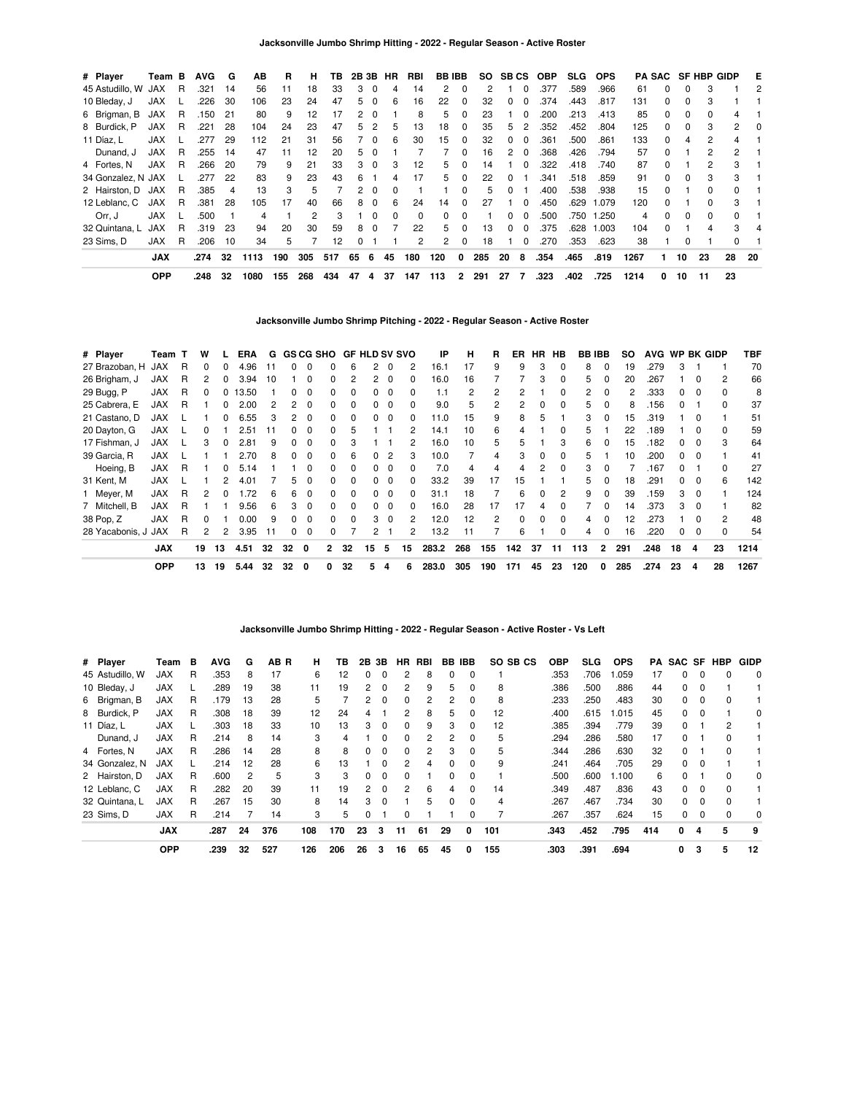| # Player           | Team B     |    | <b>AVG</b> | G  | ΑВ   | R   | н              | ΤВ  | 2B 3B |          | HR | RBI      | <b>BBIBB</b> |                |     | SO SBCS      |          | OBP  | <b>SLG</b> | <b>OPS</b> |      |              |          | PA SAC SF HBP GIDP |                | E        |
|--------------------|------------|----|------------|----|------|-----|----------------|-----|-------|----------|----|----------|--------------|----------------|-----|--------------|----------|------|------------|------------|------|--------------|----------|--------------------|----------------|----------|
| 45 Astudillo, W    | JAX        | R  | .321       | 14 | 56   | 11  | 18             | 33  | 3     | 0        | 4  | 14       | 2            | 0              | 2   |              |          | .377 | .589       | .966       | 61   | 0            | 0        | 3                  |                | 2        |
| 10 Bleday, J       | <b>JAX</b> |    | .226       | 30 | 106  | 23  | 24             | 47  | 5     | $\Omega$ | 6  | 16       | 22           | 0              | 32  | <sup>o</sup> |          | .374 | .443       | .817       | 131  | $\Omega$     | $\Omega$ |                    |                |          |
| 6 Brigman, B       | JAX        | R  | .150       | 21 | 80   | 9   | 12             | 17  |       | - 0      |    | 8        | 5            | 0              | 23  |              | $\Omega$ | .200 | .213       | .413       | 85   | 0            | 0        |                    | 4              |          |
| 8 Burdick, P       | <b>JAX</b> | R  | .221       | 28 | 104  | 24  | 23             | 47  | 5     | 2        | 5  | 13       | 18           | 0              | 35  | 5.           | 2        | .352 | .452       | .804       | 125  | $\Omega$     | 0        | 3                  | $\mathbf{2}$   | $\Omega$ |
| 11 Díaz. L         | <b>JAX</b> |    | .277       | 29 | 112  | 21  | 31             | 56  |       | 0        | 6  | 30       | 15           | 0              | 32  | 0            | $\Omega$ | .361 | .500       | .861       | 133  | $\Omega$     | 4        | 2                  | 4              |          |
| Dunand, J          | <b>JAX</b> | R  | .255       | 14 | 47   | 11  | 12             | 20  | 5     | 0        |    |          |              | 0              | 16  | 2            | $\Omega$ | .368 | .426       | .794       | 57   | <sup>0</sup> |          | 2                  | $\overline{2}$ |          |
| 4 Fortes, N        | <b>JAX</b> | R  | .266       | 20 | 79   | 9   | 21             | 33  | з     | $\Omega$ | з  | 12       | 5.           | 0              | 14  |              | $\Omega$ | .322 | .418       | .740       | 87   | <sup>0</sup> |          | 2                  | 3              |          |
| 34 Gonzalez, N JAX |            |    | .277       | 22 | 83   | 9   | 23             | 43  | հ     |          |    | 17       | 5.           | 0              | 22  | <sup>0</sup> |          | .341 | .518       | .859       | 91   | $\Omega$     | 0        |                    | 3              |          |
| 2 Hairston, D      | JAX        | R  | .385       | 4  | 13   | 3   | 5              |     | 2     | $\Omega$ | 0  |          |              | 0              | 5   | 0            |          | .400 | .538       | .938       | 15   | 0            |          | 0                  | $\Omega$       |          |
| 12 Leblanc, C      | JAX        | R. | .381       | 28 | 105  | 17  | 40             | 66  | 8     | $\Omega$ | 6  | 24       | 14           | $\Omega$       | 27  |              | $\Omega$ | .450 | .629       | 1.079      | 120  | <sup>0</sup> |          | O.                 | 3              |          |
| Orr. J             | <b>JAX</b> |    | .500       |    | 4    |     | $\overline{2}$ | 3   |       | $\Omega$ | 0  | $\Omega$ | 0            | 0              |     | <sup>o</sup> | $\Omega$ | .500 | .750       | 1.250      | 4    | <sup>0</sup> | $\Omega$ | $\Omega$           | $\Omega$       |          |
| 32 Quintana, L     | <b>JAX</b> | R  | .319       | 23 | 94   | 20  | 30             | 59  | 8     | $\Omega$ |    | 22       | 5.           | 0              | 13  | 0            | $\Omega$ | .375 | .628       | 1.003      | 104  | <sup>0</sup> |          |                    | 3              |          |
| 23 Sims. D         | <b>JAX</b> | R  | .206       | 10 | 34   | 5   |                | 12  |       |          |    | 2        | $\mathbf{2}$ | 0              | 18  |              | 0        | .270 | .353       | .623       | 38   |              | 0        |                    |                |          |
|                    | <b>JAX</b> |    | .274       | 32 | 1113 | 190 | 305            | 517 | 65    | 6        | 45 | 180      | 120          | 0              | 285 | 20           | 8        | .354 | .465       | .819       | 1267 |              | 10       | 23                 | 28             | -20      |
|                    | <b>OPP</b> |    | .248       | 32 | 1080 | 155 | 268            | 434 | 47    | 4        | 37 | 147      | 113          | $\overline{2}$ | 291 | 27           | 7        | .323 | .402       | .725       | 1214 | 0            | 10       | 11                 | 23             |          |

**Jacksonville Jumbo Shrimp Pitching - 2022 - Regular Season - Active Roster**

| # Player            | Team T     |   | w                    |    | ERA  | G   |          |          | <b>GS CG SHO</b> | <b>GF HLD SV SVO</b> |                |          |              | IP    | н   | R   | ER       |              | HR HB    |     | <b>BB IBB</b> | SO. | AVG WP BK GIDP |              |          |                | TBF  |
|---------------------|------------|---|----------------------|----|------|-----|----------|----------|------------------|----------------------|----------------|----------|--------------|-------|-----|-----|----------|--------------|----------|-----|---------------|-----|----------------|--------------|----------|----------------|------|
| 27 Brazoban. H      | JAX        | R | $\Omega$             | 0  | 4.96 | 11  |          | 0        |                  | 6                    |                | $\Omega$ | 2            | 16.1  | 17  | 9   | 9        | 3            | 0        | 8   | $\Omega$      | 19  | .279           | 3            |          |                | 70   |
| 26 Brigham, J       | <b>JAX</b> | R | 2                    | 0  | 3.94 | 10  |          | $\Omega$ |                  | 2                    | 2              | $\Omega$ | $\Omega$     | 16.0  | 16  |     |          | 3            | 0        | 5   | $\Omega$      | 20  | .267           |              | $\Omega$ | $\overline{2}$ | 66   |
| 29 Bugg, P          | <b>JAX</b> | R | $\Omega$             | 0  | 3.50 |     |          | $\Omega$ | <sup>n</sup>     |                      |                | $\Omega$ | $\Omega$     | 1.1   | 2   | 2   | 2        |              | $\Omega$ | 2   | <sup>0</sup>  | 2   | 333            | $\Omega$     | - 0      | $\Omega$       | 8    |
| 25 Cabrera, E       | <b>JAX</b> | R |                      |    | 2.00 |     |          | $\Omega$ |                  |                      |                |          | <sup>0</sup> | 9.0   | 5   | 2   | 2        | <sup>0</sup> |          | 5   | <sup>0</sup>  | 8   | .156           | <sup>n</sup> |          | $\Omega$       | 37   |
| 21 Castano, D       | <b>JAX</b> |   |                      |    | 6.55 | 3   |          | $\Omega$ |                  |                      |                |          | 0            | 11.0  | 15  | 9   | 8        | 5            |          | 3   |               | 15  | 319            |              |          |                | 51   |
| 20 Dayton, G        | <b>JAX</b> |   | 0                    |    | 2.51 | ∣1  |          | $\Omega$ |                  |                      |                |          |              | 14.1  | 10  | 6   | 4        |              |          | 5   |               | 22  | .189           |              |          | $\Omega$       | 59   |
| 17 Fishman, J       | <b>JAX</b> |   | 3                    |    | 2.81 | 9   |          | $\Omega$ |                  |                      |                |          | 2            | 16.0  | 10  | 5   | 5        |              |          | 6   | 0             | 15  | .182           |              |          | 3              | 64   |
| 39 Garcia, R        | <b>JAX</b> |   |                      |    | 2.70 | 8   |          | 0        |                  | 6                    | 0              | 2        | 3            | 10.0  |     | 4   | 3        | 0            |          | 5   |               | 10  | .200           | $\Omega$     | -0       |                | 41   |
| Hoeing, B           | <b>JAX</b> | R |                      | 0  | 5.14 |     |          | $\Omega$ |                  |                      | 0              | $\Omega$ | 0            | 7.0   | 4   | 4   | 4        | 2            | $\Omega$ | 3   | $\Omega$      |     | .167           |              |          | $\Omega$       | 27   |
| 31 Kent, M          | <b>JAX</b> |   |                      | 2  | 4.01 |     | 5.       | $\Omega$ | <sup>0</sup>     | <sup>0</sup>         | 0              | $\Omega$ | $\Omega$     | 33.2  | 39  | 17  | 15       |              |          | 5   | $\Omega$      | 18  | .291           | $^{\circ}$   | $\Omega$ | 6              | 142  |
| 1 Meyer, M          | <b>JAX</b> | R | $\mathcal{P}$        |    | 1.72 | 6   | 6        | 0        | <sup>0</sup>     | $\Omega$             | 0              | $\Omega$ | <sup>0</sup> | 31.1  | 18  |     | 6        | <sup>0</sup> | 2        | 9   | <sup>0</sup>  | 39  | .159           | 3            | $\Omega$ |                | 124  |
| 7 Mitchell, B       | <b>JAX</b> | R |                      |    | 9.56 | 6   | 3        | $\Omega$ | <sup>n</sup>     | <sup>n</sup>         | <sup>0</sup>   | $\Omega$ | <sup>0</sup> | 16.0  | 28  | 17  | 17       | 4            |          |     | <sup>n</sup>  | 14  | .373           | 3            | - 0      |                | 82   |
| 38 Pop, Z           | <b>JAX</b> | R | $\Omega$             |    | 0.00 | 9   |          | $\Omega$ | <sup>n</sup>     |                      | 3              | $\Omega$ | 2            | 12.0  | 12  | 2   | $\Omega$ | <sup>0</sup> | $\Omega$ | 4   | <sup>n</sup>  | 12  | .273           |              |          | 2              | 48   |
| 28 Yacabonis, J JAX |            | R | $\mathbf{2}^{\circ}$ | 2  | 3.95 | -11 | $\Omega$ | 0        | 0                |                      | $\overline{2}$ |          | 2            | 13.2  | 11  |     | 6        |              | $\Omega$ | 4   | $\Omega$      | 16  | .220           | <sup>0</sup> | $\Omega$ | $\Omega$       | 54   |
|                     | <b>JAX</b> |   | 19                   | 13 | 4.51 | 32  | 32       | 0        | $\mathbf{2}$     | 32                   | 15             | 5        | 15           | 283.2 | 268 | 155 | 142      | 37           | 11       | 113 | $\mathbf{2}$  | 291 | .248           | 18           | 4        | 23             | 1214 |
|                     | <b>OPP</b> |   | 13                   | 19 | 5.44 | 32  | 32       | 0        | 0                | 32                   | 5              | -4       | 6            | 283.0 | 305 | 190 | 171      | 45           | 23       | 120 | 0             | 285 | .274           | 23           | 4        | 28             | 1267 |

**Jacksonville Jumbo Shrimp Hitting - 2022 - Regular Season - Active Roster - Vs Left**

| # Player        | Team       | в | <b>AVG</b> | G  | AB R | н.  | ΤВ  | 2В             | 3В       | HR.           | RBI           | BB           | <b>IBB</b> | SO SB CS | ОВР  | <b>SLG</b> | <b>OPS</b> | PA  | SAC SF   |          | <b>HBP</b>   | <b>GIDP</b> |
|-----------------|------------|---|------------|----|------|-----|-----|----------------|----------|---------------|---------------|--------------|------------|----------|------|------------|------------|-----|----------|----------|--------------|-------------|
| 45 Astudillo, W | <b>JAX</b> | R | .353       | 8  | 17   | 6   | 12  | 0              | 0        |               | 8             | 0            | 0          |          | .353 | .706       | .059       | 17  | 0        | 0        | 0            | $\Omega$    |
| 10 Bleday, J    | <b>JAX</b> |   | .289       | 19 | 38   | 11  | 19  | $\overline{2}$ | $\Omega$ | 2             | 9             | 5            | 0          | 8        | .386 | .500       | .886       | 44  | 0        | $\Omega$ |              |             |
| 6 Brigman, B    | <b>JAX</b> | R | .179       | 13 | 28   | 5   |     | 2              | $\Omega$ | 0             | 2             | 2            |            | 8        | .233 | .250       | .483       | 30  | 0        | 0        |              |             |
| 8 Burdick, P    | <b>JAX</b> | R | .308       | 18 | 39   | 12  | 24  | 4              |          | $\mathcal{P}$ | 8             | 5            | $\Omega$   | 12       | .400 | .615       | .015       | 45  | $\Omega$ | $\Omega$ |              | $\Omega$    |
| 11 Díaz, L      | <b>JAX</b> |   | .303       | 18 | 33   | 10  | 13  | 3              | $\Omega$ | $\Omega$      | 9             | 3            | $\Omega$   | 12       | .385 | .394       | .779       | 39  | 0        |          | 2            |             |
| Dunand, J       | <b>JAX</b> | R | .214       | 8  | 14   | 3   | 4   |                | $\Omega$ | $\Omega$      | 2             | 2            | 0          | 5        | .294 | .286       | .580       | 17  | 0        |          |              |             |
| 4 Fortes, N     | <b>JAX</b> | R | .286       | 14 | 28   | 8   | 8   | $\Omega$       | $\Omega$ | $\Omega$      | $\mathcal{P}$ | 3            | $\Omega$   | 5        | .344 | .286       | .630       | 32  | 0        |          | $\Omega$     |             |
| 34 Gonzalez, N  | <b>JAX</b> |   | .214       | 12 | 28   | 6   | 13  |                | $\Omega$ |               | 4             | $\Omega$     | $\Omega$   | 9        | .241 | .464       | .705       | 29  | 0        | $\Omega$ |              |             |
| 2 Hairston, D   | <b>JAX</b> | R | .600       | 2  | 5    | 3   | 3   | 0              | $\Omega$ | 0             |               | 0            | $\Omega$   |          | .500 | .600       | 1.100      | 6   | 0        |          |              | 0           |
| 12 Leblanc, C   | <b>JAX</b> | R | .282       | 20 | 39   | 11  | 19  | $\mathbf{2}$   | $\Omega$ | $\mathcal{P}$ | 6             | 4            | $\Omega$   | 14       | .349 | .487       | .836       | 43  | 0        | $\Omega$ | $\Omega$     |             |
| 32 Quintana, L  | <b>JAX</b> | R | .267       | 15 | 30   | 8   | 14  | 3              | $\Omega$ |               | 5             | <sup>0</sup> | $\Omega$   | 4        | .267 | .467       | .734       | 30  | $\Omega$ | $\Omega$ | <sup>0</sup> |             |
| 23 Sims, D      | JAX        | R | .214       |    | 14   | 3   | 5   | 0              |          | $\Omega$      |               |              |            |          | .267 | .357       | .624       | 15  | 0        | $\Omega$ | 0            | 0           |
|                 | <b>JAX</b> |   | .287       | 24 | 376  | 108 | 170 | 23             | 3        | 11            | 61            | 29           | 0          | 101      | .343 | .452       | .795       | 414 | 0        | 4        | 5            | 9           |
|                 | <b>OPP</b> |   | .239       | 32 | 527  | 126 | 206 | 26             | 3        | 16            | 65            | 45           | 0          | 155      | .303 | .391       | .694       |     | 0        | 3        | 5            | 12          |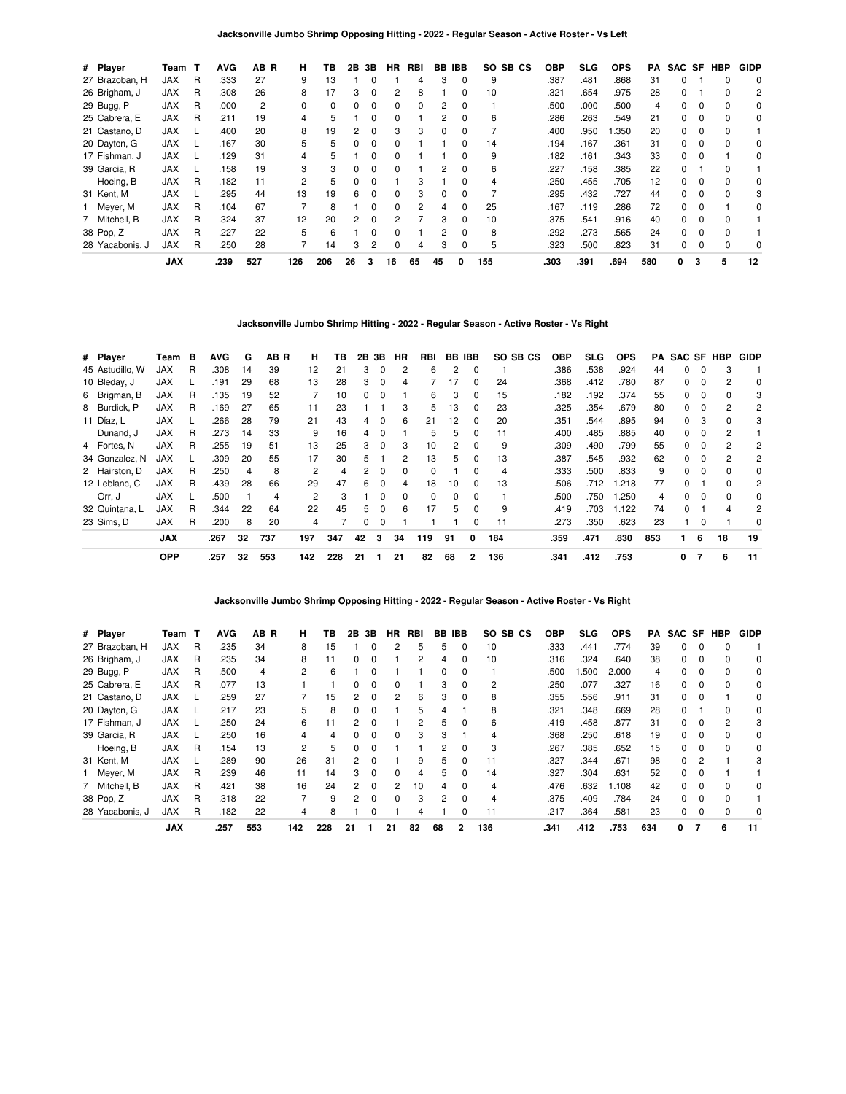| # Player        | Team T     |   | <b>AVG</b> | AB R | н   | ΤВ  | 2В | 3В | <b>HR</b>    | RBI      | BB       | <b>IBB</b>   | SO SB CS | <b>OBP</b> | SLG  | <b>OPS</b> | РA  | SAC SF |          | <b>HBP</b> | <b>GIDP</b> |
|-----------------|------------|---|------------|------|-----|-----|----|----|--------------|----------|----------|--------------|----------|------------|------|------------|-----|--------|----------|------------|-------------|
| 27 Brazoban, H  | <b>JAX</b> | R | .333       | 27   | 9   | 13  |    |    |              | 4        | З        | 0            | 9        | .387       | .481 | 868.       | 31  | 0      |          | 0          | 0           |
| 26 Brigham, J   | <b>JAX</b> | R | .308       | 26   | 8   |     | 3  | 0  |              | 8        |          |              | 10       | .321       | .654 | .975       | 28  | 0      |          |            | 2           |
| 29 Bugg, P      | <b>JAX</b> | R | .000       | 2    | 0   | 0   |    | 0  | 0            | $\Omega$ | 2        | 0            |          | .500       | .000 | .500       | 4   | 0      | 0        | $\Omega$   | 0           |
| 25 Cabrera, E   | <b>JAX</b> | R | .211       | 19   | 4   | 5   |    | 0  | <sup>0</sup> |          | 2        | <sup>0</sup> | 6        | .286       | .263 | .549       | 21  | 0      |          | $\Omega$   | 0           |
| 21 Castano, D   | <b>JAX</b> |   | .400       | 20   | 8   | 19  |    | 0  | 3            | 3        | 0        |              |          | .400       | .950 | .350       | 20  | 0      |          |            |             |
| 20 Dayton, G    | <b>JAX</b> |   | .167       | 30   | 5   | 5   | 0  | 0  | 0            |          |          |              | 14       | .194       | .167 | .361       | 31  | 0      | 0        | 0          | 0           |
| 17 Fishman, J   | <b>JAX</b> |   | .129       | 31   | 4   | 5   |    | 0  | <sup>0</sup> |          |          | 0            | 9        | .182       | .161 | .343       | 33  | 0      |          |            | $\Omega$    |
| 39 Garcia, R    | <b>JAX</b> |   | .158       | 19   | 3   | 3   |    | ŋ  | <sup>0</sup> |          | 2        |              | 6        | .227       | .158 | .385       | 22  | 0      |          |            |             |
| Hoeing, B       | <b>JAX</b> | R | .182       | 11   | 2   | 5   |    | 0  |              | З        |          |              |          | .250       | .455 | .705       | 12  | 0      |          |            | 0           |
| 31 Kent, M      | <b>JAX</b> |   | .295       | 44   | 13  | 19  | 6  | 0  | <sup>0</sup> | 3        | $\Omega$ | 0            |          | .295       | .432 | .727       | 44  | 0      | $\Omega$ | $\Omega$   | 3           |
| Meyer, M        | <b>JAX</b> | R | .104       | 67   |     | 8   |    | 0  | <sup>0</sup> | 2        | 4        | <sup>0</sup> | 25       | .167       | .119 | .286       | 72  | 0      |          |            | 0           |
| 7 Mitchell, B   | <b>JAX</b> | R | .324       | 37   | 12  | 20  | 2  | 0  |              |          | 3        |              | 10       | .375       | .541 | .916       | 40  | 0      |          |            |             |
| 38 Pop, Z       | <b>JAX</b> | R | .227       | 22   | 5   | 6   |    | 0  | <sup>0</sup> |          | 2        | 0            | 8        | .292       | .273 | .565       | 24  | 0      | - 0      | $\Omega$   |             |
| 28 Yacabonis, J | <b>JAX</b> | R | .250       | 28   |     | 14  | 3  | 2  | <sup>0</sup> | 4        | 3        | 0            | 5        | .323       | .500 | .823       | 31  | 0      |          |            | 0           |
|                 | <b>JAX</b> |   | .239       | 527  | 126 | 206 | 26 | 3  | 16           | 65       | 45       | 0            | 155      | .303       | .391 | .694       | 580 | 0      | 3        | 5          | 12          |

## **Jacksonville Jumbo Shrimp Hitting - 2022 - Regular Season - Active Roster - Vs Right**

| # Player        | Team       | в | AVG  | G  | AB R | н              | ΤВ  |    | 2B 3B    | HR           | RBI      |              | BB IBB       | SO SB CS | <b>OBP</b> | <b>SLG</b> | <b>OPS</b> |     | <b>PA SAC SF HBP</b> |          |              | <b>GIDP</b> |
|-----------------|------------|---|------|----|------|----------------|-----|----|----------|--------------|----------|--------------|--------------|----------|------------|------------|------------|-----|----------------------|----------|--------------|-------------|
| 45 Astudillo. W | <b>JAX</b> | R | .308 | 14 | 39   | 12             | 21  | 3  | $\Omega$ | 2            | 6        | 2            | $\Omega$     |          | .386       | .538       | .924       | 44  | 0                    | 0        | 3            |             |
| 10 Bleday, J    | <b>JAX</b> |   | .191 | 29 | 68   | 13             | 28  | 3  | $\Omega$ | 4            |          | 17           | $\Omega$     | 24       | .368       | .412       | .780       | 87  | 0                    | $\Omega$ | 2            | 0           |
| 6 Brigman, B    | <b>JAX</b> | R | .135 | 19 | 52   |                | 10  | 0  | 0        |              | 6        | 3            | $\Omega$     | 15       | .182       | .192       | .374       | 55  | 0                    | $\Omega$ |              | 3           |
| 8 Burdick, P    | <b>JAX</b> | R | .169 | 27 | 65   | 11             | 23  |    |          | 3            | 5        | 13           | 0            | 23       | .325       | .354       | .679       | 80  | 0                    | 0        |              | 2           |
| 11 Díaz, L      | <b>JAX</b> |   | .266 | 28 | 79   | 21             | 43  | 4  | 0        | 6            | 21       | 12           | 0            | 20       | .351       | .544       | .895       | 94  | 0                    | 3        | 0            | 3           |
| Dunand, J       | <b>JAX</b> | R | .273 | 14 | 33   | 9              | 16  | 4  | $\Omega$ |              | 5        | 5            | 0            | 11       | .400       | .485       | .885       | 40  | 0                    | $\Omega$ | 2            |             |
| 4 Fortes, N     | <b>JAX</b> | R | .255 | 19 | 51   | 13             | 25  | 3  | $\Omega$ | 3            | 10       | 2            | $\Omega$     | 9        | .309       | .490       | .799       | 55  | O.                   |          | 2            | 2           |
| 34 Gonzalez, N  | <b>JAX</b> |   | .309 | 20 | 55   | 17             | 30  | 5. |          | 2            | 13       | 5.           | 0            | 13       | .387       | .545       | .932       | 62  | O.                   |          | 2            | 2           |
| 2 Hairston, D   | <b>JAX</b> | R | .250 | 4  | 8    | 2              | 4   | 2  | $\Omega$ | 0            | 0        |              | 0            | 4        | .333       | .500       | .833       | 9   | 0                    | $\Omega$ |              | 0           |
| 12 Leblanc, C   | <b>JAX</b> | R | .439 | 28 | 66   | 29             | 47  | 6  | $\Omega$ | 4            | 18       | 10           | $\Omega$     | 13       | .506       | .712       | .218       | 77  | 0                    |          | <sup>0</sup> | 2           |
| Orr, J          | <b>JAX</b> |   | .500 |    | 4    | $\overline{c}$ | 3   |    | $\Omega$ | <sup>0</sup> | $\Omega$ | <sup>0</sup> | $\Omega$     |          | .500       | .750       | .250       | 4   | O.                   |          | 0            | 0           |
| 32 Quintana, L  | <b>JAX</b> | R | .344 | 22 | 64   | 22             | 45  | 5  | $\Omega$ | 6            | 17       | 5.           | $\Omega$     | 9        | .419       | .703       | .122       | 74  | <sup>0</sup>         |          |              | 2           |
| 23 Sims. D      | <b>JAX</b> | R | .200 | 8  | 20   | 4              |     | 0  | $\Omega$ |              |          |              | 0            | 11       | .273       | .350       | .623       | 23  |                      | 0        |              | 0           |
|                 | <b>JAX</b> |   | .267 | 32 | 737  | 197            | 347 | 42 | 3        | 34           | 119      | 91           | 0            | 184      | .359       | .471       | .830       | 853 |                      | 6        | 18           | 19          |
|                 | <b>OPP</b> |   | .257 | 32 | 553  | 142            | 228 | 21 |          | 21           | 82       | 68           | $\mathbf{2}$ | 136      | .341       | .412       | .753       |     | 0                    | 7        | 6            | 11          |

**Jacksonville Jumbo Shrimp Opposing Hitting - 2022 - Regular Season - Active Roster - Vs Right**

| # Player        | Team       | т | <b>AVG</b> | AB R | н   | ΤВ  | 2Β            | 3В       | ΗR           | RBI | BB | IBB            |     | SO SB CS | <b>OBP</b> | SLG  | <b>OPS</b> | PA  | SAC SF |              | HBP | <b>GIDP</b> |
|-----------------|------------|---|------------|------|-----|-----|---------------|----------|--------------|-----|----|----------------|-----|----------|------------|------|------------|-----|--------|--------------|-----|-------------|
| 27 Brazoban, H  | JAX        | R | .235       | 34   | 8   | 15  |               | 0        | 2            | 5   | 5  | 0              | 10  |          | .333       | .441 | .774       | 39  | 0      |              |     |             |
| 26 Brigham, J   | <b>JAX</b> | R | .235       | 34   | 8   | 11  | 0             | 0        |              | 2   | 4  | 0              | 10  |          | .316       | .324 | .640       | 38  | 0      |              |     | 0           |
| 29 Bugg, P      | <b>JAX</b> | R | .500       | 4    | 2   | 6   |               | n        |              |     | 0  | $\Omega$       |     |          | .500       | .500 | 2.000      | 4   | 0      |              |     | 0           |
| 25 Cabrera, E   | <b>JAX</b> | R | .077       | 13   |     |     |               | 0        |              |     | з  | 0              | 2   |          | .250       | .077 | .327       | 16  | 0      |              |     | 0           |
| 21 Castano, D   | <b>JAX</b> |   | .259       | 27   |     | 15  | 2             | 0        |              | 6   | 3  | 0              | 8   |          | .355       | .556 | .911       | 31  | 0      |              |     | 0           |
| 20 Dayton, G    | <b>JAX</b> |   | .217       | 23   | 5   | 8   | 0             | 0        |              | 5   | 4  |                | 8   |          | .321       | .348 | .669       | 28  | 0      |              | U   | 0           |
| 17 Fishman, J   | <b>JAX</b> |   | .250       | 24   | 6   |     |               |          |              | 2   | 5  | $\Omega$       | 6   |          | .419       | .458 | .877       | 31  | O.     |              | 2   | 3           |
| 39 Garcia, R    | <b>JAX</b> |   | .250       | 16   | 4   | 4   |               | 0        | 0            | 3   |    |                |     |          | .368       | .250 | .618       | 19  | 0      |              |     | 0           |
| Hoeing, B       | <b>JAX</b> | R | .154       | 13   | 2   | 5   | 0             | 0        |              |     | 2  | 0              | 3   |          | .267       | .385 | .652       | 15  | 0      |              |     | 0           |
| 31 Kent, M      | <b>JAX</b> |   | .289       | 90   | 26  | 31  | $\mathcal{P}$ | ŋ        |              | 9   | 5  | <sup>0</sup>   | 11  |          | .327       | .344 | .671       | 98  | 0      | 2            |     |             |
| Meyer, M        | <b>JAX</b> | R | .239       | 46   | 11  | 14  | 3             | 0        |              | 4   | 5  |                | 14  |          | .327       | .304 | .631       | 52  | 0      |              |     |             |
| 7 Mitchell, B   | <b>JAX</b> | R | .421       | 38   | 16  | 24  | 2             | 0        | 2            | 10  | 4  | 0              | 4   |          | .476       | .632 | 1.108      | 42  | 0      |              |     | 0           |
| 38 Pop, Z       | <b>JAX</b> | R | .318       | 22   |     | 9   | 2             | $\Omega$ | <sup>0</sup> | 3   | 2  | $\Omega$       | 4   |          | .375       | .409 | .784       | 24  | 0      | <sup>0</sup> |     |             |
| 28 Yacabonis, J | <b>JAX</b> | R | .182       | 22   | 4   | 8   |               | 0        |              |     |    |                |     |          | .217       | .364 | .581       | 23  | 0      |              |     | 0           |
|                 | <b>JAX</b> |   | .257       | 553  | 142 | 228 | 21            |          | 21           | 82  | 68 | $\overline{2}$ | 136 |          | .341       | .412 | .753       | 634 | 0      |              | 6   | 11          |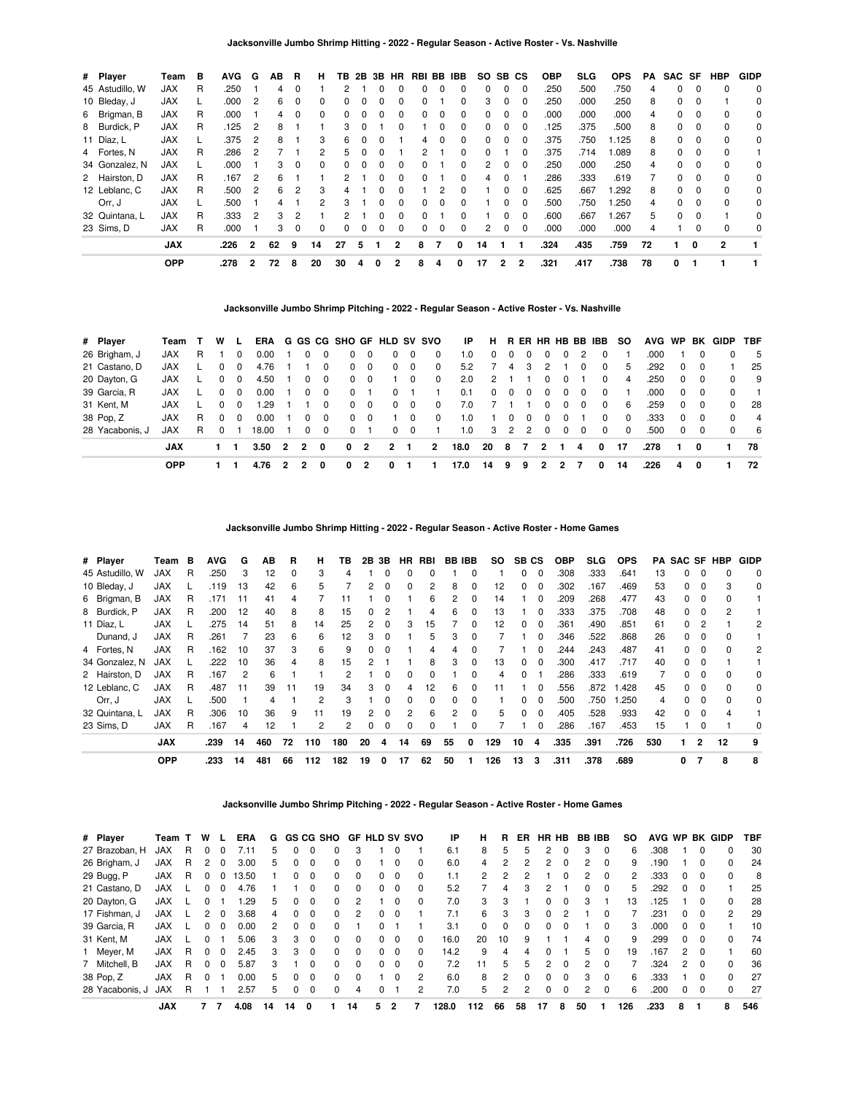| # Player        | Team       | в  | <b>AVG</b> | G              | ΑВ | R             | н            | TВ | 2B | 3В | HR           | RBI BB       |   | IBB          | SO. |              | SB CS    | <b>OBP</b> | <b>SLG</b> | <b>OPS</b> | PA | SAC SF |          | <b>HBP</b> | <b>GIDP</b> |
|-----------------|------------|----|------------|----------------|----|---------------|--------------|----|----|----|--------------|--------------|---|--------------|-----|--------------|----------|------------|------------|------------|----|--------|----------|------------|-------------|
| 45 Astudillo, W | <b>JAX</b> | R  | .250       |                | 4  | 0             |              |    |    |    |              | o            | 0 |              | 0   | 0            | 0        | .250       | .500       | .750       | 4  | 0      |          | $\Omega$   | 0           |
| 10 Bleday, J    | JAX        |    | .000       | 2              | 6  | 0             | $\Omega$     | 0  | 0  |    | 0            | 0            |   | <sup>0</sup> | 3   | 0            | $\Omega$ | .250       | .000       | .250       | 8  | 0      | $\Omega$ |            | 0           |
| 6 Brigman, B    | JAX        | R. | .000       |                | 4  | $\Omega$      | <sup>0</sup> | O. | O. |    | ŋ            | 0            | ŋ | <sup>0</sup> | 0   | <sup>0</sup> | $\Omega$ | .000       | .000       | .000       | 4  | 0      | $\Omega$ | $\Omega$   | 0           |
| 8 Burdick, P    | JAX        | R  | .125       | 2              | 8  |               |              | 3  | 0  |    |              |              | 0 | $\Omega$     | 0   | 0            | $\Omega$ | .125       | .375       | .500       | 8  | 0      | $\Omega$ | 0          | 0           |
| 11 Díaz, L      | <b>JAX</b> |    | .375       | 2              | 8  |               | 3            | 6  | 0  |    |              | 4            | 0 | $\Omega$     | 0   | 0            | $\Omega$ | .375       | .750       | 1.125      | 8  | 0      | $\Omega$ | $\Omega$   | 0           |
| 4 Fortes, N     | JAX        | R  | .286       | 2              |    |               |              | 5. | 0  |    |              | 2            |   |              | 0   |              | $\Omega$ | .375       | .714       | .089       | 8  | 0      | $\Omega$ | $\Omega$   |             |
| 34 Gonzalez, N  | <b>JAX</b> |    | .000       |                | 3  | 0             | 0            | O. | 0  |    | 0            | 0            |   |              | 2   | 0            | $\Omega$ | .250       | .000       | .250       | 4  | 0      | $\Omega$ | $\Omega$   | 0           |
| 2 Hairston, D   | JAX        | R  | .167       | 2              | 6  |               |              | 2  |    |    | 0            | <sup>0</sup> |   | 0            | 4   | 0            |          | .286       | .333       | .619       |    | 0      | $\Omega$ | $\Omega$   | 0           |
| 12 Leblanc, C   | <b>JAX</b> | R  | .500       | 2              | 6. | 2             | з            |    |    |    |              |              |   |              |     | <sup>0</sup> | $\Omega$ | .625       | .667       | .292       | 8  | 0      | $\Omega$ | $\Omega$   | 0           |
| Orr, J          | <b>JAX</b> |    | .500       |                |    |               |              | 3  |    |    | 0            | 0            | 0 |              |     | 0            | 0        | .500       | .750       | 1.250      | 4  | 0      | $\Omega$ | $\Omega$   | 0           |
| 32 Quintana, L  | JAX        | R  | .333       | 2              | 3  | $\mathcal{P}$ |              | 2  |    |    | <sup>0</sup> | <sup>0</sup> |   | <sup>n</sup> |     | <sup>0</sup> | $\Omega$ | .600       | .667       | 1.267      | 5  | 0      | $\Omega$ |            | $\Omega$    |
| 23 Sims, D      | <b>JAX</b> | R  | .000       |                |    | $\Omega$      | 0            | 0  | 0  |    | 0            | ŋ            | 0 |              | 2   | 0            |          | .000       | .000       | .000       | 4  |        |          | $\Omega$   | 0           |
|                 | <b>JAX</b> |    | .226       | $\overline{2}$ | 62 | 9             | 14           | 27 | 5  |    | 2            | 8            |   | 0            | 14  |              |          | .324       | .435       | .759       | 72 |        | 0        | 2          |             |
|                 | <b>OPP</b> |    | .278       | 2              | 72 | 8             | 20           | 30 | 4  | 0  | 2            | 8            | 4 | 0            | 17  | 2            | 2        | .321       | .417       | .738       | 78 | 0      |          |            |             |

## **Jacksonville Jumbo Shrimp Pitching - 2022 - Regular Season - Active Roster - Vs. Nashville**

| # Player        | Team       |    | w            | <b>L</b> | ERA   |                |                |          | G GS CG SHO GF HLD SV SVO |                |                |             |                | IP   | н.       |          |    |          |   |          | R ER HR HB BB IBB | SO.      | AVG WP |            |            | BK GIDP  | <b>TBF</b>     |
|-----------------|------------|----|--------------|----------|-------|----------------|----------------|----------|---------------------------|----------------|----------------|-------------|----------------|------|----------|----------|----|----------|---|----------|-------------------|----------|--------|------------|------------|----------|----------------|
| 26 Brigham, J   | <b>JAX</b> | R. |              | 0        | 0.00  |                | 0              | - 0      | 0                         | 0              |                | 0           | 0              | 1.0  |          | 0        | 0  |          | 0 |          | 0                 |          | .000   |            |            | 0        | - 5            |
| 21 Castano, D   | JAX        |    | <sup>0</sup> | $\Omega$ | 4.76  |                |                | $\Omega$ | 0                         | $\Omega$       | $\Omega$       | $\Omega$    | $\Omega$       | 5.2  |          | 4        | 3  | 2        |   | 0        | $\Omega$          | 5        | .292   | $\Omega$   | $\Omega$   |          | 25             |
| 20 Dayton, G    | JAX        |    | $\Omega$     | $\Omega$ | 4.50  |                | 0              | 0        | $\Omega$                  | 0              |                | $\mathbf 0$ | 0              | 2.0  | 2        |          |    | 0        | 0 |          | $\Omega$          | 4        | .250   | $\Omega$   | $\Omega$   | $\Omega$ | - 9            |
| 39 Garcia, R    | JAX        |    | $\Omega$     | $\Omega$ | 0.00  |                | $\Omega$       | $\Omega$ | $\Omega$                  |                | 0              |             |                | 0.1  | $\Omega$ | $\Omega$ | 0  | 0        | 0 | 0        | $\Omega$          |          | .000   |            | $0\quad 0$ | $\Omega$ |                |
| 31 Kent, M      | <b>JAX</b> |    | 0            | $\Omega$ | .29   |                |                | $\Omega$ | 0                         | $\Omega$       | $\Omega$       | $\Omega$    | $\Omega$       | 7.0  |          |          |    | 0        | 0 | $\Omega$ | $\Omega$          | -6       | 259    | $^{\circ}$ | $\Omega$   | $\Omega$ | 28             |
| 38 Pop, Z       | JAX        | R. | $\Omega$     | $\Omega$ | 0.00  |                | 0              | 0        | $\Omega$                  | $\Omega$       |                | $\Omega$    | $\Omega$       | 1.0  |          | 0        | 0  | 0        | 0 |          | $\Omega$          | $\Omega$ | .333   | $\Omega$   | $\Omega$   | $\Omega$ | $\overline{4}$ |
| 28 Yacabonis. J | JAX        | R. | $\Omega$     |          | 18.00 |                | $\Omega$       | $\Omega$ | $\Omega$                  |                | $\Omega$       | $\Omega$    |                | 1.0  | 3        | 2        | 2  | $\Omega$ | 0 | 0        | $\Omega$          | $\Omega$ | .500   | $\Omega$   | $\Omega$   | $\Omega$ | - 6            |
|                 | <b>JAX</b> |    |              |          | 3.50  | $\overline{2}$ | $\overline{2}$ | $\Omega$ | $\mathbf{0}$              | $\overline{2}$ | $\overline{2}$ |             | $\overline{2}$ | 18.0 | 20       | -8       | -7 | 2        |   | 4        | 0                 | 17       | .278   |            | 0          |          | 78             |
|                 | <b>OPP</b> |    |              |          | 4.76  |                |                |          | 0                         | 2              | 0              |             |                | 17.0 | 14       | 9        | 9  |          |   |          | 0                 | 14       | .226   | 4          | 0          |          | 72             |

**Jacksonville Jumbo Shrimp Hitting - 2022 - Regular Season - Active Roster - Home Games**

| # Player        | Team       | в | <b>AVG</b> | G  | ΑВ  | R            | н   | ΤВ  | 2В           | 3Β           | HR. | RBI |    | <b>BB IBB</b> | SO. | SB CS        |          | <b>OBP</b> | <b>SLG</b> | <b>OPS</b> |     |   |                | <b>PA SAC SF HBP</b> | <b>GIDP</b> |
|-----------------|------------|---|------------|----|-----|--------------|-----|-----|--------------|--------------|-----|-----|----|---------------|-----|--------------|----------|------------|------------|------------|-----|---|----------------|----------------------|-------------|
| 45 Astudillo, W | <b>JAX</b> | R | .250       | 3  | 12  | <sup>0</sup> | 3   | 4   |              |              | ŋ   |     |    | O             |     | 0            | 0        | .308       | .333       | .641       | 13  |   |                |                      | $\mathbf 0$ |
| 10 Bleday, J    | JAX        |   | .119       | 13 | 42  | 6            | 5   |     |              |              | 0   | 2   | 8  | 0             | 12  | 0            |          | .302       | .167       | .469       | 53  |   |                |                      | 0           |
| 6 Brigman, B    | <b>JAX</b> | R | .171       | 11 | 41  | 4            |     |     |              |              |     | 6   | 2  | 0             | 14  |              | 0        | .209       | .268       | .477       | 43  | 0 | 0              |                      |             |
| 8 Burdick, P    | <b>JAX</b> | R | .200       | 12 | 40  | 8            | 8   | 15  | <sup>0</sup> | 2            |     | 4   | 6  | 0             | 13  |              | $\Omega$ | .333       | .375       | .708       | 48  | 0 | $\Omega$       | 2                    |             |
| 11 Díaz, L      | <b>JAX</b> |   | .275       | 14 | 51  | 8            | 14  | 25  | 2            | $\Omega$     | 3   | 15  |    | 0             | 12  | 0            | $\Omega$ | .361       | .490       | .851       | 61  | 0 | 2              |                      | 2           |
| Dunand, J       | <b>JAX</b> | R | .261       |    | 23  | 6            | 6   | 12  | 3            |              |     | 5   | 3  | 0             |     |              | 0        | .346       | .522       | .868       | 26  | 0 |                |                      |             |
| 4 Fortes, N     | <b>JAX</b> | R | .162       | 10 | 37  | 3            | 6   | 9   |              | 0            |     |     |    |               |     |              | 0        | 244.       | .243       | .487       | 41  | 0 |                |                      | 2           |
| 34 Gonzalez, N  | <b>JAX</b> |   | .222       | 10 | 36  | 4            | 8   | 15  |              |              |     | 8   | 3  | 0             | 13  | 0            | $\Omega$ | .300       | .417       | .717       | 40  | 0 | $\Omega$       |                      |             |
| 2 Hairston, D   | <b>JAX</b> | R | .167       | 2  | 6   |              |     | 2   |              | <sup>0</sup> | 0   | 0   |    | <sup>0</sup>  | 4   | <sup>0</sup> |          | .286       | .333       | .619       | 7   | 0 |                |                      | $\Omega$    |
| 12 Leblanc, C   | <b>JAX</b> | R | .487       | 11 | 39  | 11           | 19  | 34  | з            | 0            | 4   | 12  | 6  | 0             | 11  |              | $\Omega$ | .556       | .872       | .428       | 45  |   |                |                      | 0           |
| Orr, J          | <b>JAX</b> |   | .500       |    |     |              | 2   | з   |              |              | 0   | 0   |    | O             |     | ŋ            | $\Omega$ | .500       | .750       | 250. ا     | 4   |   |                |                      | 0           |
| 32 Quintana, L  | <b>JAX</b> | R | .306       | 10 | 36  | 9            | 11  | 19  | 2            | $\Omega$     | 2   | 6   | 2  | $\Omega$      | 5   | 0            | $\Omega$ | .405       | .528       | .933       | 42  | 0 | 0              |                      |             |
| 23 Sims, D      | <b>JAX</b> | R | .167       | 4  | 12  |              | 2   | 2   | 0            | 0            | 0   | 0   |    | 0             |     |              | $\Omega$ | .286       | .167       | .453       | 15  |   | $\Omega$       |                      | $\Omega$    |
|                 | <b>JAX</b> |   | .239       | 14 | 460 | 72           | 110 | 180 | 20           | 4            | 14  | 69  | 55 | 0             | 129 | 10           | 4        | .335       | .391       | .726       | 530 |   | $\overline{2}$ | 12                   | 9           |
|                 | <b>OPP</b> |   | .233       | 14 | 481 | 66           | 112 | 182 | 19           | 0            | 17  | 62  | 50 |               | 126 | 13           | 3        | .311       | .378       | .689       |     | 0 |                | 8                    | 8           |

**Jacksonville Jumbo Shrimp Pitching - 2022 - Regular Season - Active Roster - Home Games**

| # Player        | Team T     |   | w        |              | <b>ERA</b> | G  |    |          | GS CG SHO |              | <b>GF HLD SV SVO</b> |          |          | ΙP    | н   | R        | ER.           | HR HB          |              | BB IBB |          | so  | AVG WP |               |          | <b>BK GIDP</b> | TBF |
|-----------------|------------|---|----------|--------------|------------|----|----|----------|-----------|--------------|----------------------|----------|----------|-------|-----|----------|---------------|----------------|--------------|--------|----------|-----|--------|---------------|----------|----------------|-----|
| 27 Brazoban, H  | <b>JAX</b> | R | $\Omega$ |              | 7.11       | 5  | 0  |          |           |              |                      |          |          | 6.1   | 8   | 5        | 5             | 2              |              | 3      | $\Omega$ | 6   | .308   |               | 0        | 0              | 30  |
| 26 Brigham, J   | JAX        | R | 2        | 0            | 3.00       | 5  | 0  | $\Omega$ | 0         | 0            |                      | $\Omega$ | 0        | 6.0   | 4   | 2        | 2             | $\overline{2}$ | $\Omega$     | 2      | $\Omega$ | 9   | .190   |               | 0        | $\Omega$       | 24  |
| 29 Bugg, P      | JAX        | R |          |              | 13.50      |    | 0  | $\Omega$ | 0         | <sup>0</sup> |                      | 0        | 0        | 1.1   | 2   |          |               |                |              | 2      | $\Omega$ | 2   | .333   | 0             | 0        | 0              | 8   |
| 21 Castano, D   | JAX        |   | 0        | <sup>0</sup> | 4.76       |    |    |          | 0         | 0            | 0                    | $\Omega$ | 0        | 5.2   |     | 4        |               | 2              |              | 0      | $\Omega$ | 5   | 292    | 0             | 0        |                | 25  |
| 20 Dayton, G    | JAX        |   | 0        |              | .29        | 5  | 0  | $\Omega$ | 0         |              |                      | $\Omega$ | 0        | 7.0   | 3   | 3        |               | 0              | 0            | 3      |          | 13  | .125   |               | 0        | 0              | 28  |
| 17 Fishman, J   | <b>JAX</b> |   |          | 0            | 3.68       | 4  | 0  | $\Omega$ | 0         | 2            | 0                    | $\Omega$ |          | 7.1   | 6   | 3        | 3             | $\Omega$       | 2            |        | $\Omega$ |     | 231    | 0             | 0        | $\mathcal{P}$  | 29  |
| 39 Garcia, R    | <b>JAX</b> |   | 0        | 0            | 0.00       | 2  | 0  | $\Omega$ | $\Omega$  |              | 0                    |          |          | 3.1   | 0   | $\Omega$ | $\Omega$      | $\Omega$       | $\Omega$     |        | $\Omega$ | 3   | .000   | 0             | 0        |                | 10  |
| 31 Kent, M      | JAX        |   | 0        |              | 5.06       | 3  | 3  | $\Omega$ | 0         | <sup>0</sup> | 0                    | $\Omega$ | 0        | 16.0  | 20  | 10       | 9             |                |              | 4      |          | 9   | 299    | 0             | 0        | 0              | 74  |
| Meyer, M        | JAX        | R | $\Omega$ | $\Omega$     | 2.45       | 3  | 3  | $\Omega$ | 0         | $\Omega$     | 0                    | $\Omega$ | $\Omega$ | 14.2  | 9   | 4        | 4             | 0              |              | 5      | $\Omega$ | 19  | .167   | $\mathcal{P}$ | $\Omega$ |                | 60  |
| 7 Mitchell, B   | JAX        | R | $\Omega$ | $\Omega$     | 5.87       | 3  |    | $\Omega$ | 0         | 0            | 0                    | $\Omega$ | 0        | 7.2   | 11  | 5        | 5             | $\mathcal{P}$  | $\Omega$     | 2      | $\Omega$ |     | .324   | 2             | $\Omega$ | 0              | 36  |
| 38 Pop, Z       | <b>JAX</b> | R | $\Omega$ |              | 0.00       | 5  | 0  | $\Omega$ | $\Omega$  | $\Omega$     |                      | $\Omega$ | 2        | 6.0   | 8   | 2        | $\Omega$      | $\Omega$       | $\Omega$     | 3      | $\Omega$ | 6   | .333   |               | $\Omega$ | $\Omega$       | 27  |
| 28 Yacabonis, J | <b>JAX</b> | R |          |              | 2.57       | 5  | 0  | $\Omega$ | $\Omega$  | 4            |                      |          | 2        | 7.0   | 5   | 2        | $\mathcal{P}$ | 0              | <sup>0</sup> | 2      | $\Omega$ | 6   | .200   | 0             | $\Omega$ | $\Omega$       | 27  |
|                 | <b>JAX</b> |   |          |              | 4.08       | 14 | 14 | 0        |           | 14           | 5                    | 2        |          | 128.0 | 112 | 66       | 58            | 17             | 8            | 50     |          | 126 | .233   | 8             |          | 8              | 546 |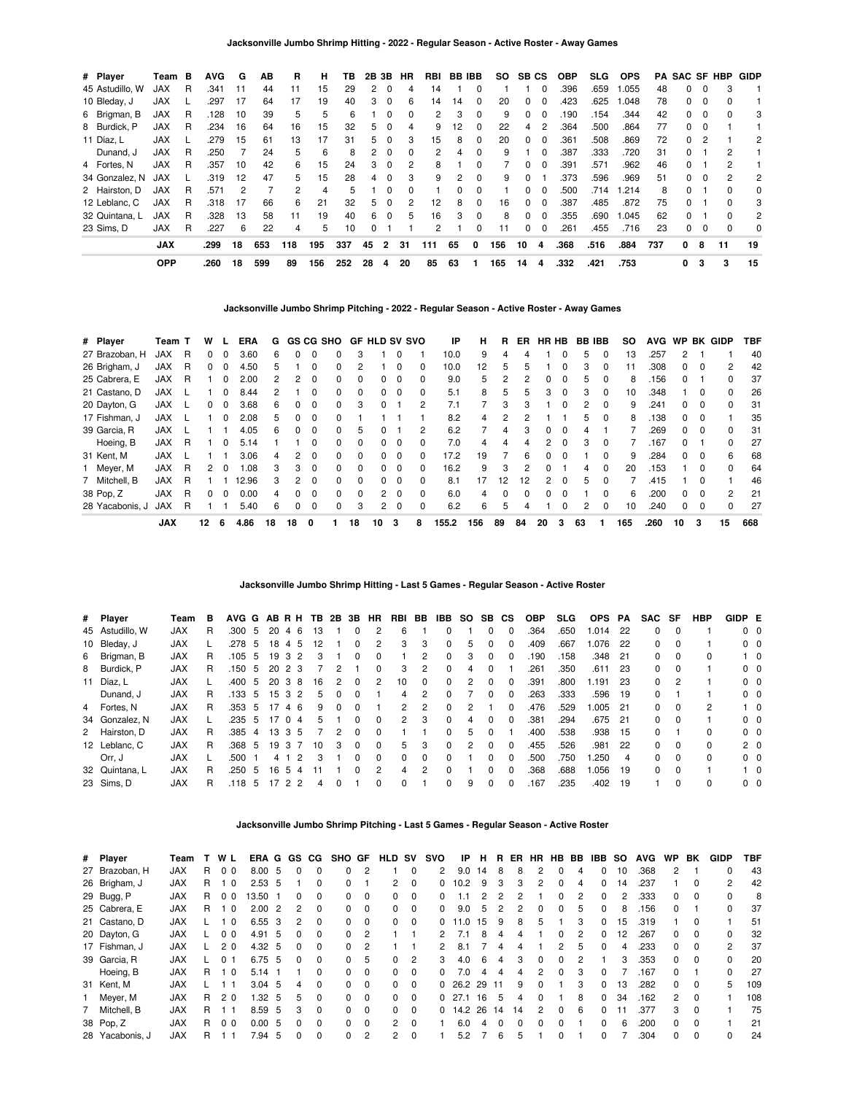| # Player        | Team       | в | <b>AVG</b> | G  | ΑВ  | R   | н   | тв  | 2B | 3В             | HR       | RBI | BB. | IBB.     | <b>SO</b> | SВ           | <b>CS</b>    | <b>OBP</b> | SLG. | <b>OPS</b> | PA  | SAC SF       |          | HBP          | <b>GIDP</b>    |
|-----------------|------------|---|------------|----|-----|-----|-----|-----|----|----------------|----------|-----|-----|----------|-----------|--------------|--------------|------------|------|------------|-----|--------------|----------|--------------|----------------|
| 45 Astudillo, W | <b>JAX</b> | R | .341       | 11 | 44  | 11  | 15  | 29  | 2  | 0              | 4        | 14  |     | 0        |           |              | 0            | .396       | .659 | 1.055      | 48  | 0            | $\Omega$ | 3            |                |
| 10 Bleday, J    | <b>JAX</b> |   | .297       | 17 | 64  | 17  | 19  | 40  | 3  | $\Omega$       | 6        | 14  | 14  | $\Omega$ | 20        | 0            | $\Omega$     | .423       | .625 | 1.048      | 78  | 0            | $\Omega$ | o            |                |
| 6 Brigman, B    | <b>JAX</b> | R | .128       | 10 | 39  | 5   | 5   | 6   |    | $\Omega$       | 0        | 2   | 3   | 0        | 9         | 0            | $\Omega$     | .190       | .154 | .344       | 42  | 0            | $\Omega$ | ŋ            | 3              |
| 8 Burdick, P    | <b>JAX</b> | R | .234       | 16 | 64  | 16  | 15  | 32  | 5. | 0              | 4        | 9   | 12  | 0        | 22        | 4            | 2            | .364       | .500 | .864       | 77  | 0            | 0        |              |                |
| 11 Díaz. L      | <b>JAX</b> |   | .279       | 15 | 61  | 13  | 17  | 31  | 5. | $\Omega$       | 3        | 15  | 8   | $\Omega$ | 20        | <sup>0</sup> | $\Omega$     | .361       | .508 | .869       | 72  | $\Omega$     |          |              | 2              |
| Dunand, J       | <b>JAX</b> | R | .250       |    | 24  | 5   | 6   | 8   | 2  | $\Omega$       | 0        | 2   | 4   | 0        | 9         |              | <sup>0</sup> | .387       | .333 | .720       | 31  | 0            |          | 2            |                |
| 4 Fortes, N     | <b>JAX</b> | R | .357       | 10 | 42  | 6   | 15  | 24  | 3  | 0              | 2        | 8   |     | 0        |           |              | $\Omega$     | .391       | .571 | .962       | 46  | 0            |          |              |                |
| 34 Gonzalez, N  | <b>JAX</b> |   | .319       | 12 | 47  | 5   | 15  | 28  | 4  | $\Omega$       | 3        | 9   | 2   | $\Omega$ | 9         | <sup>0</sup> |              | .373       | .596 | .969       | 51  | 0            | $\Omega$ | 2            | 2              |
| 2 Hairston, D   | <b>JAX</b> | R | .571       | 2  | 7   | 2   | 4   | 5   |    | $\Omega$       | $\Omega$ |     |     | 0        |           | n.           | $\Omega$     | .500       | .714 | 1.214      | 8   | 0            |          | 0            | 0              |
| 12 Leblanc, C   | <b>JAX</b> | R | .318       | 17 | 66  | 6   | 21  | 32  | 5. | 0              | 2        | 12  | 8   | $\Omega$ | 16        | 0            | 0            | .387       | .485 | .872       | 75  | 0            |          | o            | 3              |
| 32 Quintana. L  | <b>JAX</b> | R | .328       | 13 | 58  | 11  | 19  | 40  | 6  | $\Omega$       | 5        | 16  | з   | $\Omega$ | 8         | <sup>0</sup> | $\Omega$     | .355       | .690 | 1.045      | 62  | <sup>0</sup> |          | <sup>0</sup> | $\overline{c}$ |
| 23 Sims. D      | <b>JAX</b> | R | .227       | 6  | 22  | 4   | 5   | 10  | 0  |                |          | 2   |     | 0        | 11        | 0            | 0            | .261       | .455 | .716       | 23  | 0            | $\Omega$ | 0            | 0              |
|                 | <b>JAX</b> |   | .299       | 18 | 653 | 118 | 195 | 337 | 45 | $\overline{2}$ | 31       | 111 | 65  | 0        | 156       | 10           | 4            | .368       | .516 | .884       | 737 | 0            | 8        | 11           | 19             |
|                 | <b>OPP</b> |   | .260       | 18 | 599 | 89  | 156 | 252 | 28 | 4              | 20       | 85  | 63  |          | 165       | 14           | 4            | .332       | .421 | .753       |     | 0            | 3        | 3            | 15             |

**Jacksonville Jumbo Shrimp Pitching - 2022 - Regular Season - Active Roster - Away Games**

| # Player        | Team T     |   | w  |          | ERA   | G  |               |              | <b>GS CG SHO</b> | GF       | <b>HLD SV SVO</b> |             |              | ΙP    | н   | R            | ER.          | HR HB          |              | BB. | <b>IBB</b>   | so  | <b>AVG</b> | <b>WP</b>     |              | <b>BK GIDP</b> | TBF |
|-----------------|------------|---|----|----------|-------|----|---------------|--------------|------------------|----------|-------------------|-------------|--------------|-------|-----|--------------|--------------|----------------|--------------|-----|--------------|-----|------------|---------------|--------------|----------------|-----|
| 27 Brazoban, H  | <b>JAX</b> | R | 0  | 0        | 3.60  | 6  | 0             | 0            | 0                | 3        |                   |             |              | 10.0  | 9   | 4            |              |                | 0            | 5   | $\Omega$     | 13  | .257       | $\mathcal{P}$ |              |                | 40  |
| 26 Brigham, J   | JAX        | R | 0  | $\Omega$ | 4.50  | 5  |               | 0            | $\Omega$         | 2        |                   |             | 0            | 10.0  | 12  | 5            | 5            |                | 0            | 3   | 0            | 11  | .308       | 0             | 0            | 2              | 42  |
| 25 Cabrera, E   | <b>JAX</b> | R |    | $\Omega$ | 2.00  |    | 2             | 0            | 0                | 0        | 0                 | 0           |              | 9.0   | 5   |              |              | 0              | 0            | 'n. | 0            | 8   | .156       | 0             |              | 0              | 37  |
| 21 Castano, D   | JAX        |   |    | $\Omega$ | 8.44  | 2  |               | 0            | $\Omega$         | $\Omega$ | 0                 | $\Omega$    | 0            | 5.1   | 8   | 5            | 5            | 3              | $\Omega$     | 3   | $\Omega$     | 10  | .348       |               | 0            | $\Omega$       | 26  |
| 20 Dayton, G    | JAX        |   | 0  | $\Omega$ | 3.68  | 6  | <sup>0</sup>  | <sup>0</sup> | $\Omega$         | 3        | <sup>0</sup>      |             |              | 7.1   |     | 3            |              |                | ŋ            |     | $\Omega$     | 9   | .241       | 0             | <sup>0</sup> | $\Omega$       | 31  |
| 17 Fishman, J   | JAX        |   |    | $\Omega$ | 2.08  | 5  | 0             | 0            | 0                |          |                   |             |              | 8.2   | 4   |              |              |                |              | 5   | $\Omega$     | 8   | .138       | 0             | $\Omega$     |                | 35  |
| 39 Garcia, R    | <b>JAX</b> |   |    |          | 4.05  | 6  | $\Omega$      | 0            | $\Omega$         | 5        | 0                 |             | 2            | 6.2   | 7   | 4            | 3            | $\Omega$       | $\Omega$     | 4   |              |     | .269       | 0             | 0            | $\Omega$       | 31  |
| Hoeing, B       | <b>JAX</b> | R |    | 0        | 5.14  |    |               | 0            | $\Omega$         | $\Omega$ | 0                 | $\Omega$    |              | 7.0   | 4   | 4            |              | $\overline{2}$ | 0            | з   | $\Omega$     |     | 167        | 0             |              | 0              | 27  |
| 31 Kent, M      | JAX        |   |    |          | 3.06  | 4  | $\mathcal{P}$ | 0            | $\Omega$         | 0        | <sup>0</sup>      | $\Omega$    | <sup>0</sup> | 17.2  | 19  |              | 6            | $\Omega$       | <sup>0</sup> |     | $\Omega$     | 9   | .284       | $\Omega$      | $\Omega$     | 6              | 68  |
| Meyer, M        | <b>JAX</b> | R | 2  | $\Omega$ | 1.08  | 3  | 3             | <sup>0</sup> | 0                | 0        | 0                 | $\Omega$    |              | 16.2  | 9   | 3            |              | 0              |              | 4   | <sup>0</sup> | 20  | .153       |               | <sup>0</sup> | $\Omega$       | 64  |
| 7 Mitchell, B   | <b>JAX</b> | R |    |          | 12.96 | 3  | 2             | 0            | $\Omega$         | $\Omega$ | 0                 | $\Omega$    | 0            | 8.1   | 17  | 12           | 12           | 2              | $\Omega$     | 5   | $\Omega$     |     | .415       |               | 0            |                | 46  |
| 38 Pop, Z       | <b>JAX</b> | R | 0  | $\Omega$ | 0.00  | 4  | 0             | 0            | $\Omega$         | $\Omega$ |                   | $2 \quad 0$ | $\Omega$     | 6.0   | 4   | <sup>0</sup> | <sup>0</sup> | 0              | 0            |     | $\Omega$     | 6   | 200        | 0             | 0            | $\mathcal{P}$  | 21  |
| 28 Yacabonis, J | <b>JAX</b> | R |    |          | 5.40  | 6  | 0             | 0            | 0                | 3        | $\overline{2}$    | - 0         |              | 6.2   | 6   | 5            |              |                | 0            | 2   | $\Omega$     | 10  | .240       | 0             | 0            | 0              | 27  |
|                 | <b>JAX</b> |   | 12 | 6        | 4.86  | 18 | 18            | 0            |                  | 18       | 10                | 3           | 8            | 155.2 | 156 | 89           | 84           | 20             | 3            | 63  |              | 165 | .260       | 10            | 3            | 15             | 668 |

# **Jacksonville Jumbo Shrimp Hitting - Last 5 Games - Regular Season - Active Roster**

| # Player        | Team       | в  |      |                |    |                | AVG G AB R H TB     | 2B       | 3B           | HR            | RBI          | BB            | IBB      | so | SB       | <b>CS</b>    | <b>OBP</b> | SLG. | <b>OPS</b> | PA   | SAC SF   |          | <b>HBP</b> | GIDP E         |            |
|-----------------|------------|----|------|----------------|----|----------------|---------------------|----------|--------------|---------------|--------------|---------------|----------|----|----------|--------------|------------|------|------------|------|----------|----------|------------|----------------|------------|
| 45 Astudillo, W | <b>JAX</b> | R  | .300 | 5              | 20 | 4 6            | 13                  |          | 0            |               | 6            |               | 0        |    | 0        | 0            | .364       | .650 | 1.014      | 22   | 0        | 0        |            | $0\quad 0$     |            |
| 10 Bleday, J    | <b>JAX</b> |    | .278 | - 5            | 18 | 4              | 12<br>5             |          | $\Omega$     | 2             | 3            | 3             | $\Omega$ | 5  | 0        | 0            | .409       | .667 | 1.076      | 22   | 0        | 0        |            | $0\quad 0$     |            |
| 6 Brigman, B    | <b>JAX</b> | R. | .105 | 5              | 19 | 32             | 3                   |          | $\Omega$     | $\Omega$      |              | 2             | $\Omega$ | 3  | $\Omega$ | $\Omega$     | .190       | .158 | .348       | -21  | $\Omega$ | $\Omega$ | $\Omega$   |                | $1\quad 0$ |
| 8 Burdick, P    | <b>JAX</b> | R. | .150 | -5             | 20 | 23             |                     | 2        |              | <sup>0</sup>  | 3            | 2             | $\Omega$ | 4  |          |              | .261       | .350 | .611       | - 23 | $\Omega$ | $\Omega$ |            | 0 <sub>0</sub> |            |
| 11 Díaz, L      | <b>JAX</b> |    | .400 | -5             | 20 | 38             | 16                  | 2        | 0            | 2             | 10           | 0             | $\Omega$ | 2  | 0        | 0            | .391       | .800 | 1.191      | -23  | $\Omega$ | 2        |            | $0\quad 0$     |            |
| Dunand, J       | <b>JAX</b> | R  | .133 | 5              |    | 1532           | 5                   | 0        | $\Omega$     |               | 4            | 2             | $\Omega$ |    | O.       | 0            | .263       | .333 | .596       | 19   | 0        |          |            | $0\quad 0$     |            |
| 4 Fortes, N     | <b>JAX</b> | R  | .353 | -5             | 17 | 46             | 9                   | $\Omega$ | $\Omega$     |               | 2            | 2             | $\Omega$ | 2  |          | 0            | .476       | .529 | .005       | - 21 | 0        | $\Omega$ | 2          |                | $1\quad$ 0 |
| 34 Gonzalez, N  | <b>JAX</b> |    | .235 | 5              | 17 | $\overline{0}$ | 5<br>4              |          | 0            | <sup>0</sup>  | $\mathbf{2}$ | 3             | $\Omega$ |    | 0        | <sup>0</sup> | .381       | .294 | .675       | 21   | 0        | $\Omega$ |            | $0\quad 0$     |            |
| 2 Hairston, D   | <b>JAX</b> | R. | .385 | $\overline{4}$ |    | 13 3 5         |                     | 2        | 0            | $\Omega$      |              |               | $\Omega$ | 5  |          |              | .400       | .538 | .938       | 15   | $\Omega$ |          | $\Omega$   | 0 <sub>0</sub> |            |
| 12 Leblanc, C   | <b>JAX</b> | R  | .368 | -5             | 19 | -3             | 10                  | 3        | $\Omega$     | $\Omega$      | 5            | 3             | $\Omega$ | 2  | $\Omega$ | $\Omega$     | .455       | .526 | .981       | 22   | 0        | $\Omega$ | $\Omega$   | 2 <sub>0</sub> |            |
| Orr. J          | <b>JAX</b> |    | .500 |                | 4  |                | $\overline{2}$<br>3 |          | $\Omega$     | $\Omega$      | 0            | $\Omega$      | $\Omega$ |    | 0        | $\Omega$     | .500       | .750 | 1.250      | 4    | 0        | $\Omega$ | $\Omega$   | $0\quad 0$     |            |
| 32 Quintana, L  | <b>JAX</b> | R  | .250 | 5              | 16 | 5              | 4                   |          | <sup>0</sup> | $\mathcal{P}$ | 4            | $\mathcal{P}$ | $\Omega$ |    | n.       | $\Omega$     | .368       | .688 | 1.056      | 19   | $\Omega$ | $\Omega$ |            |                | $1\quad$ 0 |
| 23 Sims, D      | <b>JAX</b> | R  | .118 | 5              | 17 | 2 2            | 4                   |          |              | $\Omega$      |              |               | $\Omega$ | 9  | 0        | 0            | .167       | .235 | .402       | 19   |          |          | $\Omega$   | 0 <sub>0</sub> |            |

## **Jacksonville Jumbo Shrimp Pitching - Last 5 Games - Regular Season - Active Roster**

| # Player        | Team       |    | WL             |                         | ERA G    |                | GS CG        |          | SHO          | GF             | <b>HLD</b>     | sv             | svo          | IP   | н  | R.       | ER | HR       | HB       | BB            | IBB      | <b>SO</b> | <b>AVG</b> | WP.          | BK       | GIDP | TBF |
|-----------------|------------|----|----------------|-------------------------|----------|----------------|--------------|----------|--------------|----------------|----------------|----------------|--------------|------|----|----------|----|----------|----------|---------------|----------|-----------|------------|--------------|----------|------|-----|
| 27 Brazoban. H  | <b>JAX</b> | R  | 0 <sub>0</sub> |                         | 8.00     | 5              |              | 0        | $\Omega$     |                |                | 0              | 2            | 9.0  | 14 | 8        | 8  |          | $\Omega$ | 4             | 0        | 10        | .368       | 2            |          |      | 43  |
| 26 Brigham, J   | <b>JAX</b> | R  |                | $\overline{\mathbf{0}}$ | 2.53, 5  |                |              | $\Omega$ | $\Omega$     |                | 2              | $\Omega$       | 0            | 10.2 | 9  | 3        | 3  | 2        | $\Omega$ | 4             | $\Omega$ | 14        | .237       |              | 0        | 2    | 42  |
| 29 Bugg, P      | <b>JAX</b> | R. | 0 <sub>0</sub> |                         | 13.50    |                |              | 0        | 0            | $\Omega$       | 0              | 0              | 0            |      | 2  |          |    |          | 0        | 2             | $\Omega$ | 2         | .333       | 0            | 0        |      | 8   |
| 25 Cabrera, E   | <b>JAX</b> | R. |                | $\overline{0}$          | 2.00     | $\overline{2}$ | 2            | $\Omega$ | $\Omega$     | $\Omega$       | 0              | $\Omega$       | <sup>0</sup> | 9.0  | 5  | 2        | 2  | $\Omega$ | $\Omega$ | 5             | $\Omega$ | 8         | .156       | 0            |          | 0    | 37  |
| 21 Castano, D   | <b>JAX</b> |    |                | - 0                     | 6.55     | 3              | 2            | $\Omega$ | 0            | $\Omega$       | 0              | 0              | 0            | 11.0 | 15 | 9        | 8  |          |          | 3             | $\Omega$ | 15        | .319       |              | 0        |      | 51  |
| 20 Dayton, G    | <b>JAX</b> |    | 0 <sub>0</sub> |                         | 4.91     | -5             | $\Omega$     | $\Omega$ | $\Omega$     | $\overline{c}$ |                |                | 2            | 7.1  | 8  | 4        | 4  |          | 0        | 2             | $\Omega$ | 12        | .267       | 0            | 0        | 0    | 32  |
| 17 Fishman, J   | <b>JAX</b> |    | 20             |                         | 4.32     | -5             | 0            | 0        | $\Omega$     |                |                |                |              | 8.1  |    | 4        |    |          | 2        | 5             | $\Omega$ | 4         | .233       | 0            | 0        | 2    | 37  |
| 39 Garcia, R    | <b>JAX</b> |    | 0 <sub>1</sub> |                         | 6.75     | -5             | $\Omega$     | $\Omega$ | $\Omega$     | 5              | 0              | $\overline{2}$ | 3            | 4.0  | 6  | 4        | 3  | $\Omega$ | $\Omega$ | $\mathcal{P}$ |          | 3         | 353        | 0            | $\Omega$ | O.   | 20  |
| Hoeing, B       | <b>JAX</b> | R. |                | - 0                     | 5.14     |                |              | 0        | $\Omega$     | $\Omega$       | 0              | $\Omega$       | <sup>0</sup> | 7.0  | 4  | 4        | 4  |          | $\Omega$ | 3             | $\Omega$ |           | .167       | <sup>0</sup> |          |      | 27  |
| 31 Kent, M      | <b>JAX</b> |    |                |                         | $3.04$ 5 |                | 4            | $\Omega$ | $\Omega$     | $\Omega$       | 0              | $\Omega$       | 0            | 26.2 | 29 | 11       | 9  | $\Omega$ |          | 3             | $\Omega$ | 13        | .282       | 0            | 0        | 5    | 109 |
| 1 Meyer, M      | <b>JAX</b> | R  | 20             |                         | 1.32     | -5             | 5.           | $\Omega$ | $\Omega$     | $\Omega$       | 0              | $\Omega$       | 0            | 27.1 | 16 | 5        | 4  | $\Omega$ |          | 8             | $\Omega$ | 34        | .162       | 2            | 0        |      | 108 |
| 7 Mitchell, B   | <b>JAX</b> | R. |                |                         | 8.59     | -5             | 3            | $\Omega$ | $\Omega$     | $\Omega$       | $\Omega$       | $\Omega$       | 0            | 14.2 | 26 | 14       | 14 | 2        | $\Omega$ | 6             | 0        |           | 377        | 3            | $\Omega$ |      | 75  |
| 38 Pop, Z       | <b>JAX</b> | R. | 0 <sub>0</sub> |                         | 0.00     | -5             | 0            | $\Omega$ | <sup>0</sup> | $\Omega$       | 2              | $\Omega$       |              | 6.0  | 4  | $\Omega$ | 0  |          | 0        |               | 0        | 6         | .200       | 0            | 0        |      | 21  |
| 28 Yacabonis, J | <b>JAX</b> | R  |                |                         | 7.94     | -5             | <sup>0</sup> | $\Omega$ | $\Omega$     | 2              | $\overline{2}$ | 0              |              | 5.2  |    | 6        | 5  |          | $\Omega$ |               | 0        |           | .304       | 0            | $\Omega$ |      | 24  |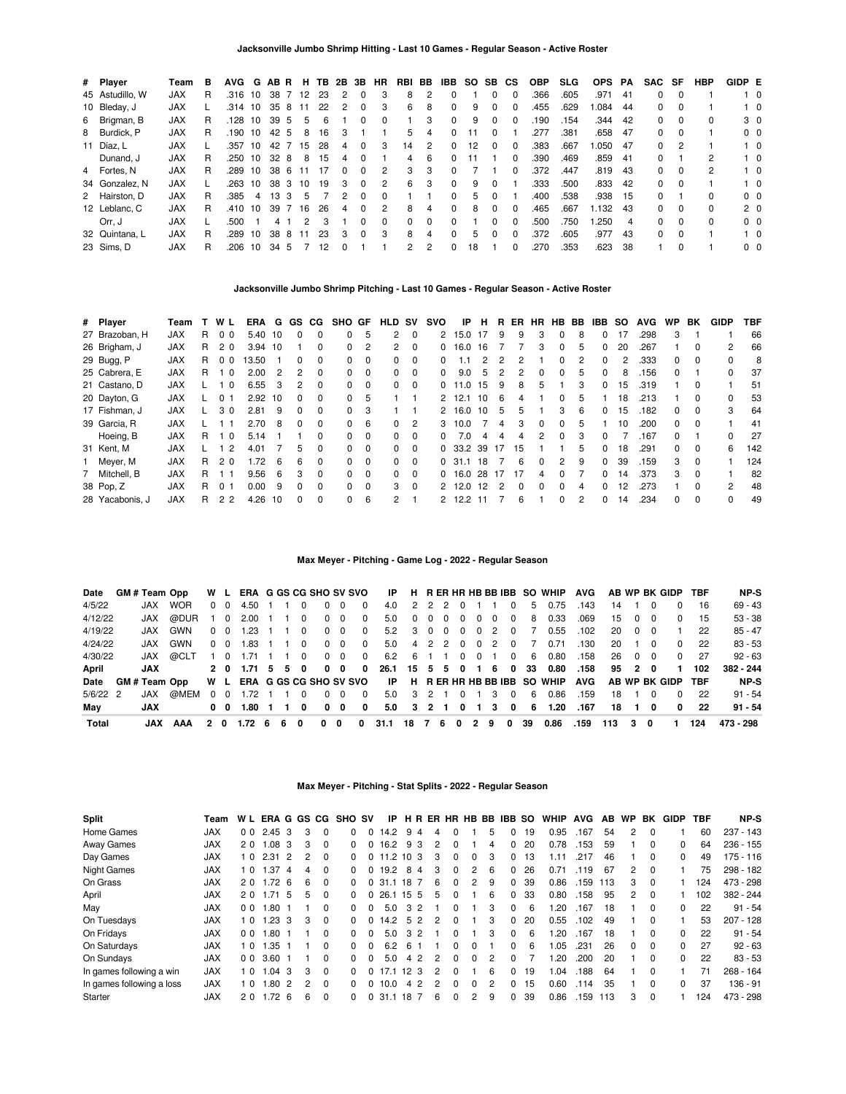| # Player        | Team       | в  | <b>AVG</b> | G  | AB R             |    | н.   | TB. | 2B           | 3B       | HR       | RBI      | BB            | IBB      | SO. | SB CS    |              | <b>OBP</b> | <b>SLG</b> | <b>OPS</b> | PA   | SAC | SF       | HBP          | GIDP E |                |
|-----------------|------------|----|------------|----|------------------|----|------|-----|--------------|----------|----------|----------|---------------|----------|-----|----------|--------------|------------|------------|------------|------|-----|----------|--------------|--------|----------------|
| 45 Astudillo, W | <b>JAX</b> | R  | .316 10    |    | 38               |    | 7 12 | 23  | 2            | 0        | 3        | 8        | 2             |          |     | 0        | $\Omega$     | .366       | .605       | .971       | -41  | 0   | 0        |              |        | $1\quad 0$     |
| 10 Bleday, J    | <b>JAX</b> |    | $.314$ 10  |    | 358              |    | 11   | 22  | 2            | 0        | 3        | 6        | 8             | $\Omega$ | 9   | 0        | 0            | .455       | .629       | .084       | -44  | 0   | - 0      |              |        | $1\quad 0$     |
| 6 Brigman, B    | <b>JAX</b> | R. | .128       | 10 | 39 5             |    | 5    | 6   |              | 0        | $\Omega$ |          | 3             | $\Omega$ | 9   | $\Omega$ | $\Omega$     | 190        | .154       | .344       | 42   | 0   | $\Omega$ | 0            |        | 3 0            |
| 8 Burdick, P    | <b>JAX</b> | R. | .190       | 10 | 42               | -5 | 8    | 16  | з            |          |          | 5        | 4             |          |     | 0        |              | 277        | .381       | .658       | -47  | 0   | 0        |              |        | 0 <sub>0</sub> |
| 11 Díaz, L      | <b>JAX</b> |    | .357       | 10 | 42               |    | 15   | 28  | 4            | 0        | 3        | 14       | 2             |          | 12. |          | 0            | .383       | .667       | 050. ا     | - 47 | 0   |          |              |        | $1\quad 0$     |
| Dunand, J       | <b>JAX</b> | R  | .250       | 10 | 32               | 8  | 8    | 15  | 4            | 0        |          | 4        | 6             |          |     |          | 0            | .390       | .469       | .859       | -41  | 0   |          | 2            |        | $1\quad 0$     |
| 4 Fortes, N     | <b>JAX</b> | R  | .289       | 10 | 38 6             |    | 11   | 17  | <sup>0</sup> | 0        | 2        | 3        | 3             | $\Omega$ |     |          | <sup>0</sup> | .372       | .447       | .819       | -43  | 0   | 0        | 2            |        | $1\quad 0$     |
| 34 Gonzalez, N  | <b>JAX</b> |    | .263       | 10 | 38 3             |    | 10   | 19  | 3            | 0        | 2        | 6        | 3             | $\Omega$ | 9   |          |              | .333       | .500       | .833       | 42   | 0   | $\Omega$ |              |        | $1\quad$ 0     |
| 2 Hairston, D   | <b>JAX</b> | R  | .385       | 4  | 13 <sup>13</sup> | -3 | 5    |     | 2            | 0        | $\Omega$ |          |               | 0        | 5   | $\Omega$ |              | .400       | .538       | .938       | - 15 | 0   |          | 0            |        | 0 <sub>0</sub> |
| 12 Leblanc, C   | <b>JAX</b> | R  | .410       | 10 | 39 7             |    | 16   | 26  | 4            | $\Omega$ | 2        | 8        | 4             | $\Omega$ | 8   | $\Omega$ | <sup>0</sup> | .465       | .667       | 1.132      | -43  | 0   | $\Omega$ | <sup>0</sup> |        | 2 <sub>0</sub> |
| Orr. J          | <b>JAX</b> |    | .500       |    | 4                |    | 2    | 3   |              | 0        | 0        | $\Omega$ | $\Omega$      | $\Omega$ |     | 0        | 0            | .500       | .750       | .250       | 4    | 0   | $\Omega$ | <sup>0</sup> |        | 0 <sub>0</sub> |
| 32 Quintana, L  | <b>JAX</b> | R  | .289       | 10 | 38               | -8 | 11   | 23  | 3            | 0        | 3        | 8        | 4             | $\Omega$ | 5   | $\Omega$ | $\Omega$     | 372        | .605       | .977       | 43   | 0   | $\Omega$ |              |        | $1\quad$ 0     |
| 23 Sims, D      | <b>JAX</b> | R  | .206       | 10 | 34 5             |    |      | 12  |              |          |          | 2        | $\mathcal{P}$ |          | 18  |          | 0            | 270        | .353       | .623       | 38   |     | $\Omega$ |              |        | 0 <sub>0</sub> |

# **Jacksonville Jumbo Shrimp Pitching - Last 10 Games - Regular Season - Active Roster**

| # Player        | Team       |    | WL             | ERA       | G             | GS.          | CG.      | SHO          | GF       | <b>HLD</b> | sv             | svo      | ΙP        | н   | R  | ER           | НR           | HВ           | BB. | IBB.         | so | <b>AVG</b> | <b>WP</b> | BK       | <b>GIDP</b>   | TBF |
|-----------------|------------|----|----------------|-----------|---------------|--------------|----------|--------------|----------|------------|----------------|----------|-----------|-----|----|--------------|--------------|--------------|-----|--------------|----|------------|-----------|----------|---------------|-----|
| 27 Brazoban, H  | <b>JAX</b> | R. | 0 <sub>0</sub> | 5.40      | -10           | 0            | $\Omega$ | <sup>0</sup> | 5        | 2          | $\Omega$       | 2        | 15.0      | -17 | 9  | 9            | 3            | $\Omega$     | 8   | $\Omega$     | 17 | .298       | 3         |          |               | 66  |
| 26 Brigham, J   | <b>JAX</b> | R  | 2 <sub>0</sub> | $3.94$ 10 |               |              | 0        | 0            | 2        | 2          | $\Omega$       | 0        | 16.0      | 16  |    |              | 3            | <sup>0</sup> | 5   | $\Omega$     | 20 | .267       |           | $\Omega$ | 2             | 66  |
| 29 Bugg, P      | <b>JAX</b> | R  | 0 <sub>0</sub> | 13.50     |               | 0            | 0        | 0            | $\Omega$ | 0          | 0              | 0        | $\cdot$ 1 | 2   | 2  |              |              | 0            | 2   | $\Omega$     | 2  | .333       | 0         | 0        | 0             | -8  |
| 25 Cabrera, E   | <b>JAX</b> | R. | $\Omega$       | 2.00      | $\mathcal{P}$ | 2            | 0        | 0            | $\Omega$ | 0          | $\Omega$       | $\Omega$ | 9.0       | 5   | 2  | 2            | <sup>n</sup> | <sup>0</sup> | 5   | $\Omega$     | 8  | .156       | 0         |          | 0             | 37  |
| 21 Castano, D   | <b>JAX</b> |    | - 0            | 6.55      | 3             | 2            | 0        | 0            | $\Omega$ | 0          | $\mathbf 0$    | 0        | 11.0      | 15  | 9  | 8            | 'n.          |              | 3   | 0            | 15 | .319       |           | 0        |               | 51  |
| 20 Dayton, G    | <b>JAX</b> |    | 0 1            | 2.92      | 10            | $\Omega$     | 0        | <sup>0</sup> | 5        |            |                | 2        | 12.1      | 10  | 6  | 4            |              | <sup>0</sup> | 5   |              | 18 | .213       |           | $\Omega$ | 0             | 53  |
| 17 Fishman, J   | <b>JAX</b> |    | 30             | 2.81      | 9             | 0            | 0        | $\Omega$     | 3        |            |                | 2        | 16.0      | 10  | 5  | 5            |              | з            | 6   | <sup>0</sup> | 15 | .182       | 0         |          | 3             | 64  |
| 39 Garcia, R    | <b>JAX</b> |    | - 1            | 2.70      | 8             | <sup>0</sup> | 0        | <sup>0</sup> | 6        | $\Omega$   | $\overline{2}$ | 3        | 10.0      |     | 4  | з            | $\Omega$     | <sup>0</sup> | 5   |              | 10 | .200       | 0         | $\Omega$ |               | 41  |
| Hoeing, B       | <b>JAX</b> | R  | 1 <sub>0</sub> | 5.14      |               |              | $\Omega$ | $\Omega$     | $\Omega$ | 0          | $\Omega$       | 0        | 7.0       | 4   | 4  | 4            |              | <sup>0</sup> | 3   | <sup>0</sup> |    | .167       | 0         |          | 0             | 27  |
| 31 Kent, M      | <b>JAX</b> |    | -2             | 4.01      |               | 5            | 0        | $\Omega$     | $\Omega$ | 0          | $\Omega$       |          | 0, 33.2   | 39  | 17 | 15           |              |              | 5   | $\Omega$     | 18 | .291       | 0         | $\Omega$ | 6             | 142 |
| Meyer, M        | <b>JAX</b> | R  | 2 <sub>0</sub> | 1.72      | 6             | 6            | $\Omega$ | $\Omega$     | $\Omega$ | 0          | $\Omega$       |          | 0, 31.1   | 18  |    | 6            | <sup>n</sup> | 2            | 9   | $\Omega$     | 39 | .159       | 3         | $\Omega$ |               | 124 |
| 7 Mitchell, B   | <b>JAX</b> | R. |                | 9.56      | 6             | 3            | 0        | 0            | $\Omega$ | $\Omega$   | $\Omega$       | 0        | 16.0      | 28  | 17 | 17           | 4            | <sup>0</sup> |     | $\Omega$     | 14 | .373       | 3         | $\Omega$ |               | 82  |
| 38 Pop, Z       | <b>JAX</b> | R  | 0 <sub>1</sub> | 0.00      | 9             | 0            | $\Omega$ | 0            | $\Omega$ | 3          | $\Omega$       |          | 2, 12.0   | 12  | 2  | <sup>n</sup> | <sup>n</sup> | <sup>n</sup> | 4   | $\Omega$     | 12 | .273       |           | $\Omega$ | $\mathcal{P}$ | 48  |
| 28 Yacabonis, J | <b>JAX</b> | R  | 2 <sub>2</sub> | 4.26      | 10            | <sup>0</sup> | 0        | 0            | 6        | 2          |                |          | 12.2      |     |    | 6            |              | <sup>0</sup> | 2   | $\Omega$     | 14 | .234       | 0         | 0        | 0             | 49  |

## **Max Meyer - Pitching - Game Log - 2022 - Regular Season**

| Date       | <b>GM#Team Opp</b> |            | W L        | ERA G GS CG SHO SV SVO     |    |   |                         |              |            |          | IP.             |          |            |                |          |     |          |    | H RERHRHBBBIBB SO WHIP AVG |            |     |        |                | AB WP BK GIDP TBF |            | NP-S      |
|------------|--------------------|------------|------------|----------------------------|----|---|-------------------------|--------------|------------|----------|-----------------|----------|------------|----------------|----------|-----|----------|----|----------------------------|------------|-----|--------|----------------|-------------------|------------|-----------|
| 4/5/22     | JAX                | <b>WOR</b> | $0\quad 0$ | 4.50                       |    |   |                         | <sup>0</sup> | - 0        | 0        | 4.0             |          | 2 2 2 0    |                |          |     | 1 1 0    |    | 5 0.75                     | .143       | 14  |        |                | 0                 | 16         | 69 - 43   |
| 4/12/22    | JAX                | @DUR       | 1 0        | 2.00                       |    |   | $\Omega$                | $\Omega$     | $\Omega$   | $\Omega$ | 5.0             | $\Omega$ | $0\quad 0$ | $\Omega$       | $\Omega$ | റ   | $\Omega$ | 8  | 0.33                       | .069       | 15  | റ      | - 0            | $\Omega$          | 15         | $53 - 38$ |
| 4/19/22    | JAX                | GWN        | $0\quad 0$ | 1.23                       |    |   | $\Omega$                |              | $0\quad 0$ | $\Omega$ | 5.2             | 3        | $0\quad 0$ | $\overline{0}$ | $\Omega$ | 2   | $\Omega$ |    | 0.55                       | .102       | 20  | - 0    |                |                   | 22         | $85 - 47$ |
| 4/24/22    | JAX                | GWN        | $0\quad 0$ | 1.83                       |    |   | $\overline{0}$          |              | $0\quad 0$ | $\Omega$ | 5.0             |          | 4 2 2 0    |                | $\Omega$ |     | 2 0      |    | 0.71                       | .130       | 20  |        | 10             | $\Omega$          | 22         | $83 - 53$ |
| 4/30/22    | JAX                | @CLT       | 1 0        | 1.71                       |    |   | $\overline{0}$          |              | 0 0        | $\Omega$ | 6.2             |          | 6 1 1 0    |                | $\Omega$ |     | $\Omega$ | 6  | 0.80                       | .158       | -26 | . റ    | $\overline{0}$ | $^{\circ}$        | -27        | $92 - 63$ |
| April      | JAX                |            |            | 2 0 1.71 5                 |    | 5 | $\mathbf{0}$            |              | $0\quad 0$ | $\Omega$ | $26.1$ 15 5 5 0 |          |            |                |          |     | 160      | 33 | 0.80                       | .158       |     | 95 2 0 |                |                   | 102        | 382 - 244 |
| Date       | GM # Team Opp      |            |            | W L ERA G GS CG SHO SV SVO |    |   |                         |              |            |          |                 |          |            |                |          |     |          |    | IP H RERHRHBBBIBB SO WHIP  | <b>AVG</b> |     |        |                | AB WP BK GIDP     | <b>TBF</b> | NP-S      |
| $5/6/22$ 2 | JAX                | @MEM       | $0\quad 0$ | $1.72 \quad 1$             |    |   | $\overline{\mathbf{0}}$ |              | $0\quad 0$ | $\Omega$ | 5.0             | 3        | 2 1        | $\Omega$       |          | - 3 | $\Omega$ | 6  | 0.86                       | .159       | 18  |        | $\sim$ 0       | $\Omega$          | 22         | $91 - 54$ |
| May        | <b>JAX</b>         |            | $0\quad 0$ | $1.80 \quad 1 \quad 1$     |    |   | 0                       |              | $0\quad 0$ | 0        | 5.0             |          | 3 2 1      | $\mathbf{0}$   |          |     | 30       | 6  | 1.20                       | .167       | 18  |        | 10             | 0                 | 22         | $91 - 54$ |
| Total      | JAX                | AAA        | 20         | 1.72                       | 66 |   | 0                       | 0            | 0          | 0        | 31.1 18 7       |          | 6          | 0              | 29       |     | 0        | 39 | 0.86                       | .159       | 113 | 3      | 0              |                   | 124        | 473 - 298 |

# **Max Meyer - Pitching - Stat Splits - 2022 - Regular Season**

| <b>Split</b>              | Team       | W L            | ERA G GS CG       |                |    |          | <b>SHO SV</b> |          | IP        | H. | R               | ER |   |          |   | HR HB BB IBB SO |            | <b>WHIP</b> | <b>AVG</b> | AB. | <b>WP</b>      | BK           | <b>GIDP</b> | TBF | NP-S        |
|---------------------------|------------|----------------|-------------------|----------------|----|----------|---------------|----------|-----------|----|-----------------|----|---|----------|---|-----------------|------------|-------------|------------|-----|----------------|--------------|-------------|-----|-------------|
| Home Games                | <b>JAX</b> | 0 <sub>0</sub> | 2.45 <sub>3</sub> |                | 3  | $\Omega$ | <sup>0</sup>  | $\Omega$ | 14.2      | 9  | 4               | 4  | 0 |          | 5 | $\Omega$        | 19         | 0.95        | .167       | 54  | 2              | $\Omega$     |             | 60  | $237 - 143$ |
| <b>Away Games</b>         | <b>JAX</b> | 20             | 1.08              | 3              | 3  | $\Omega$ | 0             |          | 16.2      | 9  | 3               | 2  | 0 |          | 4 | $\Omega$        | 20         | 0.78        | .153       | 59  |                | <sup>0</sup> | 0           | 64  | $236 - 155$ |
| Day Games                 | <b>JAX</b> | 10             | 2.31              | $\overline{2}$ | 2  | $\Omega$ | 0             | $\Omega$ | 11.2      |    | 10 <sub>3</sub> | 3  | 0 | $\Omega$ | 3 | $\Omega$        | 13         | .11         | .217       | 46  |                | 0            | 0           | 49  | $175 - 116$ |
| <b>Night Games</b>        | <b>JAX</b> | 10             | 1.37              | 4              |    | 0        | 0             |          | 19.2      | 8  | 4               | 3  | 0 | 2        | 6 | $\Omega$        | 26         | 0.71        | .119       | 67  | $\overline{2}$ | $\Omega$     |             | 75  | 298 - 182   |
| On Grass                  | <b>JAX</b> | 20             | 1.72              | - 6            | 6  | $\Omega$ | $\Omega$      |          | 0.31.1187 |    |                 | 6  | 0 | 2        | 9 | $\Omega$        | 39         | 0.86        | .159       | 113 | 3              | $\Omega$     |             | 124 | 473 - 298   |
| April                     | <b>JAX</b> | 20             | 1.71              | -5             | 5. | 0        | 0             |          | 26.1      |    | 155             | 5  | 0 |          | 6 | $\Omega$        | 33         | 0.80        | .158       | 95  | 2              | $\Omega$     |             | 102 | 382 - 244   |
| May                       | <b>JAX</b> | 00             | .80               |                |    | 0        | $\Omega$      | $\Omega$ | 5.0       | 3  | -2              |    | 0 |          | 3 | 0               | 6          | .20         | .167       | 18  |                | $\Omega$     | 0           | 22  | $91 - 54$   |
| On Tuesdays               | <b>JAX</b> | 10             | 1.23              | 3              | 3  | $\Omega$ | 0             |          | 14.2      |    | 5 2             | 2  | 0 |          | 3 | $\Omega$        | 20         | 0.55        | .102       | 49  |                | $\Omega$     |             | 53  | $207 - 128$ |
| On Fridays                | <b>JAX</b> | 0 <sub>0</sub> | .80               |                |    | $\Omega$ | $\Omega$      | $\Omega$ | 5.0       |    | 3 <sub>2</sub>  |    | 0 |          | 3 | 0               | 6          | .20         | .167       | 18  |                | $\Omega$     | 0           | 22  | $91 - 54$   |
| On Saturdays              | <b>JAX</b> | 10             | 1.35              |                |    | $\Omega$ | <sup>n</sup>  |          | 62        | 6  |                 |    | 0 | 0        |   | <sup>0</sup>    | $\epsilon$ | .05         | .231       | 26  | $\Omega$       | $\Omega$     | 0           | 27  | $92 - 63$   |
| On Sundays                | <b>JAX</b> | 0 <sub>0</sub> | 3.60              |                |    | $\Omega$ | 0             | $\Omega$ | 5.0       |    | 4 2             | 2  | 0 | 0        | 2 | <sup>0</sup>    |            | .20         | .200       | 20  |                | $\Omega$     | 0           | 22  | $83 - 53$   |
| In games following a win  | <b>JAX</b> | 10             | 1.04              | 3              | 3  | $\Omega$ | 0             | $\Omega$ | 17.1      |    | 12 <sub>3</sub> | 2  | 0 |          | 6 | 0               | 19         | .04         | .188       | 64  |                | $\Omega$     |             | 71  | $268 - 164$ |
| In games following a loss | <b>JAX</b> | 10             | .80               | 2              |    | $\Omega$ | 0             | $\Omega$ | 10.0      | 4  | $\overline{2}$  | 2  | 0 | 0        | 2 | 0               | 15         | 0.60        | .114       | 35  |                | $\Omega$     | 0           | 37  | $136 - 91$  |
| Starter                   | <b>JAX</b> | 20             | $1.72 \; 6$       |                | 6  | $\Omega$ |               |          | 0.31.1    |    | 18 7            | 6  | 0 | 2        | 9 | 0               | 39         | 0.86        | .159       | 113 | 3              | $\Omega$     |             | 124 | 473 - 298   |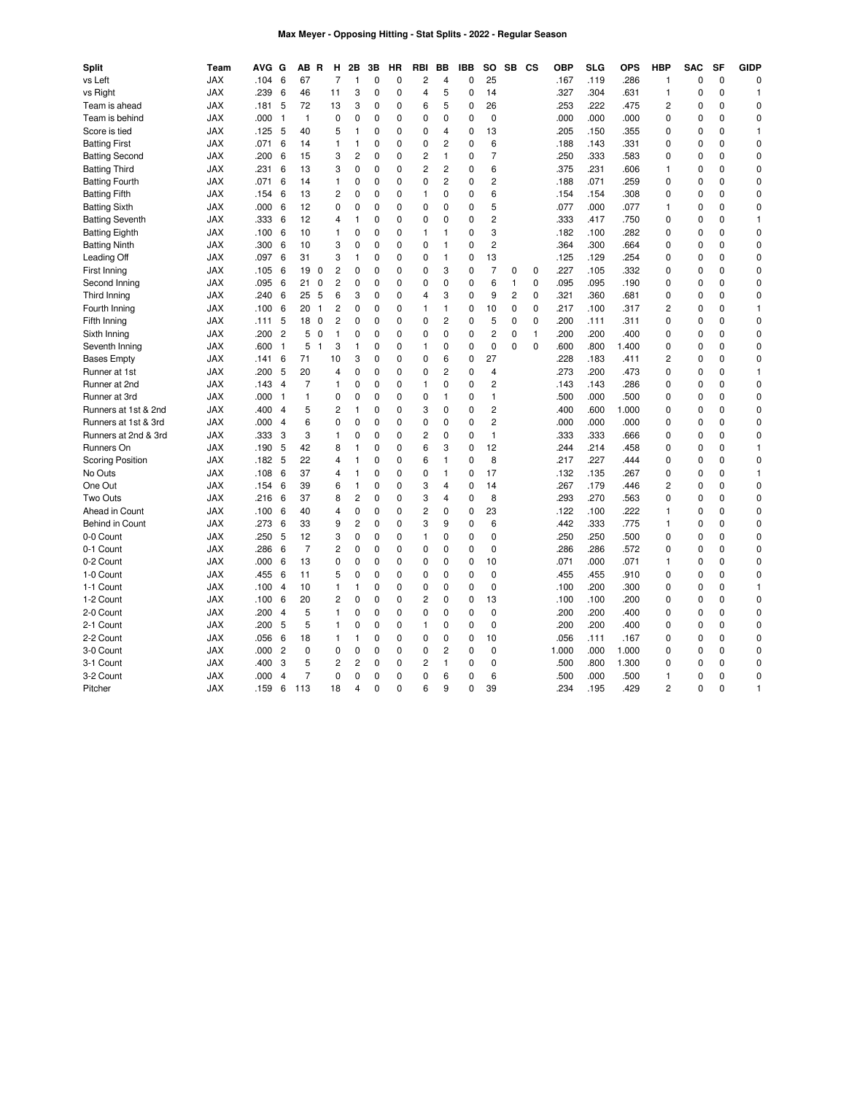## **Max Meyer - Opposing Hitting - Stat Splits - 2022 - Regular Season**

| <b>Split</b>            | Team       | <b>AVG</b> | G              | ΑВ             | R            | н              | 2Β             | 3B          | НR | RBI            | BВ             | <b>IBB</b>   | so             | SB           | CS           | <b>OBP</b> | <b>SLG</b> | <b>OPS</b> | <b>HBP</b>     | <b>SAC</b>  | SF          | <b>GIDP</b> |
|-------------------------|------------|------------|----------------|----------------|--------------|----------------|----------------|-------------|----|----------------|----------------|--------------|----------------|--------------|--------------|------------|------------|------------|----------------|-------------|-------------|-------------|
| vs Left                 | <b>JAX</b> | .104       | 6              | 67             |              | $\overline{7}$ | 1              | $\mathbf 0$ | 0  | 2              | 4              | $\mathbf{0}$ | 25             |              |              | .167       | .119       | .286       | 1              | $\mathbf 0$ | $\mathbf 0$ | 0           |
| vs Right                | <b>JAX</b> | .239       | 6              | 46             |              | 11             | 3              | 0           | 0  | $\overline{4}$ | 5              | $\mathbf 0$  | 14             |              |              | .327       | .304       | .631       | $\mathbf{1}$   | $\mathbf 0$ | 0           | 1           |
| Team is ahead           | <b>JAX</b> | .181       | 5              | 72             |              | 13             | 3              | 0           | 0  | 6              | 5              | $\mathbf{0}$ | 26             |              |              | .253       | .222       | .475       | 2              | 0           | 0           | 0           |
| Team is behind          | <b>JAX</b> | .000       | $\mathbf{1}$   | $\mathbf{1}$   |              | 0              | 0              | 0           | 0  | $\mathbf 0$    | 0              | $\mathbf 0$  | 0              |              |              | .000       | .000       | .000       | 0              | $\mathbf 0$ | 0           | 0           |
| Score is tied           | <b>JAX</b> | .125       | 5              | 40             |              | 5              | 1              | 0           | 0  | $\mathbf 0$    | $\overline{4}$ | 0            | 13             |              |              | .205       | .150       | .355       | 0              | 0           | 0           | 1           |
| <b>Batting First</b>    | <b>JAX</b> | .071       | 6              | 14             |              | $\mathbf{1}$   | $\mathbf{1}$   | 0           | 0  | $\mathbf 0$    | $\overline{c}$ | $\mathbf 0$  | 6              |              |              | .188       | .143       | .331       | 0              | $\mathbf 0$ | 0           | 0           |
| <b>Batting Second</b>   | <b>JAX</b> | .200       | 6              | 15             |              | 3              | 2              | 0           | 0  | $\overline{c}$ | $\mathbf{1}$   | 0            | $\overline{7}$ |              |              | .250       | .333       | .583       | 0              | 0           | 0           | 0           |
| <b>Batting Third</b>    | <b>JAX</b> | .231       | 6              | 13             |              | 3              | 0              | 0           | 0  | $\overline{c}$ | $\overline{c}$ | $\mathbf 0$  | 6              |              |              | .375       | .231       | .606       | $\mathbf{1}$   | $\mathbf 0$ | 0           | 0           |
| <b>Batting Fourth</b>   | <b>JAX</b> | .071       | 6              | 14             |              | 1              | 0              | 0           | 0  | $\mathbf 0$    | 2              | 0            | 2              |              |              | .188       | .071       | .259       | 0              | 0           | 0           | 0           |
| <b>Batting Fifth</b>    | <b>JAX</b> | .154       | 6              | 13             |              | $\overline{c}$ | 0              | 0           | 0  | $\mathbf{1}$   | $\mathbf 0$    | $\mathbf 0$  | 6              |              |              | .154       | .154       | .308       | $\mathbf 0$    | $\mathbf 0$ | 0           | 0           |
| <b>Batting Sixth</b>    | <b>JAX</b> | .000       | 6              | 12             |              | 0              | 0              | 0           | 0  | $\mathbf 0$    | $\mathbf 0$    | $\mathbf 0$  | 5              |              |              | .077       | .000       | .077       | $\mathbf{1}$   | $\mathbf 0$ | 0           | 0           |
| <b>Batting Seventh</b>  | <b>JAX</b> | .333       | 6              | 12             |              | $\overline{4}$ | $\mathbf{1}$   | 0           | 0  | 0              | $\mathbf 0$    | 0            | $\overline{c}$ |              |              | .333       | .417       | .750       | $\mathbf 0$    | $\mathbf 0$ | 0           | 1           |
| <b>Batting Eighth</b>   | <b>JAX</b> | .100       | 6              | 10             |              | $\mathbf{1}$   | 0              | 0           | 0  | $\mathbf{1}$   | $\mathbf{1}$   | 0            | 3              |              |              | .182       | .100       | .282       | 0              | $\mathbf 0$ | 0           | 0           |
| <b>Batting Ninth</b>    | <b>JAX</b> | .300       | 6              | 10             |              | 3              | 0              | 0           | 0  | $\mathbf 0$    | $\mathbf{1}$   | 0            | $\overline{c}$ |              |              | .364       | .300       | .664       | 0              | $\mathbf 0$ | 0           | 0           |
| Leading Off             | <b>JAX</b> | .097       | 6              | 31             |              | 3              | $\mathbf{1}$   | 0           | 0  | $\mathbf 0$    | $\mathbf{1}$   | $\mathbf{0}$ | 13             |              |              | .125       | .129       | .254       | 0              | $\mathbf 0$ | $\Omega$    | 0           |
| First Inning            | <b>JAX</b> | .105       | 6              | 19             | 0            | $\overline{c}$ | 0              | 0           | 0  | 0              | 3              | 0            | $\overline{7}$ | 0            | 0            | .227       | .105       | .332       | 0              | 0           | 0           | 0           |
| Second Inning           | <b>JAX</b> | .095       | 6              | 21             | $\mathbf 0$  | $\overline{2}$ | 0              | 0           | 0  | $\mathbf 0$    | $\mathbf 0$    | $\mathbf{0}$ | 6              | $\mathbf{1}$ | $\mathbf 0$  | .095       | .095       | .190       | 0              | $\mathbf 0$ | $\Omega$    | 0           |
| Third Inning            | <b>JAX</b> | .240       | 6              | 25             | 5            | 6              | 3              | 0           | 0  | 4              | 3              | 0            | 9              | 2            | 0            | .321       | .360       | .681       | 0              | 0           | 0           | 0           |
| Fourth Inning           | <b>JAX</b> | .100       | 6              | 20             | $\mathbf{1}$ | $\overline{c}$ | 0              | 0           | 0  | $\mathbf{1}$   | $\mathbf{1}$   | $\mathbf 0$  | 10             | 0            | $\mathbf 0$  | .217       | .100       | .317       | $\overline{2}$ | $\mathbf 0$ | 0           | 1           |
| Fifth Inning            | <b>JAX</b> | .111       | 5              | 18             | 0            | $\overline{c}$ | 0              | 0           | 0  | $\mathbf 0$    | $\overline{c}$ | $\mathbf 0$  | 5              | 0            | $\mathbf 0$  | .200       | .111       | .311       | 0              | $\mathbf 0$ | 0           | 0           |
| Sixth Inning            | <b>JAX</b> | .200       | $\overline{2}$ | 5              | 0            | $\mathbf{1}$   | 0              | 0           | 0  | $\mathbf 0$    | $\mathbf 0$    | $\mathbf 0$  | $\overline{c}$ | 0            | $\mathbf{1}$ | .200       | .200       | .400       | 0              | $\mathbf 0$ | 0           | 0           |
| Seventh Inning          | <b>JAX</b> | .600       | $\mathbf{1}$   | 5              | $\mathbf{1}$ | 3              | 1              | 0           | 0  | $\mathbf{1}$   | 0              | $\mathbf 0$  | $\mathbf 0$    | 0            | $\mathbf 0$  | .600       | .800       | 1.400      | 0              | $\mathbf 0$ | 0           | 0           |
| <b>Bases Empty</b>      | <b>JAX</b> | .141       | 6              | 71             |              | 10             | 3              | 0           | 0  | $\mathbf 0$    | 6              | $\mathbf 0$  | 27             |              |              | .228       | .183       | .411       | 2              | $\mathbf 0$ | 0           | 0           |
| Runner at 1st           | <b>JAX</b> | .200       | 5              | 20             |              | $\overline{4}$ | 0              | 0           | 0  | $\mathbf 0$    | $\overline{c}$ | $\mathbf 0$  | $\overline{4}$ |              |              | .273       | .200       | .473       | 0              | $\mathbf 0$ | 0           | 1           |
| Runner at 2nd           | <b>JAX</b> | .143       | 4              | 7              |              | 1              | 0              | 0           | 0  | $\mathbf{1}$   | $\mathbf 0$    | 0            | $\overline{c}$ |              |              | .143       | .143       | .286       | 0              | 0           | 0           | 0           |
| Runner at 3rd           | <b>JAX</b> | .000       | $\mathbf{1}$   | 1              |              | $\mathbf 0$    | 0              | $\mathbf 0$ | 0  | $\mathbf 0$    | $\mathbf{1}$   | $\mathbf{0}$ | $\mathbf{1}$   |              |              | .500       | .000       | .500       | 0              | $\mathbf 0$ | 0           | 0           |
| Runners at 1st & 2nd    | JAX        | .400       | 4              | 5              |              | 2              | 1              | 0           | 0  | 3              | $\pmb{0}$      | $\mathbf 0$  | $\overline{c}$ |              |              | .400       | .600       | 1.000      | 0              | $\mathbf 0$ | 0           | 0           |
| Runners at 1st & 3rd    | <b>JAX</b> | .000       | 4              | 6              |              | $\mathbf 0$    | 0              | $\mathbf 0$ | 0  | $\mathbf 0$    | $\mathbf 0$    | $\mathbf{0}$ | $\overline{2}$ |              |              | .000       | .000       | .000       | 0              | $\mathbf 0$ | 0           | 0           |
| Runners at 2nd & 3rd    | <b>JAX</b> | .333       | 3              | 3              |              | $\mathbf{1}$   | 0              | 0           | 0  | $\overline{c}$ | $\mathbf 0$    | 0            | $\mathbf{1}$   |              |              | .333       | .333       | .666       | 0              | $\mathbf 0$ | 0           | 0           |
| Runners On              | <b>JAX</b> | .190       | 5              | 42             |              | 8              | 1              | 0           | 0  | 6              | 3              | $\mathbf{0}$ | 12             |              |              | .244       | .214       | .458       | 0              | $\mathbf 0$ | 0           | 1           |
| <b>Scoring Position</b> | <b>JAX</b> | .182       | 5              | 22             |              | 4              | 1              | 0           | 0  | 6              | $\mathbf{1}$   | 0            | 8              |              |              | .217       | .227       | .444       | 0              | 0           | 0           | 0           |
| No Outs                 | <b>JAX</b> | .108       | 6              | 37             |              | 4              | 1              | 0           | 0  | $\mathbf 0$    | $\mathbf{1}$   | $\mathbf 0$  | 17             |              |              | .132       | .135       | .267       | 0              | $\mathbf 0$ | 0           | 1           |
| One Out                 | <b>JAX</b> | .154       | 6              | 39             |              | 6              | $\mathbf{1}$   | 0           | 0  | 3              | $\overline{4}$ | $\mathbf 0$  | 14             |              |              | .267       | .179       | .446       | $\overline{2}$ | $\mathbf 0$ | $\Omega$    | 0           |
| Two Outs                | <b>JAX</b> | .216       | 6              | 37             |              | 8              | 2              | 0           | 0  | 3              | 4              | $\mathbf 0$  | 8              |              |              | .293       | .270       | .563       | 0              | $\mathbf 0$ | 0           | 0           |
| Ahead in Count          | <b>JAX</b> | .100       | 6              | 40             |              | $\overline{4}$ | 0              | 0           | 0  | $\overline{c}$ | $\mathbf 0$    | $\mathbf 0$  | 23             |              |              | .122       | .100       | .222       | $\mathbf{1}$   | $\mathbf 0$ | 0           | 0           |
| Behind in Count         | <b>JAX</b> | .273       | 6              | 33             |              | 9              | $\overline{2}$ | $\mathbf 0$ | 0  | 3              | 9              | $\pmb{0}$    | 6              |              |              | .442       | .333       | .775       | $\mathbf{1}$   | $\mathbf 0$ | 0           | 0           |
| 0-0 Count               | <b>JAX</b> | .250       | 5              | 12             |              | 3              | 0              | 0           | 0  | 1              | $\mathbf 0$    | $\mathbf 0$  | $\mathbf 0$    |              |              | .250       | .250       | .500       | $\mathbf 0$    | $\mathbf 0$ | 0           | 0           |
| 0-1 Count               | <b>JAX</b> | .286       | 6              | $\overline{7}$ |              | $\overline{c}$ | 0              | $\mathbf 0$ | 0  | $\mathbf 0$    | $\mathbf 0$    | $\mathbf 0$  | $\mathbf 0$    |              |              | .286       | .286       | .572       | $\mathbf 0$    | $\mathbf 0$ | 0           | 0           |
| 0-2 Count               | <b>JAX</b> | .000       | 6              | 13             |              | $\mathbf 0$    | 0              | 0           | 0  | $\mathbf 0$    | $\mathbf 0$    | $\mathbf 0$  | 10             |              |              | .071       | .000       | .071       | $\mathbf{1}$   | $\mathbf 0$ | 0           | 0           |
| 1-0 Count               | <b>JAX</b> | .455       | 6              | 11             |              | 5              | 0              | $\mathbf 0$ | 0  | $\mathbf 0$    | $\mathbf 0$    | $\mathbf 0$  | 0              |              |              | .455       | .455       | .910       | $\mathbf 0$    | $\mathbf 0$ | 0           | 0           |
| 1-1 Count               | <b>JAX</b> | .100       | 4              | 10             |              | $\mathbf{1}$   | 1              | 0           | 0  | $\mathbf 0$    | $\mathbf 0$    | $\mathbf 0$  | $\mathbf 0$    |              |              | .100       | .200       | .300       | 0              | $\mathbf 0$ | 0           | 1           |
| 1-2 Count               | <b>JAX</b> | .100       | 6              | 20             |              | $\overline{c}$ | 0              | $\mathbf 0$ | 0  | $\overline{c}$ | $\mathbf 0$    | $\mathbf 0$  | 13             |              |              | .100       | .100       | .200       | 0              | $\mathbf 0$ | 0           | 0           |
| 2-0 Count               | <b>JAX</b> | .200       | 4              | 5              |              | 1              | 0              | 0           | 0  | $\mathbf 0$    | $\mathbf 0$    | 0            | 0              |              |              | .200       | .200       | .400       | 0              | 0           | 0           | 0           |
| 2-1 Count               | <b>JAX</b> | .200       | 5              | 5              |              | $\mathbf{1}$   | 0              | $\mathbf 0$ | 0  | $\mathbf{1}$   | $\mathbf 0$    | $\mathbf 0$  | $\mathbf 0$    |              |              | .200       | .200       | .400       | 0              | $\mathbf 0$ | 0           | 0           |
| 2-2 Count               | <b>JAX</b> | .056       | 6              | 18             |              | 1              | 1              | 0           | 0  | $\pmb{0}$      | $\mathbf 0$    | $\mathbf 0$  | 10             |              |              | .056       | .111       | .167       | $\mathbf 0$    | $\mathbf 0$ | 0           | $\mathbf 0$ |
| 3-0 Count               | <b>JAX</b> | .000       | $\overline{c}$ | 0              |              | $\mathbf 0$    | 0              | 0           | 0  | $\mathbf 0$    | $\overline{c}$ | $\mathbf{0}$ | $\mathbf 0$    |              |              | 1.000      | .000       | 1.000      | 0              | $\mathbf 0$ | 0           | 0           |
| 3-1 Count               | <b>JAX</b> | .400       | 3              | 5              |              | $\overline{c}$ | 2              | 0           | 0  | $\overline{c}$ | $\mathbf{1}$   | $\mathbf 0$  | $\mathbf 0$    |              |              | .500       | .800       | 1.300      | $\mathbf 0$    | $\mathbf 0$ | 0           | 0           |
| 3-2 Count               | <b>JAX</b> | .000       | $\overline{4}$ | 7              |              | $\mathbf 0$    | 0              | 0           | 0  | $\mathbf 0$    | 6              | $\mathbf{0}$ | 6              |              |              | .500       | .000       | .500       | $\mathbf{1}$   | $\mathbf 0$ | 0           | 0           |
| Pitcher                 | <b>JAX</b> | .159       | 6              | 113            |              | 18             | 4              | $\Omega$    | 0  | 6              | 9              | $\Omega$     | 39             |              |              | 234        | .195       | .429       | $\overline{c}$ | $\Omega$    | $\Omega$    | 1           |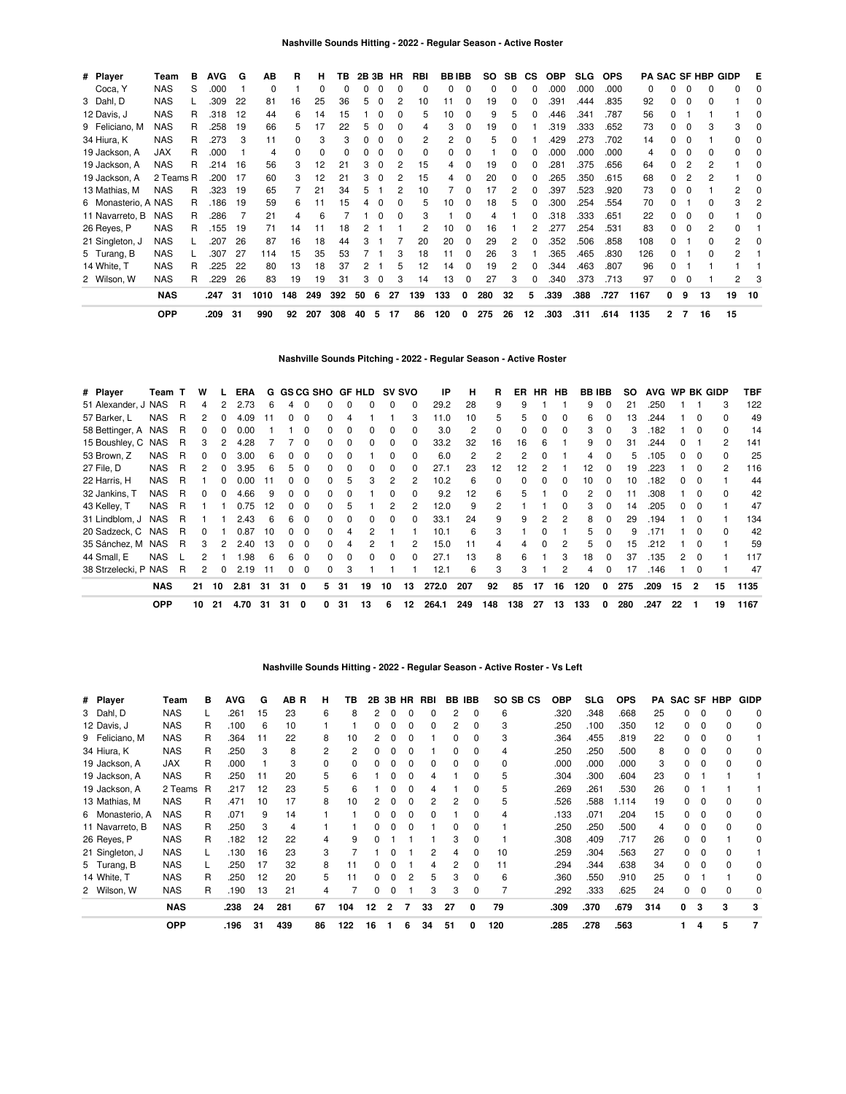| # Player            | Team       | в | AVG  | G  | АB   | R   | н   | ΤВ  | 2B 3B |   | HR | RBI      | <b>BBIBB</b> |   | SO. | SB | CS. | <b>OBP</b> | <b>SLG</b> | <b>OPS</b> |      |              |          | <b>PA SAC SF HBP GIDP</b> |    | Е  |
|---------------------|------------|---|------|----|------|-----|-----|-----|-------|---|----|----------|--------------|---|-----|----|-----|------------|------------|------------|------|--------------|----------|---------------------------|----|----|
| Coca, Y             | <b>NAS</b> | S | .000 |    | 0    |     | 0   | 0   | 0     | 0 | 0  | 0        | 0            | 0 | 0   | 0  |     | .000       | .000       | .000       | 0    |              | 0        | 0                         | 0  |    |
| 3 Dahl, D           | <b>NAS</b> |   | .309 | 22 | 81   | 16  | 25  | 36  | 5     | 0 | 2  | 10       |              |   | 19  | 0  |     | .391       | .444       | .835       | 92   |              | $\Omega$ | ი                         |    |    |
| 12 Davis, J         | <b>NAS</b> | R | .318 | 12 | 44   | 6   | 14  | 15  |       |   |    | 5        | 10           |   | 9   | 5  |     | .446       | .341       | .787       | 56   |              |          |                           |    |    |
| 9 Feliciano, M      | <b>NAS</b> | R | .258 | 19 | 66   | 5   | 17  | 22  | 5     | 0 | 0  | 4        | 3            | 0 | 19  | 0  |     | .319       | .333       | .652       | 73   |              | 0        | 3                         | 3  |    |
| 34 Hiura, K         | <b>NAS</b> | R | .273 | 3  | 11   | 0   | 3   | 3   | 0     |   | 0  | 2        | 2            |   | 5   | n  |     | .429       | .273       | .702       | 14   |              | $\Omega$ |                           | n. |    |
| 19 Jackson, A       | <b>JAX</b> | R | .000 |    | 4    | 0   | 0   |     | 0     |   |    | $\Omega$ | 0            | 0 |     | n  |     | .000       | .000       | .000       | 4    |              | $\Omega$ | ŋ                         | 0  |    |
| 19 Jackson, A       | <b>NAS</b> | R | .214 | 16 | 56   | 3   | 12  | 21  | 3     | 0 | 2  | 15       | 4            | 0 | 19  | 0  |     | .281       | .375       | .656       | 64   |              | 2        |                           |    |    |
| 19 Jackson, A       | 2 Teams R  |   | .200 | 17 | 60   | 3   | 12  | 21  | 3     | 0 | 2  | 15       | 4            |   | 20  | 0  |     | .265       | .350       | .615       | 68   |              | 2        |                           |    |    |
| 13 Mathias, M       | <b>NAS</b> | R | .323 | 19 | 65   |     | 21  | 34  | 5     |   | 2  | 10       |              |   | 17  | 2  |     | .397       | .523       | .920       | 73   |              | $\Omega$ |                           | 2  |    |
| 6 Monasterio, A NAS |            | R | .186 | 19 | 59   | 6   | 11  | 15  |       |   |    | 5        | 10           | 0 | 18  | 5  |     | .300       | .254       | .554       | 70   |              |          |                           | 3  |    |
| 11 Navarreto, B     | <b>NAS</b> | R | .286 |    | 21   | 4   |     |     |       |   |    | 3        |              |   |     |    |     | .318       | .333       | .651       | 22   |              | $\Omega$ |                           |    |    |
| 26 Reyes, P         | <b>NAS</b> | R | .155 | 19 | 71   | 14  | 11  | 18  |       |   |    |          | 10           | 0 | 16  |    |     | .277       | .254       | .531       | 83   |              | $\Omega$ | 2                         | 0  |    |
| 21 Singleton, J     | <b>NAS</b> |   | .207 | 26 | 87   | 16  | 18  | 44  | 3     |   |    | 20       | 20           | O | 29  | 2  |     | .352       | .506       | .858       | 108  |              |          | n                         | 2  |    |
| 5 Turang, B         | <b>NAS</b> |   | .307 | 27 | 114  | 15  | 35  | 53  |       |   | 3  | 18       | 11           |   | 26  | 3  |     | .365       | .465       | .830       | 126  |              |          | n                         | 2  |    |
| 14 White, T         | <b>NAS</b> | R | .225 | 22 | 80   | 13  | 18  | 37  | 2     |   | 5  | 12       | 14           | 0 | 19  | 2  |     | .344       | .463       | .807       | 96   |              |          |                           |    |    |
| 2 Wilson, W         | <b>NAS</b> | R | .229 | 26 | 83   | 19  | 19  | 31  | 3     | 0 | 3  | 14       | 13           |   | 27  | 3  | 0   | .340       | .373       | .713       | 97   |              | 0        |                           | 2  |    |
|                     | <b>NAS</b> |   | .247 | 31 | 1010 | 148 | 249 | 392 | 50    | 6 | 27 | 139      | 133          | 0 | 280 | 32 | 5   | .339       | .388       | .727       | 1167 | 0            | 9        | 13                        | 19 | 10 |
|                     | <b>OPP</b> |   | .209 | 31 | 990  | 92  | 207 | 308 | 40    | 5 | 17 | 86       | 120          | 0 | 275 | 26 | 12  | .303       | .311       | .614       | 1135 | $\mathbf{2}$ | 7        | 16                        | 15 |    |

# **Nashville Sounds Pitching - 2022 - Regular Season - Active Roster**

| # Player             | Team T     |   | W  |    | <b>ERA</b> |    |    | G GS CG SHO |              |    | GF HLD | <b>SV SVO</b> |              | IP    | н   | R             | ER       | <b>HR</b>    | HB           | <b>BB IBB</b> |          | SO. | AVG WP BK GIDP |    |          |                | TBF  |
|----------------------|------------|---|----|----|------------|----|----|-------------|--------------|----|--------|---------------|--------------|-------|-----|---------------|----------|--------------|--------------|---------------|----------|-----|----------------|----|----------|----------------|------|
| 51 Alexander, J NAS  |            | R | 4  | 2  | 2.73       | 6  | 4  | $\Omega$    |              |    |        | 0             | 0            | 29.2  | 28  | 9             | 9        |              |              | 9             | 0        | 21  | .250           |    |          | 3              | 122  |
| 57 Barker, L         | <b>NAS</b> | R | 2  | 0  | 4.09       | 11 | 0  | $\Omega$    | <sup>0</sup> |    |        |               | 3            | 11.0  | 10  | 5             | 5        | 0            | $\Omega$     | 6             | 0        | 13  | .244           |    | $\Omega$ | $\Omega$       | 49   |
| 58 Bettinger, A NAS  |            | R |    |    | 0.00       |    |    | 0           | <sup>0</sup> |    |        | <sup>0</sup>  | 0            | 3.0   | 2   | $\Omega$      | 0        | <sup>0</sup> | $\Omega$     | 3             | $\Omega$ | 3   | .182           |    | $\Omega$ | $\Omega$       | 14   |
| 15 Boushley, C NAS   |            | R | 3  |    | 4.28       |    |    | 0           | <sup>0</sup> |    |        | 0             | <sup>0</sup> | 33.2  | 32  | 16            | 16       | 6            |              | 9             |          | 31  | 244.           |    |          | $\overline{2}$ | 141  |
| 53 Brown, Z          | <b>NAS</b> | R |    |    | 3.00       | 6  | O. | 0           | $\Omega$     |    |        |               | <sup>0</sup> | 6.0   | 2   | $\mathcal{P}$ | 2        |              |              | 4             |          | 5   | .105           |    |          | $\Omega$       | 25   |
| 27 File, D           | <b>NAS</b> | R | 2  | 0  | 3.95       | 6  | 5  | 0           | <sup>0</sup> |    |        | <sup>0</sup>  | <sup>0</sup> | 27.1  | 23  | 12            | 12       |              |              | 12            | 0        | 19  | .223           |    |          | $\mathcal{P}$  | 116  |
| 22 Harris, H         | <b>NAS</b> | R |    | 0  | 0.00       |    | 0  | $\Omega$    | 0            | 5  |        | 2             | 2            | 10.2  | 6   | 0             | $\Omega$ | $\Omega$     | $\Omega$     | 10            | 0        | 10  | .182           | 0  |          |                | 44   |
| 32 Jankins, T        | <b>NAS</b> | R | 0  | 0  | 4.66       | 9  | 0  | $\Omega$    | 0            |    |        | 0             | 0            | 9.2   | 12  | 6             | 5        |              | 0            | 2             | 0        | 11  | .308           |    | $\Omega$ | $\Omega$       | 42   |
| 43 Kelley, T         | <b>NAS</b> | R |    |    | 0.75       | 12 | 0  | $\Omega$    | 0            | .h |        | 2             | 2            | 12.0  | 9   | 2             |          |              | <sup>0</sup> | 3             | $\Omega$ | 14  | .205           | 0  | $\Omega$ |                | 47   |
| 31 Lindblom, J       | NAS        | R |    |    | 2.43       | 6  | 6  | $\Omega$    | $\Omega$     | n  |        | <sup>0</sup>  | $\Omega$     | 33.1  | 24  | 9             | 9        | 2            | 2            | 8             | $\Omega$ | 29  | .194           |    | $\Omega$ |                | 134  |
| 20 Sadzeck, C        | <b>NAS</b> | R | 0  |    | 0.87       | 10 | 0  | $\Omega$    | $\Omega$     | Δ  |        |               |              | 10.1  | 6   | 3             |          | $\Omega$     |              | 5.            | $\Omega$ | 9   | .171           |    | $\Omega$ | $\Omega$       | 42   |
| 35 Sánchez, M        | <b>NAS</b> | R | 3  | 2  | 2.40       | 13 | O. | $\Omega$    | <sup>0</sup> |    |        |               | 2            | 15.0  | 11  | 4             | 4        | $\Omega$     | 2            | 5.            |          | 15  | .212           |    | $\Omega$ |                | 59   |
| 44 Small, E          | <b>NAS</b> |   | 2  |    | .98        | 6  | 6  | $\Omega$    | <sup>0</sup> |    |        | <sup>0</sup>  | 0            | 27.1  | 13  | 8             | 6        |              | 3            | 18            | $\Omega$ | 37  | .135           |    | $\Omega$ |                | 117  |
| 38 Strzelecki, P NAS |            | R | 2  | 0  | 2.19       | 11 | 0  | 0           | 0            | 3  |        |               |              | 12.1  | 6   | 3             | 3        |              | 2            | 4             | $\Omega$ | 17  | .146           |    | $\Omega$ |                | 47   |
|                      | <b>NAS</b> |   | 21 | 10 | 2.81       | 31 | 31 | 0           | 5.           | 31 | 19     | 10            | 13           | 272.0 | 207 | 92            | 85       | 17           | 16           | 120           | 0        | 275 | .209           | 15 | 2        | 15             | 1135 |
|                      | <b>OPP</b> |   | 10 | 21 | 4.70       | 31 | 31 | 0           |              | 31 | 13     | 6             | 12           | 264.1 | 249 | 148           | 138      | 27           | 13           | 133           | 0        | 280 | .247           | 22 |          | 19             | 1167 |

| # Player        | Team       | в | <b>AVG</b> | G  | AB R | н  | ΤВ  | 2Β | 3В | HR | RBI |    | <b>BB IBB</b> | SO SB CS | OBP  | <b>SLG</b> | <b>OPS</b> | PA  | <b>SAC</b>   |          | SF HBP | <b>GIDP</b> |
|-----------------|------------|---|------------|----|------|----|-----|----|----|----|-----|----|---------------|----------|------|------------|------------|-----|--------------|----------|--------|-------------|
| 3 Dahl, D       | <b>NAS</b> |   | 261        | 15 | 23   | 6  | 8   | 2  |    |    |     | 2  | 0             | 6        | .320 | .348       | .668       | 25  |              |          |        | $\Omega$    |
| 12 Davis, J     | <b>NAS</b> | R | .100       | 6  | 10   |    |     |    |    |    |     | 2  |               | 3        | .250 | .100       | .350       | 12  |              | 0        |        | 0           |
| 9 Feliciano, M  | <b>NAS</b> | R | .364       | 11 | 22   | 8  | 10  |    |    |    |     |    |               | 3        | .364 | .455       | .819       | 22  |              | 0        |        |             |
| 34 Hiura, K     | <b>NAS</b> | R | .250       | 3  | 8    | 2  | 2   |    |    |    |     |    |               | 4        | .250 | .250       | .500       | 8   |              |          |        | 0           |
| 19 Jackson, A   | <b>JAX</b> | R | .000       |    | 3    |    | 0   |    |    |    |     |    |               | 0        | .000 | .000       | .000       | 3   |              |          |        | 0           |
| 19 Jackson, A   | <b>NAS</b> | R | .250       | 11 | 20   | 5  | 6   |    |    | O  |     |    |               | 5        | .304 | .300       | .604       | 23  |              |          |        |             |
| 19 Jackson, A   | 2 Teams R  |   | .217       | 12 | 23   | 5  | 6   |    |    | 0  | 4   |    |               | 5        | .269 | .261       | .530       | 26  | <sup>0</sup> |          |        |             |
| 13 Mathias, M   | <b>NAS</b> | R | .471       | 10 | 17   | 8  | 10  |    |    | 0  | 2   | 2  | <sup>0</sup>  | 5        | .526 | .588       | 1.114      | 19  | 0            |          |        |             |
| 6 Monasterio, A | <b>NAS</b> | R | .071       | 9  | 14   |    |     |    |    | 0  | O   |    |               | 4        | .133 | .071       | .204       | 15  | 0            | 0        |        | 0           |
| 11 Navarreto, B | <b>NAS</b> | R | .250       | 3  | 4    |    |     | n  |    | 0  |     | o  | O             |          | .250 | .250       | .500       | 4   | 0            | 0        |        | 0           |
| 26 Reyes, P     | <b>NAS</b> | R | .182       | 12 | 22   | 4  | 9   |    |    |    |     | 3  | 0             |          | .308 | .409       | .717       | 26  | 0            | $\Omega$ |        | 0           |
| 21 Singleton, J | <b>NAS</b> |   | .130       | 16 | 23   | 3  |     |    |    |    | 2   | 4  | 0             | 10       | .259 | .304       | .563       | 27  | <sup>0</sup> | $\Omega$ | 0      |             |
| 5 Turang, B     | <b>NAS</b> |   | .250       | 17 | 32   | 8  | 11  |    |    |    |     | 2  | 0             | 11       | .294 | .344       | .638       | 34  | 0            | 0        |        | 0           |
| 14 White, T     | <b>NAS</b> | R | .250       | 12 | 20   | 5  | 11  |    |    | 2  | 5   | 3  | <sup>0</sup>  | 6        | .360 | .550       | .910       | 25  | 0            |          |        |             |
| 2 Wilson, W     | <b>NAS</b> | R | .190       | 13 | 21   | 4  |     | ი  |    |    | 3   | 3  | 0             |          | .292 | .333       | .625       | 24  | 0            |          |        |             |
|                 | <b>NAS</b> |   | .238       | 24 | 281  | 67 | 104 | 12 |    |    | 33  | 27 | 0             | 79       | .309 | .370       | .679       | 314 | 0            | 3        | 3      | 3           |
|                 | <b>OPP</b> |   | .196       | 31 | 439  | 86 | 122 | 16 |    | 6  | 34  | 51 | 0             | 120      | .285 | .278       | .563       |     |              | 4        | 5      |             |

#### **Nashville Sounds Hitting - 2022 - Regular Season - Active Roster - Vs Left**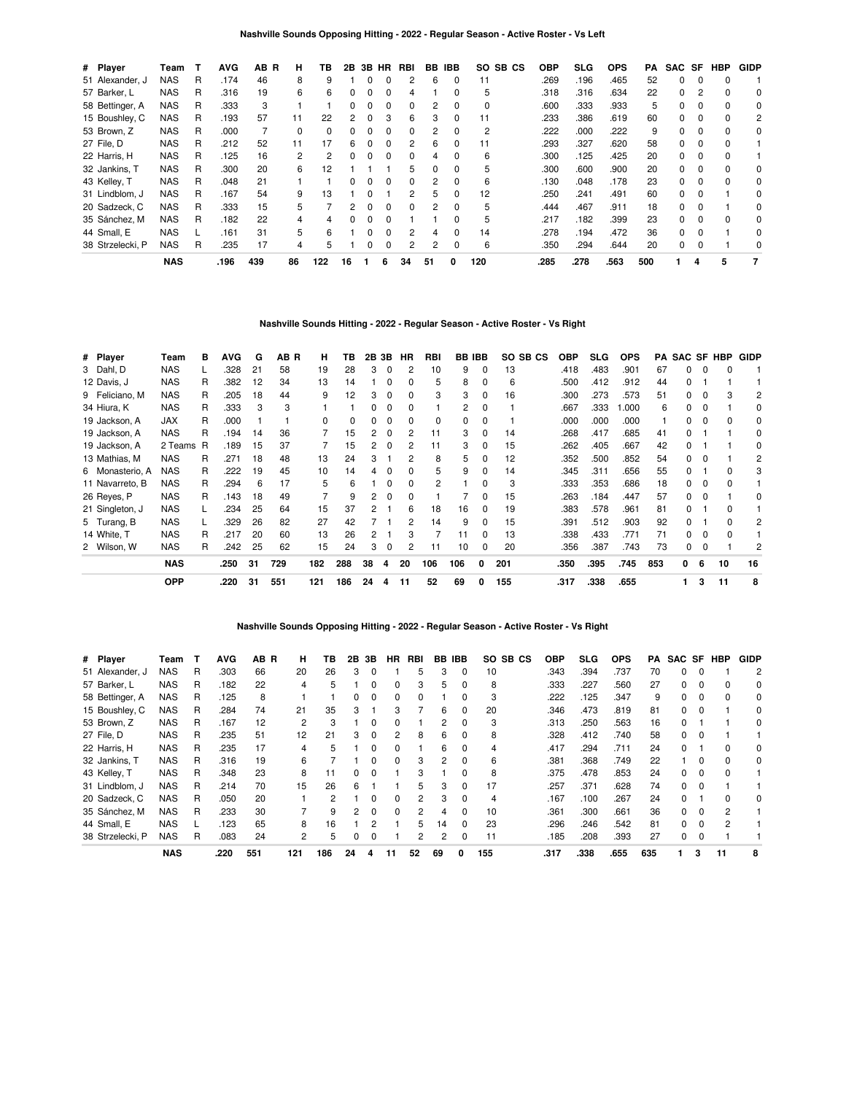| # Player         | Team       |   | <b>AVG</b> | AВ<br>R | н  | ΤВ  | 2B | 3B | <b>HR</b>    | RBI | BB | <b>IBB</b>   | SO.<br>SB CS | OBP  | <b>SLG</b> | <b>OPS</b> | PA  | SAC SF   |          | <b>HBP</b>   | <b>GIDP</b> |
|------------------|------------|---|------------|---------|----|-----|----|----|--------------|-----|----|--------------|--------------|------|------------|------------|-----|----------|----------|--------------|-------------|
| 51 Alexander, J  | NAS        | R | .174       | 46      | 8  | 9   |    |    |              | 2   | 6  | O            | 11           | .269 | .196       | .465       | 52  | $\Omega$ |          |              |             |
| 57 Barker, L     | <b>NAS</b> | R | .316       | 19      | 6  | 6   |    | 0  |              | 4   |    | 0            | 5            | .318 | .316       | .634       | 22  | 0        |          |              | 0           |
| 58 Bettinger, A  | NAS        | R | .333       | 3       |    |     | 0  | 0  | O            | 0   | 2  | 0            | 0            | .600 | .333       | .933       | 5   | $\Omega$ | 0        | <sup>0</sup> | 0           |
| 15 Boushley, C   | <b>NAS</b> | R | .193       | 57      | 11 | 22  | 2  | O  | з            | 6   | 3  | <sup>0</sup> | 11           | .233 | .386       | .619       | 60  | O.       | $\Omega$ | $\Omega$     | 2           |
| 53 Brown, Z      | <b>NAS</b> | R | .000       |         |    | 0   |    |    |              | 0   |    |              | 2            | .222 | .000       | .222       | 9   | 0        |          |              | 0           |
| 27 File, D       | <b>NAS</b> | R | .212       | 52      | 11 | 17  | 6  | 0  | <sup>0</sup> | 2   | 6  | 0            | 11           | .293 | .327       | .620       | 58  | $\Omega$ | $\Omega$ | 0            |             |
| 22 Harris, H     | <b>NAS</b> | R | .125       | 16      | 2  | 2   | 0  | O  | <sup>0</sup> | 0   | 4  | 0            | 6            | .300 | .125       | .425       | 20  | $\Omega$ | 0        |              |             |
| 32 Jankins, T    | <b>NAS</b> | R | .300       | 20      | 6  | 12  |    |    |              | 5   |    | <sup>0</sup> | 5            | .300 | .600       | .900       | 20  | O.       | $\Omega$ | $\Omega$     | 0           |
| 43 Kelley, T     | <b>NAS</b> | R | .048       | 21      |    |     |    |    |              | 0   |    | 0            | 6            | .130 | .048       | .178       | 23  | 0        |          |              | 0           |
| 31 Lindblom, J   | <b>NAS</b> | R | .167       | 54      | 9  | 13  |    | O  |              | 2   | 5  | 0            | 12           | .250 | .241       | .491       | 60  | $\Omega$ | 0        |              | 0           |
| 20 Sadzeck, C    | <b>NAS</b> | R | .333       | 15      | 5  |     |    | O  | <sup>0</sup> | 0   | 2  | <sup>0</sup> | 5            | .444 | .467       | .911       | 18  | $\Omega$ |          |              | $\Omega$    |
| 35 Sánchez, M    | <b>NAS</b> | R | .182       | 22      |    |     |    |    |              |     |    |              | 5            | .217 | .182       | .399       | 23  | O.       |          |              | 0           |
| 44 Small, E      | <b>NAS</b> |   | .161       | 31      | 5  | 6   |    | ŋ  | O            | 2   | 4  | 0            | 14           | .278 | .194       | .472       | 36  | $\Omega$ | 0        |              | 0           |
| 38 Strzelecki, P | NAS        | R | .235       | 17      | 4  | 5   |    | ŋ  | O            | 2   | 2  | 0            | 6            | .350 | .294       | .644       | 20  | $\Omega$ | $\Omega$ |              | $\Omega$    |
|                  | <b>NAS</b> |   | .196       | 439     | 86 | 122 | 16 |    | 6            | 34  | 51 | 0            | 120          | .285 | .278       | .563       | 500 |          | 4        | 5            | 7           |

# **Nashville Sounds Hitting - 2022 - Regular Season - Active Roster - Vs Right**

| # Player        | Team       | в | <b>AVG</b> | G  | AB R | н        | ΤВ       | 2B 3B |          | <b>HR</b> | <b>RBI</b> | <b>BB IBB</b> |          | SO SB CS | <b>OBP</b> | <b>SLG</b> | <b>OPS</b> | PA  |    |          | SAC SF HBP | <b>GIDP</b> |
|-----------------|------------|---|------------|----|------|----------|----------|-------|----------|-----------|------------|---------------|----------|----------|------------|------------|------------|-----|----|----------|------------|-------------|
| 3 Dahl, D       | <b>NAS</b> |   | .328       | 21 | 58   | 19       | 28       | 3     | 0        | 2         | 10         | 9             | 0        | 13       | .418       | .483       | .901       | 67  | 0  | $\Omega$ | 0          |             |
| 12 Davis, J     | <b>NAS</b> | R | .382       | 12 | 34   | 13       | 14       |       | 0        | 0         | 5          | 8             | 0        | 6        | .500       | .412       | .912       | 44  | 0  |          |            |             |
| 9 Feliciano, M  | <b>NAS</b> | R | .205       | 18 | 44   | 9        | 12       | 3     | 0        | 0         | 3          | 3             | 0        | 16       | .300       | .273       | .573       | 51  | 0  | $\Omega$ | 3          | 2           |
| 34 Hiura, K     | <b>NAS</b> | R | .333       | 3  | 3    |          |          | 0     | $\Omega$ | 0         |            | 2             | 0        |          | .667       | .333       | 1.000      | 6   | 0  | 0        |            | 0           |
| 19 Jackson, A   | JAX        | R | .000       |    |      | $\Omega$ | $\Omega$ | 0     | $\Omega$ | 0         | 0          | 0             | 0        |          | .000       | .000       | .000       |     | 0  | 0        | 0          | 0           |
| 19 Jackson, A   | <b>NAS</b> | R | .194       | 14 | 36   |          | 15       | 2     | 0        | 2         | 11         | 3             | 0        | 14       | .268       | .417       | .685       | 41  | 0  |          |            | 0           |
| 19 Jackson, A   | 2 Teams R  |   | .189       | 15 | 37   |          | 15       | 2     | 0        | 2         | 11         | 3             | 0        | 15       | .262       | .405       | .667       | 42  | 0  |          |            | 0           |
| 13 Mathias, M   | <b>NAS</b> | R | .271       | 18 | 48   | 13       | 24       | 3     |          |           | 8          | 5             | 0        | 12       | .352       | .500       | .852       | 54  | 0  |          |            | 2           |
| 6 Monasterio, A | <b>NAS</b> | R | .222       | 19 | 45   | 10       | 14       | 4     | 0        | 0         | 5          | 9             | 0        | 14       | .345       | .311       | .656       | 55  | 0  |          | 0          | 3           |
| 11 Navarreto, B | <b>NAS</b> | R | .294       | 6  | 17   | 5        | 6        |       | 0        | 0         | 2          |               | 0        | 3        | .333       | .353       | .686       | 18  | 0  | 0        | 0          |             |
| 26 Reyes, P     | <b>NAS</b> | R | .143       | 18 | 49   |          | 9        | 2     | 0        | 0         |            |               | 0        | 15       | .263       | .184       | .447       | 57  | 0  | 0        |            | 0           |
| 21 Singleton, J | <b>NAS</b> |   | .234       | 25 | 64   | 15       | 37       | 2     |          | 6         | 18         | 16            | 0        | 19       | .383       | .578       | .961       | 81  | 0  |          | 0          |             |
| 5 Turang, B     | <b>NAS</b> |   | .329       | 26 | 82   | 27       | 42       |       |          | 2         | 14         | 9             | 0        | 15       | .391       | .512       | .903       | 92  | 0  |          | ŋ          | 2           |
| 14 White, T     | <b>NAS</b> | R | .217       | 20 | 60   | 13       | 26       | 2     |          | 3         |            | 11            | 0        | 13       | .338       | .433       | .771       | 71  | 0  | n        | ŋ          |             |
| 2 Wilson, W     | <b>NAS</b> | R | .242       | 25 | 62   | 15       | 24       | 3     | 0        | 2         | 11         | 10            | 0        | 20       | .356       | .387       | .743       | 73  | 0  | $\Omega$ |            | 2           |
|                 | <b>NAS</b> |   | .250       | 31 | 729  | 182      | 288      | 38    | 4        | 20        | 106        | 106           | $\Omega$ | 201      | .350       | .395       | .745       | 853 | 0  | 6        | 10         | 16          |
|                 | <b>OPP</b> |   | .220       | 31 | 551  | 121      | 186      | 24    | 4        | 11        | 52         | 69            | 0        | 155      | .317       | .338       | .655       |     | 1. | 3        | 11         | 8           |

## **Nashville Sounds Opposing Hitting - 2022 - Regular Season - Active Roster - Vs Right**

| # Player         | Team       | т | <b>AVG</b> | AB R | н   | ΤВ  | 2В | 3В | <b>HR</b>    | <b>RBI</b> | BB | <b>IBB</b>   | SO SB CS | <b>OBP</b> | SLG  | <b>OPS</b> | PA  | SAC SF |          | <b>HBP</b> | <b>GIDP</b> |
|------------------|------------|---|------------|------|-----|-----|----|----|--------------|------------|----|--------------|----------|------------|------|------------|-----|--------|----------|------------|-------------|
| 51 Alexander, J  | NAS        | R | .303       | 66   | 20  | 26  | 3  | 0  |              | 5          | 3  | 0            | 10       | .343       | .394 | .737       | 70  | 0      |          |            | 2           |
| 57 Barker, L     | <b>NAS</b> | R | .182       | 22   | 4   | 5   |    | 0  | 0            | 3          | 5  | 0            | 8        | .333       | .227 | .560       | 27  | 0      |          |            | 0           |
| 58 Bettinger, A  | NAS        | R | .125       | 8    |     |     | 0  | 0  | <sup>0</sup> | 0          |    | <sup>0</sup> | 3        | .222       | .125 | .347       | 9   | 0      |          |            | $\Omega$    |
| 15 Boushley, C   | NAS        | R | .284       | 74   | 21  | 35  | 3  |    | з            |            | 6  | <sup>0</sup> | 20       | .346       | .473 | .819       | 81  | 0      |          |            | 0           |
| 53 Brown, Z      | <b>NAS</b> | R | .167       | 12   | 2   | 3   |    | 0  |              |            | 2  | 0            | 3        | .313       | .250 | .563       | 16  | 0      |          |            | 0           |
| 27 File, D       | <b>NAS</b> | R | .235       | 51   | 12  | 21  | 3  | 0  | 2            | 8          | 6  | 0            | 8        | .328       | .412 | .740       | 58  | 0      |          |            |             |
| 22 Harris, H     | NAS        | R | .235       | 17   | 4   | 5   |    | 0  | <sup>0</sup> |            | 6  | $\Omega$     | 4        | .417       | .294 | .711       | 24  | 0      |          |            | 0           |
| 32 Jankins, T    | <b>NAS</b> | R | .316       | 19   | 6   |     |    | ი  | 0            | 3          |    | 0            | 6        | .381       | .368 | .749       | 22  |        |          |            | 0           |
| 43 Kelley, T     | <b>NAS</b> | R | .348       | 23   | 8   | 11  | 0  | 0  |              | з          |    | O.           | 8        | .375       | .478 | .853       | 24  | 0      | $\Omega$ |            |             |
| 31 Lindblom, J   | NAS        | R | .214       | 70   | 15  | 26  | 6  |    |              | 5          | з  | <sup>0</sup> | 17       | 257        | .371 | .628       | 74  | 0      |          |            |             |
| 20 Sadzeck, C    | <b>NAS</b> | R | .050       | 20   |     | 2   |    | ი  | <sup>0</sup> | 2          | 3  | 0            | 4        | .167       | .100 | .267       | 24  | 0      |          |            | 0           |
| 35 Sánchez, M    | <b>NAS</b> | R | .233       | 30   |     | 9   | 2  | 0  | <sup>0</sup> | 2          | 4  | 0            | 10       | .361       | .300 | .661       | 36  | 0      | $\Omega$ |            |             |
| 44 Small, E      | <b>NAS</b> |   | .123       | 65   | 8   | 16  |    |    |              | 5          | 14 | $\Omega$     | 23       | .296       | .246 | .542       | 81  | 0      |          |            |             |
| 38 Strzelecki, P | <b>NAS</b> | R | .083       | 24   | 2   | 5   |    | n  |              | 2          | 2  | 0            | 11       | .185       | .208 | .393       | 27  | 0      |          |            |             |
|                  | <b>NAS</b> |   | .220       | 551  | 121 | 186 | 24 |    | 11           | 52         | 69 | 0            | 155      | .317       | .338 | .655       | 635 |        | 3        | 11         |             |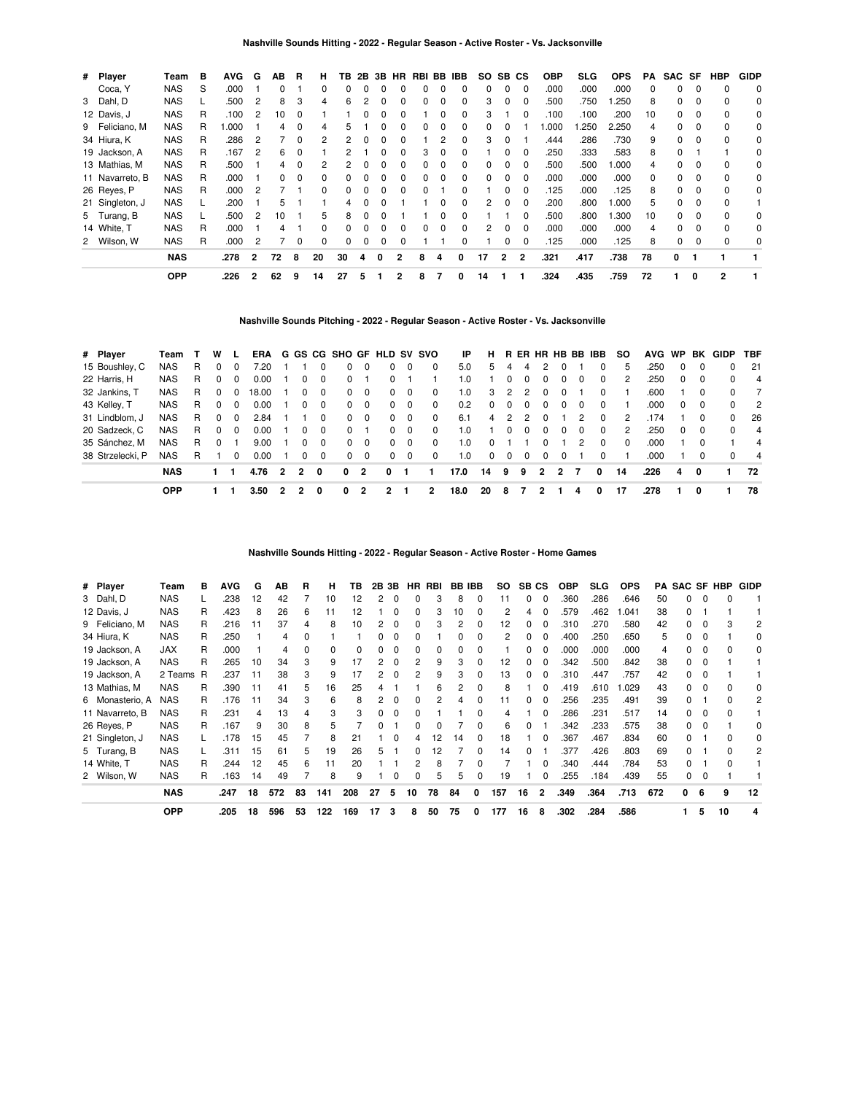| # Player        | Team       | в | <b>AVG</b> | G              | AВ | R        | н            | TB           | 2B | 3B | HR.          | RBI BB IBB |          |          |              | SO SB CS       |                | <b>OBP</b> | <b>SLG</b> | <b>OPS</b> | PA | SAC SF   |              | <b>HBP</b>     | <b>GIDP</b> |
|-----------------|------------|---|------------|----------------|----|----------|--------------|--------------|----|----|--------------|------------|----------|----------|--------------|----------------|----------------|------------|------------|------------|----|----------|--------------|----------------|-------------|
| Coca, Y         | <b>NAS</b> | S | .000       |                | 0  |          | 0            | 0            | 0  |    |              | 0          | $\Omega$ | 0        | 0            | $\Omega$       | $\Omega$       | .000       | .000       | .000       | 0  | 0        | n            | $\Omega$       | 0           |
| 3 Dahl, D       | <b>NAS</b> |   | .500       |                | 8  | 3        | 4            | 6            |    |    |              |            |          | 0        | 3            | $\Omega$       | $\Omega$       | .500       | .750       | .250       | 8  | 0        | $\Omega$     | $\Omega$       | 0           |
| 12 Davis, J     | <b>NAS</b> | R | .100       | 2              | 10 |          |              |              |    |    |              |            |          | 0        | 3            |                | 0              | .100       | .100       | .200       | 10 | 0        |              | $\Omega$       | 0           |
| 9 Feliciano, M  | <b>NAS</b> | R | .000       |                | 4  | 0        | 4            | 5            |    |    |              |            |          | 0        | 0            |                |                | .000       | .250       | 2.250      | 4  | 0        |              | 0              | 0           |
| 34 Hiura, K     | <b>NAS</b> | R | .286       | 2              |    | 0        |              |              | 0  |    | 0            |            |          | 0        | 3            | 0              |                | .444       | .286       | .730       | 9  | 0        | $\Omega$     | 0              | 0           |
| 19 Jackson, A   | <b>NAS</b> | R | .167       | 2              | 6  | 0        |              |              |    |    | $\Omega$     | 3          | $\Omega$ | 0        |              | $\Omega$       | $\Omega$       | .250       | .333       | .583       | 8  | 0        |              |                | 0           |
| 13 Mathias, M   | <b>NAS</b> | R | .500       |                | 4  | $\Omega$ | 2            |              |    |    |              |            |          | 0        | <sup>0</sup> | <sup>0</sup>   | $\Omega$       | .500       | .500       | .000       | 4  | $\Omega$ | n            | $\Omega$       | 0           |
| 11 Navarreto, B | <b>NAS</b> | R | .000       |                | 0  | 0        | 0            |              |    |    |              |            |          | 0        |              | $\Omega$       | $\Omega$       | .000       | .000       | .000       | 0  | 0        | <sup>0</sup> | $\Omega$       | 0           |
| 26 Reyes, P     | <b>NAS</b> | R | .000       |                |    |          | $\Omega$     | 0            | 0  |    |              |            |          | 0        |              | $\Omega$       | $\Omega$       | .125       | .000       | .125       | 8  | 0        |              | $\Omega$       | 0           |
| 21 Singleton, J | <b>NAS</b> |   | .200       |                | 5  |          |              |              |    |    |              |            |          | 0        | 2            | 0              | $\mathbf 0$    | .200       | .800       | .000       | 5  | 0        | 0            | $\Omega$       |             |
| 5 Turang, B     | <b>NAS</b> |   | .500       | 2              | 10 |          | 5            | 8            | 0  |    |              |            |          | 0        |              |                | $\Omega$       | .500       | .800       | .300       | 10 | 0        | $\Omega$     | $\Omega$       | 0           |
| 14 White, T     | <b>NAS</b> | R | .000       |                | 4  |          | <sup>0</sup> | <sup>0</sup> | 0  |    | <sup>n</sup> | $\Omega$   | $\Omega$ | $\Omega$ | 2            | $\Omega$       | $\Omega$       | .000       | .000       | .000       | 4  | 0        | $\Omega$     | $\Omega$       | $\Omega$    |
| 2 Wilson, W     | <b>NAS</b> | R | .000       | 2              |    | $\Omega$ | $\Omega$     | 0            | 0  | 0  | 0            |            |          | 0        |              | 0              | $\Omega$       | .125       | .000       | .125       | 8  | 0        | $\Omega$     | 0              | 0           |
|                 | <b>NAS</b> |   | .278       | $\overline{2}$ | 72 | 8        | 20           | 30           | 4  | 0  |              | 8          | 4        | 0        | 17           | $\overline{2}$ | $\overline{2}$ | .321       | .417       | .738       | 78 | 0        |              |                |             |
|                 | <b>OPP</b> |   | .226       | 2              | 62 | 9        | 14           | 27           | 5  |    |              | 8          |          | 0        | 14           |                |                | .324       | .435       | .759       | 72 |          | 0            | $\overline{2}$ |             |

**Nashville Sounds Pitching - 2022 - Regular Season - Active Roster - Vs. Jacksonville**

| # Player         | Team       |    | w        |          |       |                |                |              | ERA G GS CG SHO GF HLD SV SVO |          |            |          |          | IP   | н.       |                |          |          |              |          | R ER HR HB BB IBB | <b>SO</b> |      |              |          | AVG WP BK GIDP | <b>TBF</b>     |
|------------------|------------|----|----------|----------|-------|----------------|----------------|--------------|-------------------------------|----------|------------|----------|----------|------|----------|----------------|----------|----------|--------------|----------|-------------------|-----------|------|--------------|----------|----------------|----------------|
| 15 Boushley, C   | <b>NAS</b> | R. | 0        | 0        | 7.20  |                |                |              | 0                             | $\Omega$ | 0          | 0        | $\Omega$ | 5.0  | 5        | 4              | 4        |          |              |          | 0                 | 5.        | .250 | 0            | 0        | 0              | 21             |
| 22 Harris, H     | <b>NAS</b> | R. | $\Omega$ | 0        | 0.00  |                | 0              | $\Omega$     | $\Omega$                      |          | 0          |          |          | 1.0  |          | 0              | $\Omega$ | $\Omega$ | 0            | $\Omega$ | $\Omega$          | 2         | .250 | $\Omega$     | 0        | <sup>0</sup>   | 4              |
| 32 Jankins, T    | <b>NAS</b> | R  | $\Omega$ | $\Omega$ | 18.00 |                | 0              | $\Omega$     | $\Omega$                      | $\Omega$ | 0          | $\Omega$ | $\Omega$ | 1.0  | 3        | 2              | 2        | $\Omega$ | 0            |          | 0                 |           | .600 |              | 0        | <sup>0</sup>   | 7              |
| 43 Kelley, T     | <b>NAS</b> | R. | $\Omega$ | $\Omega$ | 0.00  |                | 0              | $\Omega$     | $\Omega$                      | $\Omega$ | $\Omega$   | $\Omega$ | $\Omega$ | 0.2  | $\Omega$ | $\Omega$       | $\Omega$ | $\Omega$ | <sup>0</sup> | $\Omega$ | $\Omega$          |           | .000 | <sup>o</sup> | $\Omega$ | $\Omega$       | $\overline{2}$ |
| 31 Lindblom, J   | <b>NAS</b> | R. | $\Omega$ | $\Omega$ | 2.84  |                |                | $\Omega$     | $\Omega$                      | $\Omega$ | $\Omega$   | $\Omega$ | $\Omega$ | 6.1  | 4        | $\overline{2}$ | 2        | $\Omega$ |              | 2        | 0                 | 2         | .174 |              | 0        | $\Omega$       | 26             |
| 20 Sadzeck, C    | <b>NAS</b> | R. | $\Omega$ | $\Omega$ | 0.00  |                | 0              | $\Omega$     | $\Omega$                      |          | 0          | 0        | $\Omega$ | 1.0  |          | 0              |          |          | 0            | 0        | 0                 | 2         | .250 | 0            |          | <sup>n</sup>   | 4              |
| 35 Sánchez, M    | <b>NAS</b> | R. | $\Omega$ |          | 9.00  |                | 0              | $\Omega$     | $\Omega$                      | $\Omega$ | $^{\circ}$ | $\Omega$ | $\Omega$ | 1.0  | $\Omega$ |                |          |          |              |          | 0                 | $\Omega$  | .000 |              | 0        |                | 4              |
| 38 Strzelecki, P | <b>NAS</b> | R. |          | $\Omega$ | 0.00  |                | $\Omega$       | 0            | $\Omega$                      | $\Omega$ | $\Omega$   | $\Omega$ | $\Omega$ | 1.0  | $\Omega$ | $\Omega$       | $\Omega$ | $\Omega$ | 0            |          | 0                 |           | .000 |              | 0        |                | 4              |
|                  | <b>NAS</b> |    |          |          | 4.76  | $\overline{2}$ | $\overline{2}$ | $\mathbf{0}$ | 0                             | - 2      | 0          | 1        |          | 17.0 | 14       | 9              | 9        | 2        | 2            | 7        | 0                 | 14        | .226 | 4            | 0        |                | 72             |
|                  | <b>OPP</b> |    |          |          | 3.50  |                |                | 0            | 0                             | 2        | 2          |          | 2        | 18.0 | 20       | 8              |          |          |              | 4        | 0                 | 17        | .278 |              | 0        |                | 78             |

**Nashville Sounds Hitting - 2022 - Regular Season - Active Roster - Home Games**

| # Player  |                 | Team       | в | <b>AVG</b> | G  | AВ  | R  | н   | ΤВ  |    | 2B 3B | HR | RBI | <b>BB IBB</b> |          | SO  | SB <sub>CS</sub> |                | <b>OBP</b> | <b>SLG</b> | <b>OPS</b> | PA  | SAC SF HBP   |          |    | <b>GIDP</b> |
|-----------|-----------------|------------|---|------------|----|-----|----|-----|-----|----|-------|----|-----|---------------|----------|-----|------------------|----------------|------------|------------|------------|-----|--------------|----------|----|-------------|
| 3 Dahl, D |                 | <b>NAS</b> |   | .238       | 12 | 42  |    | 10  | 12  |    |       |    | 3   | 8             | 0        | 11  | 0                | $\Omega$       | .360       | .286       | .646       | 50  | 0            | 0        |    |             |
|           | 12 Davis, J     | <b>NAS</b> | R | .423       | 8  | 26  | 6  | 11  | 12  |    |       |    | 3   | 10            |          | 2   | 4                | $\Omega$       | .579       | .462       | 1.041      | 38  |              |          |    |             |
|           | 9 Feliciano, M  | <b>NAS</b> | R | .216       | 11 | 37  |    | 8   | 10  |    | 0     |    | 3   | 2             |          | 12  | 0                | 0              | .310       | .270       | .580       | 42  |              |          |    | 2           |
|           | 34 Hiura, K     | <b>NAS</b> | R | .250       |    | 4   |    |     |     |    |       |    |     |               |          | 2   | 0                | 0              | .400       | .250       | .650       | 5.  |              |          |    |             |
|           | 19 Jackson, A   | JAX        | R | .000       |    | 4   |    | 0   | 0   |    |       |    | 0   | 0             |          |     | 0                | $\Omega$       | .000       | .000       | .000       | 4   |              | 0        |    | 0           |
|           | 19 Jackson, A   | <b>NAS</b> | R | .265       | 10 | 34  | 3  | 9   | 17  |    |       |    | 9   | 3             | 0        | 12  | 0                | 0              | .342       | .500       | .842       | 38  | 0            |          |    |             |
|           | 19 Jackson, A   | 2 Teams R  |   | .237       | 11 | 38  | 3  | 9   | 17  |    |       |    | 9   | 3             | 0        | 13  | 0                | $\Omega$       | .310       | .447       | .757       | 42  | 0            |          |    |             |
|           | 13 Mathias, M   | <b>NAS</b> | R | .390       | 11 | 41  | 5  | 16  | 25  |    |       |    | 6   |               |          | 8   |                  | 0              | .419       | .610       | 1.029      | 43  |              |          |    | 0           |
|           | 6 Monasterio, A | <b>NAS</b> | R | .176       | 11 | 34  | 3  | 6   | 8   |    | 0     |    |     |               |          | 11  | 0                | 0              | .256       | .235       | .491       | 39  |              |          |    | 2           |
|           | 11 Navarreto, B | <b>NAS</b> | R | .231       | 4  | 13  |    | 3   | 3   |    | 0     |    |     |               |          |     |                  | $\Omega$       | .286       | .231       | .517       | 14  | 0            | $\Omega$ |    |             |
|           | 26 Reyes, P     | <b>NAS</b> | R | .167       | 9  | 30  | 8  | 5   |     |    |       |    |     |               | 0        | 6   | 0                |                | .342       | .233       | .575       | 38  | 0            |          |    | 0           |
|           | 21 Singleton, J | <b>NAS</b> |   | .178       | 15 | 45  |    | 8   | 21  |    | 0     |    | 12  | 14            | $\Omega$ | 18  |                  | $\Omega$       | .367       | .467       | .834       | 60  | <sup>0</sup> |          |    | 0           |
|           | 5 Turang, B     | <b>NAS</b> |   | .311       | 15 | 61  | 5  | 19  | 26  |    |       | 0  | 12  |               | 0        | 14  | 0                |                | .377       | .426       | .803       | 69  | 0            |          | 0  | 2           |
|           | 14 White, T     | <b>NAS</b> | R | .244       | 12 | 45  | 6  | 11  | 20  |    |       |    | 8   |               |          |     |                  | $\Omega$       | .340       | .444       | .784       | 53  | $\Omega$     |          |    |             |
|           | 2 Wilson, W     | <b>NAS</b> | R | .163       | 14 | 49  |    | 8   | 9   |    |       |    | 5   | 5             | 0        | 19  |                  | 0              | .255       | .184       | .439       | 55  | 0            | $\Omega$ |    |             |
|           |                 | <b>NAS</b> |   | .247       | 18 | 572 | 83 | 141 | 208 | 27 | 5     | 10 | 78  | 84            | 0        | 157 | 16               | $\overline{2}$ | .349       | .364       | .713       | 672 | n.           | 6        | 9  | 12          |
|           |                 | <b>OPP</b> |   | .205       | 18 | 596 | 53 | 122 | 169 | 17 | 3     | 8  | 50  | 75            | 0        | 177 | 16               | 8              | .302       | .284       | .586       |     |              | 5        | 10 | 4           |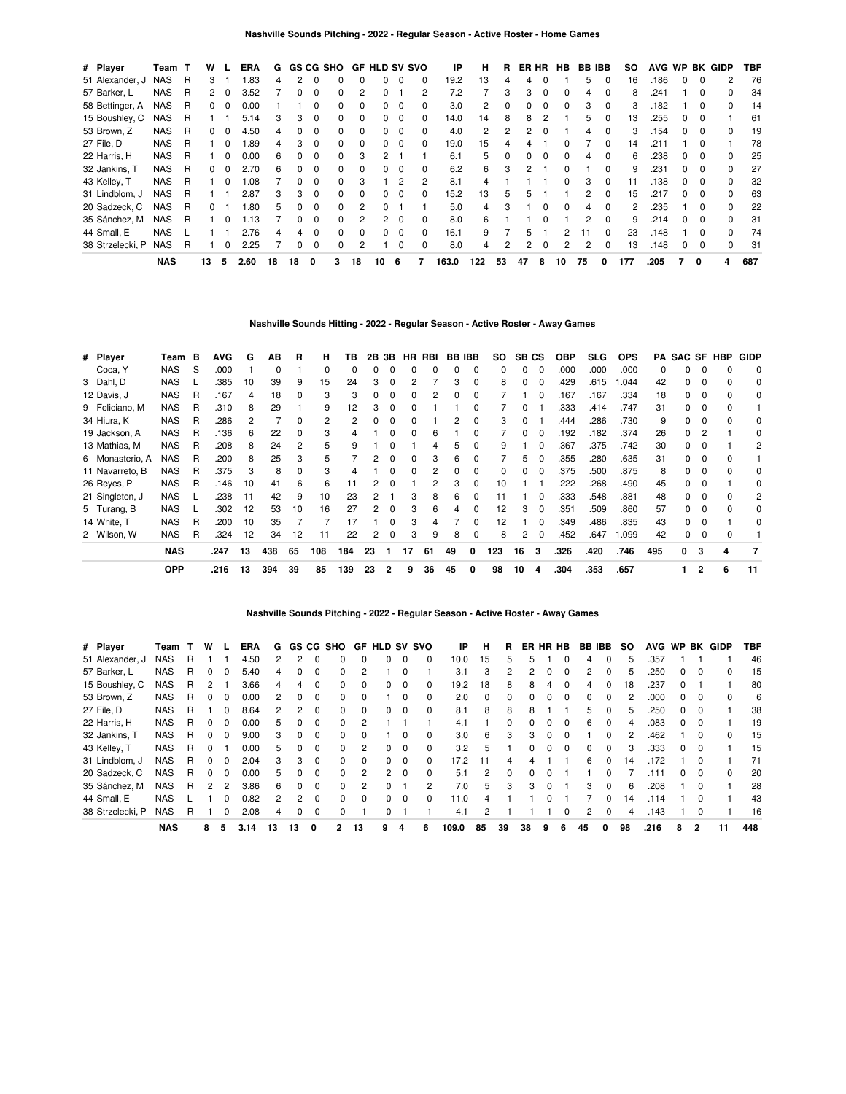| # Player         | Team       | т | w            |              | <b>ERA</b> | G  |              | <b>GS CG SHO</b> |              |                | <b>GF HLD SV SVO</b> |          |          | ΙP    | н   | R        | ER HR |          | <b>HB</b>    | <b>BB IBB</b> |              | SO. |      |   |              | AVG WP BK GIDP | TBF |
|------------------|------------|---|--------------|--------------|------------|----|--------------|------------------|--------------|----------------|----------------------|----------|----------|-------|-----|----------|-------|----------|--------------|---------------|--------------|-----|------|---|--------------|----------------|-----|
| 51 Alexander, J  | <b>NAS</b> | R | 3            |              | .83        | 4  |              |                  |              |                | 0                    | $\Omega$ | 0        | 19.2  | 13  |          | 4     |          |              | 5             | 0            | 16  | .186 | 0 | 0            | 2              | 76  |
| 57 Barker, L     | NAS        | R | 2            | 0            | 3.52       |    |              |                  |              |                |                      |          | 2        | 7.2   |     | з        | 3     | 0        |              | 4             | 0            | 8   | .241 |   | 0            | 0              | 34  |
| 58 Bettinger, A  | NAS        | R | $\mathbf{0}$ | 0            | 0.00       |    |              |                  | $\Omega$     | $\Omega$       | $\Omega$             | $\Omega$ | 0        | 3.0   | 2   |          | 0     | $\Omega$ | 0            | 3             | 0            | 3   | .182 |   | 0            | 0              | 14  |
| 15 Boushley, C   | <b>NAS</b> | R |              |              | 5.14       | 3  | з            | $\Omega$         | <sup>0</sup> | $\Omega$       | 0                    | $\Omega$ | 0        | 14.0  | 14  | 8        | 8     | 2        |              | 5             | 0            | 13  | 255  | 0 | $\Omega$     |                | 61  |
| 53 Brown, Z      | <b>NAS</b> | R | 0            |              | 4.50       | 4  |              |                  |              | $\Omega$       | 0                    | $\Omega$ | 0        | 4.0   | 2   |          | 2     |          |              | 4             |              | 3   | .154 |   | O            | <sup>0</sup>   | 19  |
| 27 File, D       | <b>NAS</b> | R |              | 0            | .89        | 4  | 3            | $\Omega$         | $\Omega$     | $\Omega$       | $\Omega$             | $\Omega$ | 0        | 19.0  | 15  |          |       |          |              |               | 0            | 14  | .211 |   | 0            |                | 78  |
| 22 Harris, H     | <b>NAS</b> | R |              | <sup>0</sup> | 0.00       | 6  | <sup>0</sup> | $\Omega$         | $\Omega$     | 3              | 2                    |          |          | 6.1   | 5   | $\Omega$ | 0     | $\Omega$ | 0            | 4             | 0            | 6   | .238 | 0 | 0            | <sup>0</sup>   | 25  |
| 32 Jankins, T    | <b>NAS</b> | R | 0            | <sup>0</sup> | 2.70       | 6  |              | $\Omega$         | <sup>0</sup> | $\Omega$       | <sup>o</sup>         | $\Omega$ | 0        | 6.2   | 6   | 3        | 2     |          |              |               | <sup>0</sup> | 9   | 231  |   | $\Omega$     |                | 27  |
| 43 Kelley, T     | NAS        | R |              |              | 0.08       |    |              |                  | 0            | 3              |                      | 2        | 2        | 8.1   | 4   |          |       |          | <sup>0</sup> | 3             |              | 11  | .138 | 0 | 0            |                | 32  |
| 31 Lindblom, J   | NAS        | R |              |              | 2.87       | 3  | 3            | $\Omega$         | $\Omega$     | $\Omega$       | $\Omega$             | $\Omega$ | 0        | 15.2  | 13  | 5        | 5     |          |              | 2             | 0            | 15  | .217 | 0 | $\Omega$     | 0              | 63  |
| 20 Sadzeck, C    | <b>NAS</b> | R | 0            |              | .80        | 5  | <sup>n</sup> | $\Omega$         | <sup>0</sup> | 2              | <sup>o</sup>         |          |          | 5.0   | 4   | 3        |       | $\Omega$ | <sup>0</sup> | 4             | $\Omega$     | 2   | .235 |   | <sup>0</sup> | <sup>n</sup>   | 22  |
| 35 Sánchez, M    | <b>NAS</b> | R |              |              | 1.13       |    |              | $\Omega$         | <sup>0</sup> |                | 2                    | $\Omega$ | $\Omega$ | 8.0   | 6   |          |       |          |              | 2             | <sup>0</sup> | 9   | .214 |   | <sup>0</sup> |                | 31  |
| 44 Small, E      | <b>NAS</b> |   |              |              | 2.76       | 4  | 4            | $\Omega$         | $\Omega$     | $\Omega$       | $\Omega$             | $\Omega$ | 0        | 16.1  | 9   |          | 5.    |          | 2            |               | $\Omega$     | 23  | .148 |   | 0            | <sup>0</sup>   | 74  |
| 38 Strzelecki, P | <b>NAS</b> | R |              | 0            | 2.25       |    |              | $\Omega$         | $\Omega$     | $\overline{2}$ |                      | 0        | $\Omega$ | 8.0   | 4   |          | 2     | $\Omega$ | 2            | 2             | 0            | 13  | .148 | 0 | 0            | $\Omega$       | 31  |
|                  | <b>NAS</b> |   | 13           | 5            | 2.60       | 18 | 18           | 0                | 3            | 18             | 10                   | -6       | 7        | 163.0 | 122 | 53       | 47    | 8        | 10           | 75            | 0            | 177 | .205 |   | 0            | 4              | 687 |

## **Nashville Sounds Hitting - 2022 - Regular Season - Active Roster - Away Games**

| # Player        | Team       | В | <b>AVG</b> | G  | AВ  | R  | н   | ΤВ  | 2В | 3B             | HR | RBI | <b>BB IBB</b> |          | so  | SB <sub>CS</sub> |              | <b>OBP</b> | <b>SLG</b> | <b>OPS</b> |          | PA SAC SF |              | <b>HBP</b> | <b>GIDP</b> |
|-----------------|------------|---|------------|----|-----|----|-----|-----|----|----------------|----|-----|---------------|----------|-----|------------------|--------------|------------|------------|------------|----------|-----------|--------------|------------|-------------|
| Coca, Y         | <b>NAS</b> | S | .000       |    | 0   |    |     |     |    | 0              |    |     |               | 0        | 0   |                  | 0            | .000       | .000       | .000       | $\Omega$ |           |              |            | 0           |
| 3 Dahl, D       | <b>NAS</b> |   | .385       | 10 | 39  | 9  | 15  | 24  | 3  | 0              |    |     | 3             | 0        | 8   | o                | $\Omega$     | .429       | .615       | .044       | 42       |           | <sup>0</sup> |            | $\Omega$    |
| 12 Davis, J     | <b>NAS</b> | R | .167       | 4  | 18  | 0  | 3   | 3   | 0  | 0              |    |     | o             | 0        |     |                  |              | .167       | .167       | .334       | 18       | n.        | <sup>0</sup> |            | 0           |
| 9 Feliciano, M  | <b>NAS</b> | R | .310       | 8  | 29  |    | 9   | 12  | 3  | $\Omega$       |    |     |               |          |     |                  |              | .333       | .414       | .747       | 31       |           | $\Omega$     |            |             |
| 34 Hiura, K     | <b>NAS</b> | R | .286       | 2  |     |    |     |     |    | 0              |    |     |               |          | З   |                  |              | .444       | .286       | .730       | 9        |           |              |            | 0           |
| 19 Jackson, A   | <b>NAS</b> | R | .136       | 6  | 22  |    |     |     |    |                |    | 6   |               |          |     |                  |              | .192       | .182       | .374       | 26       |           |              |            | 0           |
| 13 Mathias, M   | <b>NAS</b> | R | .208       | 8  | 24  | 2  |     |     |    |                |    |     | 5             | 0        | 9   |                  |              | .367       | .375       | .742       | 30       |           |              |            | 2           |
| 6 Monasterio, A | <b>NAS</b> | R | .200       | 8  | 25  | 3  |     |     |    | O              |    |     | 6             |          |     | 5                |              | .355       | .280       | .635       | 31       |           |              |            |             |
| 11 Navarreto, B | <b>NAS</b> | R | .375       | 3  | 8   | 0  |     |     |    | 0              |    |     |               | 0        | 0   |                  | 0            | .375       | .500       | .875       | 8        |           |              |            | 0           |
| 26 Reves, P     | <b>NAS</b> | R | .146       | 10 | 41  | 6  | 6   | 11  |    | 0              |    |     | 3             | $\Omega$ | 10  |                  |              | .222       | .268       | .490       | 45       | n.        | 0            |            | 0           |
| 21 Singleton, J | <b>NAS</b> |   | .238       | 11 | 42  | 9  | 10  | 23  | 2  |                | 3  | 8   | 6             | $\Omega$ | 11  |                  | <sup>0</sup> | .333       | .548       | .881       | 48       |           | <sup>n</sup> |            | 2           |
| 5 Turang, B     | <b>NAS</b> |   | .302       | 12 | 53  | 10 | 16  | 27  |    | $\Omega$       | з  | 6   | 4             | ŋ        | 12  | з                | $\Omega$     | .351       | .509       | .860       | 57       | n         | n            |            | $\Omega$    |
| 14 White, T     | <b>NAS</b> | R | .200       | 10 | 35  |    |     | 17  |    | ŋ              |    |     |               |          | 12  |                  |              | .349       | .486       | .835       | 43       |           |              |            |             |
| 2 Wilson, W     | <b>NAS</b> | R | .324       | 12 | 34  | 12 | 11  | 22  | 2  | 0              | 3  | 9   | 8             | 0        | 8   |                  |              | .452       | .647       | 1.099      | 42       |           |              |            |             |
|                 | <b>NAS</b> |   | .247       | 13 | 438 | 65 | 108 | 184 | 23 |                | 17 | 61  | 49            | 0        | 123 | 16               | 3            | .326       | .420       | .746       | 495      | 0         | 3            | 4          |             |
|                 | <b>OPP</b> |   | .216       | 13 | 394 | 39 | 85  | 139 | 23 | $\overline{2}$ | 9  | 36  | 45            | 0        | 98  | 10               | 4            | .304       | .353       | .657       |          |           |              | 6          | 11          |

## **Nashville Sounds Pitching - 2022 - Regular Season - Active Roster - Away Games**

| # Player         | Team       |   | w            |              | ERA  | G  |    |          | GS CG SHO    | GF.      |              |          | HLD SV SVO | IP    | н        | R            | ER           | HR HB        |          | <b>BB IBB</b>  |          | so | <b>AVG</b> | <b>WP</b> | BK           | GIDP         | TBF |
|------------------|------------|---|--------------|--------------|------|----|----|----------|--------------|----------|--------------|----------|------------|-------|----------|--------------|--------------|--------------|----------|----------------|----------|----|------------|-----------|--------------|--------------|-----|
| 51 Alexander, J  | <b>NAS</b> | R |              |              | 4.50 | 2  | 2  |          |              |          |              | 0        | 0          | 10.0  | 15       | 5            | 'n.          |              |          | 4              | 0        | 5  | .357       |           |              |              | 46  |
| 57 Barker, L     | <b>NAS</b> | R | 0            | 0            | 5.40 | 4  | 0  | $\Omega$ | 0            | 2        |              | 0        |            | 3.1   | 3        | 2            | 2            | $\Omega$     | $\Omega$ | 2              | $\Omega$ | 5  | .250       | 0         | - 0          | 0            | 15  |
| 15 Boushley, C   | <b>NAS</b> | R | 2            |              | 3.66 | 4  | 4  | $\Omega$ | 0            |          | 0            | 0        | 0          | 19.2  | 18       | 8            | 8            | 4            | $\Omega$ |                | 0        | 18 | .237       |           |              |              | 80  |
| 53 Brown. Z      | <b>NAS</b> | R | 0            | <sup>0</sup> | 0.00 | 2  | 0  | $\Omega$ | <sup>0</sup> | 0        |              | $\Omega$ | $\Omega$   | 2.0   | $\Omega$ | <sup>0</sup> | <sup>0</sup> | $\Omega$     | $\Omega$ | 0              | $\Omega$ | 2  | .000       | O.        | - 0          | <sup>0</sup> | 6   |
| 27 File, D       | <b>NAS</b> | R |              | 0            | 8.64 | 2  | 2  | $\Omega$ | <sup>0</sup> | 0        | 0            | 0        | 0          | 8.1   | 8        | 8            | 8            |              |          | 5              |          | 5  | .250       | 0         |              |              | 38  |
| 22 Harris, H     | <b>NAS</b> | R | 0            | 0            | 0.00 | 5  | O. | $\Omega$ | <sup>0</sup> | 2        |              |          |            | 4.1   |          | <sup>0</sup> | <sup>n</sup> | $\Omega$     | $\Omega$ | 6              | $\Omega$ | 4  | .083       | 0         | - 0          |              | 19  |
| 32 Jankins, T    | <b>NAS</b> | R | 0            |              | 9.00 | 3  | n. |          | <sup>0</sup> |          |              |          | 0          | 3.0   | 6        | 3            | 3            | $\Omega$     |          |                |          | 2  | .462       |           |              | $\Omega$     | 15  |
| 43 Kelley, T     | <b>NAS</b> | R | <sup>0</sup> |              | 0.00 | 5  | O. | $\Omega$ | <sup>0</sup> | 2        | <sup>0</sup> | 0        | $\Omega$   | 3.2   | 5        |              |              | $\Omega$     | $\Omega$ | $\Omega$       | $\Omega$ | 3  | .333       | 0         | $\Omega$     |              | 15  |
| 31 Lindblom, J   | <b>NAS</b> | R | 0            | <sup>0</sup> | 2.04 | 3  | 3  | $\Omega$ | <sup>0</sup> | $\Omega$ | <sup>0</sup> | 0        | 0          | 17.2  | 11       |              |              |              |          | 6              | $\Omega$ | 14 | 172        |           |              |              | 71  |
| 20 Sadzeck, C    | <b>NAS</b> | R | 0            | 0            | 0.00 | 5  | 0  | $\Omega$ | $\Omega$     | 2        | 2            | $\Omega$ | $\Omega$   | 5.1   | 2        | <sup>0</sup> |              |              |          |                | 0        |    | 111        | 0         | - 0          | 0            | 20  |
| 35 Sánchez, M    | <b>NAS</b> | R | 2            | 2            | 3.86 | 6  | 0  | $\Omega$ | $\Omega$     | 2        | 0            |          | 2          | 7.0   | 5        | 3            | 3            | <sup>0</sup> |          | 3              | $\Omega$ | 6  | 208        |           | $\Omega$     |              | 28  |
| 44 Small, E      | <b>NAS</b> |   |              | 0            | 0.82 | 2  | 2  | $\Omega$ | 0            | 0        | 0            | 0        | 0          | 11.0  |          |              |              | <sup>0</sup> |          |                | $^{(1)}$ | 14 | .114       |           | <sup>0</sup> |              | 43  |
| 38 Strzelecki, P | <b>NAS</b> | R |              |              | 2.08 | 4  | 0  | $\Omega$ | $\Omega$     |          | $\Omega$     |          |            | 4.1   | 2        |              |              |              | $\Omega$ | $\mathfrak{p}$ | $\Omega$ | 4  | .143       |           |              |              | 16  |
|                  | <b>NAS</b> |   | 8            | 5            | 3.14 | 13 | 13 | 0        | $\mathbf{2}$ | 13       | 9            | 4        | 6          | 109.0 | 85       | 39           | 38           | 9            | 6.       | 45             | 0        | 98 | .216       | 8         | 2            | 11           | 448 |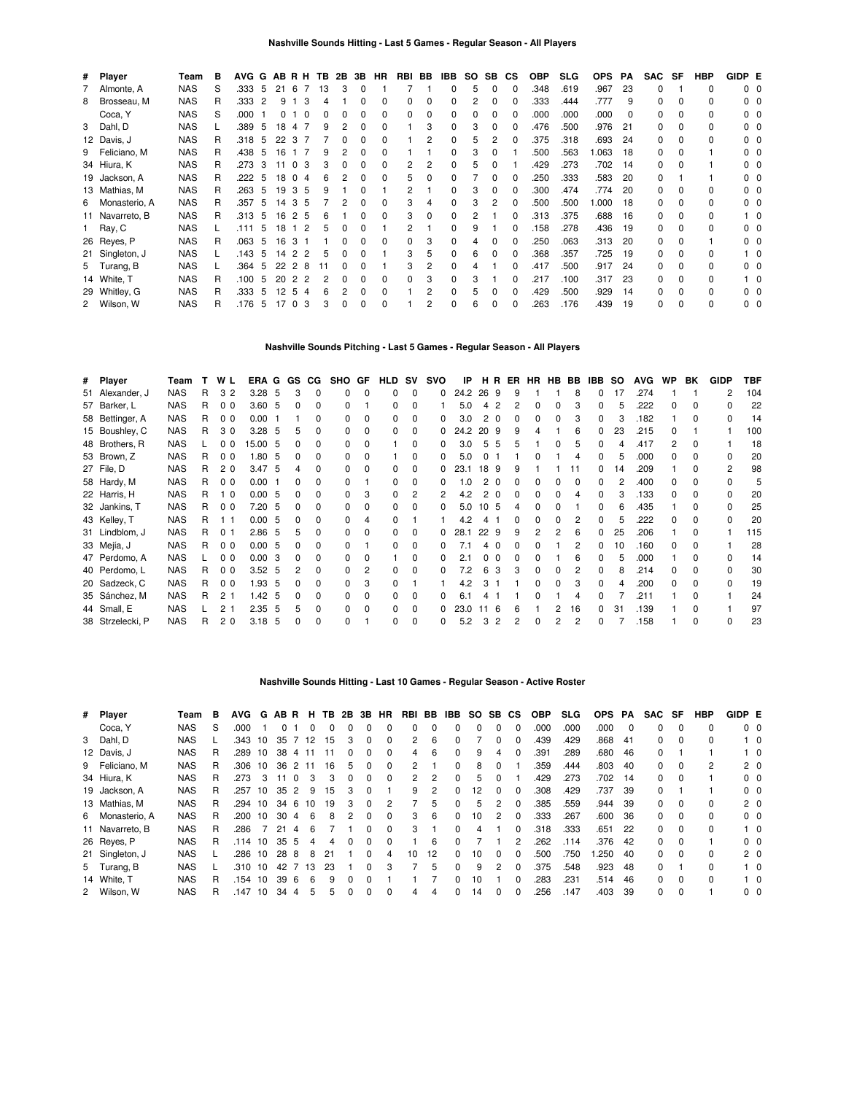| # Player        | Team       | в  | AVG G |    | ABRH |                |          | TB. | 2B | 3B | <b>HR</b>    | RBI | BB | IBB | SO.      | SB.          | СS       | <b>OBP</b> | <b>SLG</b> | <b>OPS</b> | РA  | <b>SAC</b>   | SF           | <b>HBP</b> | GIDP E |                |
|-----------------|------------|----|-------|----|------|----------------|----------|-----|----|----|--------------|-----|----|-----|----------|--------------|----------|------------|------------|------------|-----|--------------|--------------|------------|--------|----------------|
| 7 Almonte, A    | <b>NAS</b> | S  | .333  | 5  | 21   | -6             |          | 13  | 3  | 0  |              |     |    |     | 5        | 0            | $\Omega$ | .348       | .619       | .967       | 23  | 0            |              | 0          |        | 0 <sub>0</sub> |
| 8 Brosseau, M   | <b>NAS</b> | R  | .333  | 2  | 9    |                | 3        |     |    |    | <sup>0</sup> | 0   | 0  |     | 2        | 0            | O        | .333       | .444       | .777       | 9   | 0            | 0            | 0          |        | $0\quad 0$     |
| Coca, Y         | <b>NAS</b> | S  | .000  |    | 0    |                | $\Omega$ |     |    | 0  | 0            | 0   | 0  |     | $\Omega$ | <sup>0</sup> | 0        | .000       | .000       | .000       | 0   | 0            | 0            | 0          |        | 00             |
| 3 Dahl, D       | <b>NAS</b> |    | .389  | 5  | 18   | 4              |          | 9   |    | 0  | 0            |     | 3  |     | 3        | $\Omega$     | O        | .476       | .500       | .976       | 21  | 0            | $\Omega$     | 0          |        | $0\quad 0$     |
| 12 Davis, J     | <b>NAS</b> | R. | .318  | 5  | 22   | 3              |          |     |    |    | <sup>0</sup> |     | 2  |     | 5        |              |          | .375       | .318       | .693       | 24  | $\Omega$     | $\Omega$     | 0          |        | 00             |
| 9 Feliciano, M  | <b>NAS</b> | R. | .438  | 5  | 16   |                |          | 9   |    | 0  | 0            |     |    |     | 3        |              |          | .500       | .563       | 1.063      | 18  | 0            | $\Omega$     |            |        | 00             |
| 34 Hiura, K     | <b>NAS</b> | R  | .273  | 3  | 11   | $\Omega$       | 3        |     |    |    | 0            |     | 2  |     | 5        |              |          | .429       | .273       | .702       | -14 | $\Omega$     | $\Omega$     |            |        | $0\quad 0$     |
| 19 Jackson, A   | <b>NAS</b> | R  | .222  | -5 |      | 18 0 4         |          | 6   |    |    |              | 5   |    |     |          |              | O        | .250       | .333       | 583        | 20  | $\Omega$     |              |            |        | ი ი            |
| 13 Mathias, M   | <b>NAS</b> | R  | .263  | 5  | 19   | 35             |          | 9   |    |    |              | 2   |    |     | 3        | 0            | O        | .300       | .474       | .774       | 20  | $\Omega$     | 0            | 0          |        | ი ი            |
| 6 Monasterio, A | <b>NAS</b> | R  | .357  | 5  |      | 14 3 5         |          |     |    | 0  |              | 3   |    |     |          |              | 0        | .500       | .500       | 000.1      | 18  | 0            | $\Omega$     | 0          |        | $0\quad 0$     |
| 11 Navarreto, B | <b>NAS</b> | R  | .313  | -5 | 16   | 2 5            |          | 6   |    | 0  | $\Omega$     | 3   | 0  |     | 2        |              | O        | .313       | .375       | .688       | 16  | 0            | $\Omega$     | 0          |        | 10             |
| 1 Ray, C        | <b>NAS</b> |    | .111  | 5  | 18   | $1\quad2$      |          | 5   |    |    |              | 2   |    |     | 9        |              | O        | .158       | .278       | .436       | 19  | 0            | $\Omega$     | 0          |        | 0 <sub>0</sub> |
| 26 Reyes, P     | <b>NAS</b> | R  | .063  | 5  | 16   | 3              |          |     |    | 0  | $\Omega$     | 0   | 3  |     |          |              | O        | .250       | .063       | .313       | 20  | 0            | $\Omega$     |            |        | n n            |
| 21 Singleton, J | <b>NAS</b> |    | .143  | 5  | 14   | 2 <sub>2</sub> |          | 5   |    |    |              | 3   | 5  |     | 6        |              | O        | .368       | .357       | .725       | 19  | 0            | 0            | 0          |        | 10             |
| 5 Turang, B     | <b>NAS</b> |    | .364  | 5  | 22   | 2 8            |          |     |    |    |              | 3   | 2  |     | 4        |              | O        | .417       | .500       | .917       | 24  | <sup>0</sup> | <sup>0</sup> | n.         |        | $0\quad 0$     |
| 14 White, T     | <b>NAS</b> | R  | .100  | 5  | 20   | 2              | -2       |     |    |    | <sup>0</sup> | 0   | 3  |     | 3        |              |          | .217       | .100       | .317       | 23  | 0            | 0            | 0          |        | 10             |
| 29 Whitley, G   | <b>NAS</b> | R  | .333  | 5  | 12   | 5              | 4        |     |    | 0  | <sup>0</sup> |     |    |     | 5        |              | O        | .429       | .500       | .929       | 14  | 0            | <sup>0</sup> | n.         |        | 00             |
| 2 Wilson, W     | <b>NAS</b> | R  | .176  | 5  |      | 17 0 3         |          |     | 0  | 0  | $\Omega$     |     |    |     | 6        | $\Omega$     | 0        | .263       | .176       | .439       | 19  | 0            | <sup>0</sup> | 0          |        | $0\quad 0$     |

#### **Nashville Sounds Pitching - Last 5 Games - Regular Season - All Players**

| # Player         | Team       | т | W L            | ERA G GS |     |              | CG.          | SHO GF |              | <b>HLD SV</b> |              | svo          | IP   |      |          | HR ER | HR | <b>HB</b> | BB | IBB          | so | <b>AVG</b> | <b>WP</b> | BK           | <b>GIDP</b> | TBF |
|------------------|------------|---|----------------|----------|-----|--------------|--------------|--------|--------------|---------------|--------------|--------------|------|------|----------|-------|----|-----------|----|--------------|----|------------|-----------|--------------|-------------|-----|
| 51 Alexander, J  | <b>NAS</b> | R | 32             | 3.28     | -5  | 3            | 0            | 0      | $\Omega$     |               | 0            | 0            | 24.2 | 26 9 |          | 9     |    |           |    |              | 17 | .274       |           |              |             | 104 |
| 57 Barker, L     | <b>NAS</b> | R | 0 <sub>0</sub> | 3.60     | 5   | <sup>0</sup> | <sup>0</sup> | 0      |              |               | ŋ            |              | 5.0  |      |          |       | 0  |           |    | n.           | 5  | .222       |           |              |             | 22  |
| 58 Bettinger, A  | <b>NAS</b> | R | 0 <sub>0</sub> | 0.00     |     |              |              |        |              | 0             | ŋ            |              | 3.0  |      | $\Omega$ |       | 0  |           |    |              |    | .182       |           |              |             | 14  |
| 15 Boushley, C   | <b>NAS</b> | R | 30             | 3.28     | 5   |              |              |        |              | 0             | 0            |              | 24.2 | 20   | - 9      |       |    |           | 6  | 0            | 23 | .215       |           |              |             | 100 |
| 48 Brothers, R   | <b>NAS</b> |   | 0 <sub>0</sub> | 15.00    | -5  |              |              |        | $\Omega$     |               | 0            | 0            | 3.0  | 5    | 5        |       |    | o         | 5  | n.           | Δ  | .417       | 2         | <sup>0</sup> |             | 18  |
| 53 Brown, Z      | <b>NAS</b> | R | 0 <sub>0</sub> | 1.80     | -5  | 0            | 0            |        | $\Omega$     |               | 0            | 0            | 5.0  |      |          |       | 0  |           | 4  | <sup>o</sup> | 5  | .000       | n.        |              | ŋ           | 20  |
| 27 File, D       | <b>NAS</b> | R | 20             | 3.47     | 5   |              | 0            |        |              |               |              |              | 23.1 | 18   | -9       |       |    |           |    | 0            | 14 | .209       |           |              | 2           | 98  |
| 58 Hardy, M      | <b>NAS</b> | R | 0 <sub>0</sub> | 0.00     |     |              |              |        |              |               |              |              | .0   |      | - 0      |       |    |           |    |              |    | .400       |           |              |             | 5   |
| 22 Harris, H     | <b>NAS</b> | R | $\Omega$       | 0.00     | -5  | <sup>0</sup> | 0            |        |              | <sup>n</sup>  |              |              | 4.2  |      |          |       | 0  |           |    | n.           |    | .133       | n.        |              |             | 20  |
| 32 Jankins, T    | <b>NAS</b> | R | 0 <sub>0</sub> | 7.20     | -5  |              | 0            |        | <sup>0</sup> |               |              |              | 5.0  | 10   | -5       |       | ŋ  |           |    |              | 6  | .435       |           |              |             | 25  |
| 43 Kelley, T     | <b>NAS</b> | R |                | 0.00     | 5   |              |              |        |              |               |              |              | 4.2  |      |          |       |    |           |    | n.           | 5  | .222       |           |              | ŋ           | 20  |
| 31 Lindblom, J   | <b>NAS</b> | R | 0 <sub>1</sub> | 2.86     | -5  | 5            |              |        | <sup>0</sup> |               | ŋ            | <sup>0</sup> | 28.1 | 22   | -9       | q     | 2  | 2         | 6  | n.           | 25 | .206       |           |              |             | 115 |
| 33 Mejía, J      | <b>NAS</b> | R | 0 <sub>0</sub> | 0.00     | - 5 | <sup>0</sup> | 0            |        |              | 0             | ŋ            |              | 7.1  | 4    | n        |       | 0  |           | 2  | 0            | 10 | .160       | n.        |              |             | 28  |
| 47 Perdomo, A    | <b>NAS</b> |   | 0 <sub>0</sub> | 0.00     | 3   | 0            | 0            |        |              |               | 0            |              | 2.1  |      | - 0      |       |    |           |    | 0            | 5  | .000       |           |              |             | 14  |
| 40 Perdomo, L    | <b>NAS</b> | R | 0 <sub>0</sub> | 3.52     | - 5 |              | 0            |        |              | <sup>0</sup>  |              |              | 7.2  |      |          |       | ŋ  |           |    | n.           | 8  | .214       |           |              |             | 30  |
| 20 Sadzeck, C    | <b>NAS</b> | R | 0 <sub>0</sub> | 1.93     | -5  |              | n            |        | 3            | <sup>n</sup>  |              |              | 4.2  |      |          |       | O. |           |    |              |    | .200       | n.        |              |             | 19  |
| 35 Sánchez, M    | <b>NAS</b> | R | 2 <sub>1</sub> | 1.42     | -5  |              | 0            |        |              |               |              |              | 61   |      |          |       |    |           |    |              |    | .211       |           |              |             | 24  |
| 44 Small, E      | <b>NAS</b> |   | 2 <sub>1</sub> | 2.35     | 5   | 5            | 0            | 0      | $\Omega$     | $\Omega$      | <sup>0</sup> |              | 23.0 | 11   | -6       |       |    |           | 16 | n.           | 31 | .139       |           |              |             | 97  |
| 38 Strzelecki, P | <b>NAS</b> | R | 2 <sub>0</sub> | 3.18     | 5   | <sup>0</sup> | 0            | U      |              | 0             | $\Omega$     | 0            | 5.2  | 3    | 2        | 2     | 0  | 2         | 2  | 0            |    | .158       |           |              | ŋ           | 23  |

#### **Nashville Sounds Hitting - Last 10 Games - Regular Season - Active Roster**

| # Player        | Team       | в | <b>AVG</b> | G  | AB R            |          | н.  |    |              |   | <b>TB 2B 3B HR</b> | RBI          | BB             | IBB          |    | SO SB        | CS. | <b>OBP</b> | <b>SLG</b> | <b>OPS</b> | PA       | SAC | SF       | HBP      | GIDP E |                |
|-----------------|------------|---|------------|----|-----------------|----------|-----|----|--------------|---|--------------------|--------------|----------------|--------------|----|--------------|-----|------------|------------|------------|----------|-----|----------|----------|--------|----------------|
| Coca, Y         | <b>NAS</b> | S | .000       |    | 0               |          |     | ŋ  |              | 0 |                    | 0            | $\Omega$       | 0            |    |              |     | .000       | .000       | .000       | $\Omega$ | 0   | $\Omega$ | 0        |        | $0\quad 0$     |
| 3 Dahl, D       | <b>NAS</b> |   | .343       | 10 | 35              |          | 12  | 15 |              | 0 | 0                  | 2            | 6              | 0            |    |              |     | .439       | .429       | 868.       | -41      | 0   | $\Omega$ | 0        |        | 10             |
| 12 Davis, J     | <b>NAS</b> | R | .289       | 10 | 38              | 4        |     |    | 0            | 0 | $\Omega$           | 4            | 6              | $\Omega$     | 9  | 4            |     | .391       | .289       | .680       | 46       | 0   |          |          |        | $1\quad 0$     |
| 9 Feliciano, M  | <b>NAS</b> |   | .306       | 10 | 36 <sub>2</sub> |          | -11 | 16 | 5            | 0 | 0                  | 2            |                | $\Omega$     | 8  | 0            |     | .359       | .444       | .803       | 40       | 0   | 0        | 2        |        | 2 <sub>0</sub> |
| 34 Hiura, K     | <b>NAS</b> | R | .273       | 3  | 11              | $\Omega$ |     | 3  | <sup>0</sup> | 0 | $\Omega$           | $\mathbf{2}$ | $\overline{2}$ | $\Omega$     | 5  | <sup>0</sup> |     | .429       | .273       | .702       | 14       | 0   | $\Omega$ |          |        | $0\quad 0$     |
| 19 Jackson, A   | <b>NAS</b> | R | .257       | 10 | 35              | -2       | 9   | 15 | 3            | 0 |                    | 9            | 2              | $\Omega$     | 12 | 0            |     | .308       | .429       | .737       | 39       | 0   |          |          |        | 0 <sub>0</sub> |
| 13 Mathias, M   | <b>NAS</b> | R | .294       | 10 | 34              | -6       | 10  | 19 | 3            | 0 | 2                  |              | 5              | <sup>0</sup> | 5  |              |     | .385       | .559       | .944       | 39       | 0   | $\Omega$ | 0        |        | $2\quad0$      |
| 6 Monasterio, A | <b>NAS</b> | R | .200       | 10 | 30              | 4        | 6   | 8  |              | O | 0                  | 3            | 6              | $\Omega$     | 10 |              |     | .333       | .267       | .600       | 36       | 0   | $\Omega$ | $\Omega$ |        | 0 <sub>0</sub> |
| 11 Navarreto, B | <b>NAS</b> |   | .286       |    | 21              |          |     |    |              |   | <sup>0</sup>       | 3            |                | <sup>0</sup> |    |              |     | .318       | .333       | .651       | 22       | 0   | $\Omega$ | 0        |        | $1\quad$ 0     |
| 26 Reyes, P     | <b>NAS</b> | R | .114       | 10 | 35              | -5       | 4   | 4  | O            | 0 | 0                  |              | 6              | <sup>0</sup> |    |              |     | .262       | .114       | 376        | 42       | 0   | $\Omega$ |          |        | 0 <sub>0</sub> |
| 21 Singleton, J | <b>NAS</b> |   | .286       | 10 | 28              | 8        | 8   | 21 |              | 0 | 4                  | 10           | 12             | $\Omega$     | 10 | 0            |     | .500       | .750       | .250       | 40       | 0   | $\Omega$ | 0        |        | 2 <sub>0</sub> |
| 5 Turang, B     | <b>NAS</b> |   | .310       | 10 | 42              |          | 13  | 23 |              | ŋ | 3                  |              | 5              | <sup>0</sup> | 9  | 2            |     | 375        | .548       | .923       | 48       | 0   |          | 0        |        | $1\quad$ 0     |
| 14 White, T     | <b>NAS</b> | R | .154       | 10 | 39              | -6       | 6   | 9  |              | O |                    |              |                | 0            | 10 |              |     | .283       | .231       | .514       | 46       | 0   | $\Omega$ | 0        |        | $1\quad 0$     |
| 2 Wilson, W     | <b>NAS</b> | R | 147        | 10 | 34              | 4        | 5   | 5  | 0            | 0 | $\Omega$           | 4            | 4              | 0            | 14 | 0            |     | .256       | .147       | .403       | 39       | 0   | $\Omega$ |          |        | $0\quad 0$     |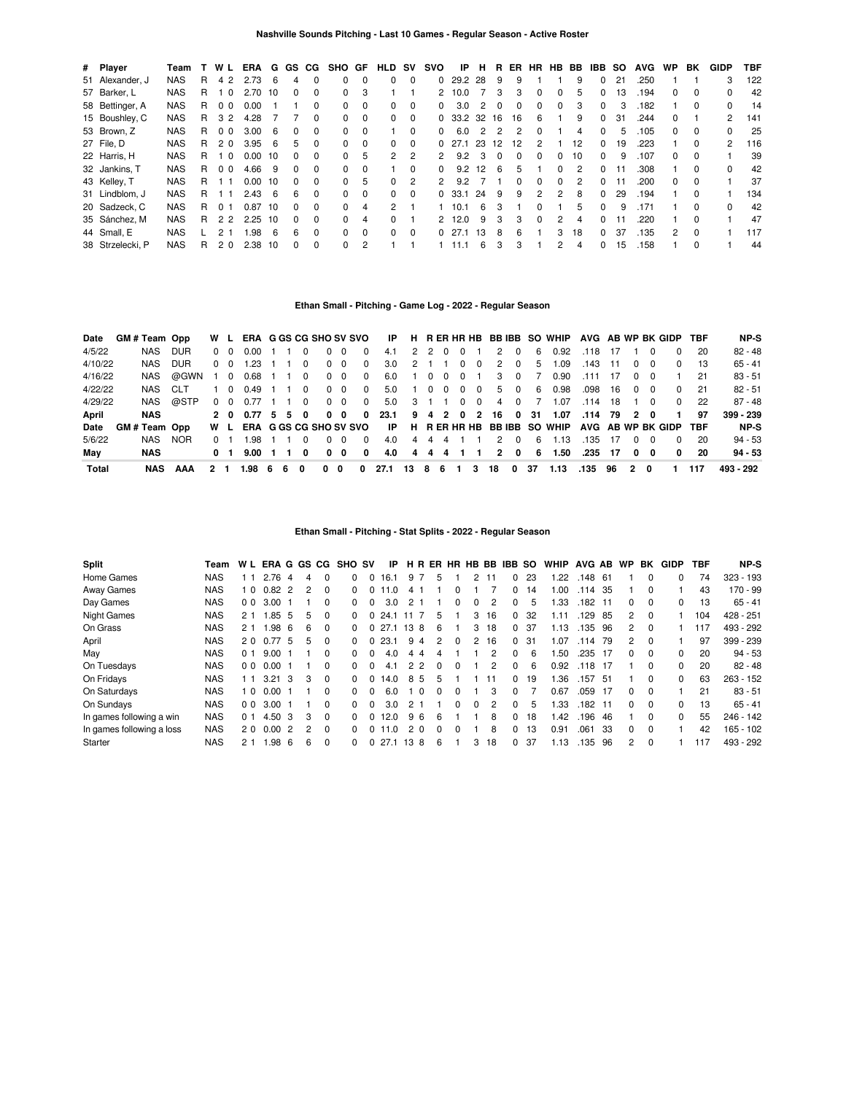| # Player         | Team       |   | W L            | ERA  | G          |          | GS CG        | SHO GF       |          | HLD      | sv       | svo           | IP          | н   | R        | ER. | HR.            | HB.      | BB | IBB      | <b>SO</b> | <b>AVG</b> | <b>WP</b>     | BK       | GIDP          | TBF |
|------------------|------------|---|----------------|------|------------|----------|--------------|--------------|----------|----------|----------|---------------|-------------|-----|----------|-----|----------------|----------|----|----------|-----------|------------|---------------|----------|---------------|-----|
| 51 Alexander, J  | <b>NAS</b> | R | 4 2            | 2.73 | 6          | 4        | $\Omega$     | 0            | 0        | $\Omega$ | $\Omega$ | 0             | 29.2        | -28 | 9        | 9   |                |          | 9  | $\Omega$ | 21        | .250       |               |          | 3             | 122 |
| 57 Barker, L     | <b>NAS</b> | R | - 0            | 2.70 | 10         | 0        | $\Omega$     | $\Omega$     | 3        |          |          | 2             | 10.0        |     | 3        | 3   | $\Omega$       | 0        | 5  | 0        | 13        | .194       | 0             | 0        |               | 42  |
| 58 Bettinger, A  | <b>NAS</b> | R | 0 <sub>0</sub> | 0.00 |            |          | $\Omega$     | 0            | $\Omega$ | $\Omega$ | $\Omega$ | 0             | 3.0         | 2   | $\Omega$ | 0   | 0              | $\Omega$ | 3  | $\Omega$ | 3         | .182       |               | 0        | 0             | 14  |
| 15 Boushley, C   | <b>NAS</b> | R | 3 2            | 4.28 |            |          | $\Omega$     | $\Omega$     | $\Omega$ | $\Omega$ | $\Omega$ |               | $0$ 33.2 32 |     | 16       | 16  | 6              |          | 9  | $\Omega$ | 31        | .244       | 0             |          | $\mathcal{P}$ | 141 |
| 53 Brown, Z      | <b>NAS</b> | R | 0 <sub>0</sub> | 3.00 | 6          | $\Omega$ | $\Omega$     | 0            | $\Omega$ |          | $\Omega$ | 0             | 6.0         | 2   | 2        | 2   | $\Omega$       |          |    | 0        | 5         | .105       | 0             | 0        | 0             | 25  |
| 27 File. D       | <b>NAS</b> | R | 20             | 3.95 | $\epsilon$ | 5        | $\Omega$     | 0            | $\Omega$ | $\Omega$ | $\Omega$ | <sup>0</sup>  | 27.1        | 23  | 12       | 12  | $\mathfrak{p}$ |          | 12 | 0        | 19        | .223       |               | $\Omega$ | $\mathcal{P}$ | 116 |
| 22 Harris, H     | <b>NAS</b> | R | $\Omega$       | 0.00 | 10         | $\Omega$ | $\Omega$     | <sup>0</sup> | 5        | 2        | 2        | $\mathcal{P}$ | 9.2         | 3   |          | 0   | $\Omega$       | 0        | 10 | 0        | 9         | .107       | <sup>o</sup>  | 0        |               | 39  |
| 32 Jankins, T    | <b>NAS</b> | R | 0 <sub>0</sub> | 4.66 | -9         | $\Omega$ | $\Omega$     | $\Omega$     | $\Omega$ |          | $\Omega$ | $\Omega$      | 9.2         | 12  | 6        | 5   |                | $\Omega$ | 2  | 0        |           | .308       |               | $\Omega$ | 0             | 42  |
| 43 Kelley, T     | <b>NAS</b> | R |                | 0.00 | 10         | $\Omega$ | <sup>0</sup> | 0            | 5        | $\Omega$ | 2        | $\mathcal{P}$ | 9.2         |     |          | O.  | $\Omega$       | 0        | 2  | 0        |           | .200       | <sup>o</sup>  | 0        |               | 37  |
| 31 Lindblom, J   | <b>NAS</b> | R |                | 2.43 | 6          | 6        | $\Omega$     | $\Omega$     | $\Omega$ | $\Omega$ | $\Omega$ | <sup>0</sup>  | -33.1       | 24  | 9        | 9   | 2              | 2        | 8  | $\Omega$ | 29        | .194       |               | $\Omega$ |               | 134 |
| 20 Sadzeck, C    | <b>NAS</b> | R | O 1            | 0.87 | 10         | 0        | $\Omega$     | 0            | 4        | 2        |          |               | 10.1        | 6   |          |     | <sup>0</sup>   |          | 5  | 0        | 9         | .171       |               |          |               | 42  |
| 35 Sánchez, M    | <b>NAS</b> | R | 22             | 2.25 | 10         | 0        | $\Omega$     | $\Omega$     | 4        | $\Omega$ |          | 2             | 12.0        | 9   | 3        | 3   | $\Omega$       | 2        | 4  | $\Omega$ |           | .220       |               | 0        |               | 47  |
| 44 Small, E      | <b>NAS</b> |   |                | 1.98 | 6          | 6        | $\Omega$     | $\Omega$     | $\Omega$ | $\Omega$ | $\Omega$ | <sup>0</sup>  | 27.1        | 13  | 8        | 6   |                | 3        | 18 | $\Omega$ | 37        | .135       | $\mathcal{P}$ | $\Omega$ |               | 117 |
| 38 Strzelecki, P | <b>NAS</b> | R | 2 <sub>0</sub> | 2.38 | 10         | 0        | $\Omega$     | <sup>o</sup> | 2        |          |          |               |             | 6   | з        | 3   |                | 2        | 4  | 0        | 15        | .158       |               | 0        |               | 44  |

# **Ethan Small - Pitching - Game Log - 2022 - Regular Season**

| Date    | GM#Team Opp |            | W L |                | ERA G GS CG SHO SV SVO |    |    |                |          |                |              | IP   |                |                  |          |                         |            |                   |              |    | H RERHRHB BBIBB SO WHIP AVG AB WP BK GIDP TBF |         |     |              |              |              |      | NP-S      |
|---------|-------------|------------|-----|----------------|------------------------|----|----|----------------|----------|----------------|--------------|------|----------------|------------------|----------|-------------------------|------------|-------------------|--------------|----|-----------------------------------------------|---------|-----|--------------|--------------|--------------|------|-----------|
| 4/5/22  | NAS         | <b>DUR</b> |     | $0\quad 0$     | 0.00                   |    |    |                | 0        | $\Omega$       | 0            | 4.1  |                |                  | 2 2 0    | - 0                     |            | $\mathcal{P}$     | $\Omega$     | 6  | 0.92                                          | .118    | 17  |              | <sup>0</sup> | <sup>0</sup> | -20  | $82 - 48$ |
| 4/10/22 | NAS.        | <b>DUR</b> |     | $0\quad 0$     | 1.23                   |    |    | $\Omega$       |          | 0 <sub>0</sub> | $\Omega$     | 3.0  | 2 <sub>1</sub> |                  |          | $\overline{\mathbf{0}}$ | $\Omega$   | 2                 | $\Omega$     | 5. | 1.09                                          | .143    | 11  | $\Omega$     | $\Omega$     | $\Omega$     | -13  | $65 - 41$ |
| 4/16/22 | NAS         | @GWN       | 1 0 |                | 0.68                   |    |    | $\overline{0}$ |          | $0\quad 0$     | $\Omega$     | 6.0  |                | $\cdot$ 0        | 0        | $\overline{\mathbf{0}}$ |            | 3                 | 0            |    | 0.90                                          | .111    | -17 | 0            | - 0          |              | 21   | 83 - 51   |
| 4/22/22 | NAS CLT     |            |     | 10             | 0.49                   |    |    | $\Omega$       |          | $0\quad 0$     | $\Omega$     | 5.0  |                | $\sim$ 0 $^{-1}$ | $\Omega$ | $\Omega$                | $\Omega$   |                   | 5 0          | 6  | 0.98                                          | .098    | 16  | $\Omega$     | - 0          | $\Omega$     | - 21 | $82 - 51$ |
| 4/29/22 | NAS         | @STP       |     | $0\quad 0$     | $0.77$ 1 1             |    |    | $\Omega$       |          | $0\quad 0$     | $\Omega$     | 5.0  | $3 \quad 1$    |                  |          |                         | $0\quad 0$ | 4                 | $\Omega$     |    | 1.07                                          | .114    | 18  |              | $\Omega$     | <sup>0</sup> | - 22 | $87 - 48$ |
| April   | <b>NAS</b>  |            |     |                | 2 0 0.77 5 5           |    |    | 0              |          | $0\quad 0$     | 0            | 23.1 |                |                  |          |                         |            | 9 4 2 0 2 16 0 31 |              |    | 1.07                                          | .114 79 |     | 20           |              |              | 97   | 399 - 239 |
| Date    | GM#Team Opp |            | W L |                | ERA G GS CG SHO SV SVO |    |    |                |          |                |              | IP   |                |                  |          |                         |            |                   |              |    | H RERHRHB BBIBB SO WHIP AVG AB WP BK GIDP TBF |         |     |              |              |              |      | NP-S      |
| 5/6/22  | NAS.        | <b>NOR</b> | 0 1 |                | 98                     |    |    | $\Omega$       | $\Omega$ | $\Omega$       | <sup>0</sup> | 4.0  | 4              | 4                | 4        |                         |            | $\mathcal{P}$     | $\Omega$     | 6  | 1.13                                          | .135    | 17  | $\Omega$     | $\Omega$     | <sup>0</sup> | -20  | $94 - 53$ |
| May     | NAS         |            |     | 0 <sub>1</sub> | 9.00                   |    |    | $\mathbf{0}$   |          | $0\quad 0$     | 0            | 4.0  |                |                  | 4 4 4    |                         |            | $\overline{2}$    | $\mathbf{0}$ | 6  | 1.50                                          | .235    | 17  | $\mathbf{0}$ | $\mathbf{0}$ | 0            | -20  | $94 - 53$ |
| Total   | NAS         | AAA        | 21  |                | 1.98                   | -6 | 6. | 0              | 0        | 0              | 0            | 27.1 | -13            | -8               | 6        |                         | 3          | 18                | 0            | 37 | 1.13                                          | .135    | 96  | 2            | 0            |              | 117  | 493 - 292 |

## **Ethan Small - Pitching - Stat Splits - 2022 - Regular Season**

| <b>Split</b>              | Team       | W L            | ERA G GS CG    |                |   |              | <b>SHO SV</b> |          | ΙP       |                | H R            |          |          |                |               | ER HR HB BB IBB SO |    | <b>WHIP</b> | AVG AB |     | <b>WP</b> | ВK       | GIDP     | TBF | NP-S        |
|---------------------------|------------|----------------|----------------|----------------|---|--------------|---------------|----------|----------|----------------|----------------|----------|----------|----------------|---------------|--------------------|----|-------------|--------|-----|-----------|----------|----------|-----|-------------|
| Home Games                | NAS        | 11             | 2.76           | 4              | 4 | $\Omega$     | 0             | $\Omega$ | 16.1     |                | 97             | 5        |          | $\overline{2}$ | 11            | 0                  | 23 | .22         | .148   | -61 |           | $\Omega$ | 0        | 74  | $323 - 193$ |
| Away Games                | <b>NAS</b> | 10             | $0.82 \quad 2$ |                |   | 0            |               | 0 1      | $\Omega$ | 4              |                |          |          |                |               | 0                  | 14 | .00         | .114   | -35 |           | $\Omega$ |          | 43  | 170 - 99    |
| Day Games                 | <b>NAS</b> | 0 <sub>0</sub> | 3.00           |                |   | $\Omega$     | 0             |          | 3.0      | 2              |                |          | $\Omega$ | $\Omega$       | 2             | 0                  | 5  | .33         | .182   | 11  | 0         | $\Omega$ | 0        | 13  | $65 - 41$   |
| <b>Night Games</b>        | <b>NAS</b> | 21             | .85            | 5              | 5 | $\Omega$     | <sup>n</sup>  |          | 24.1     | 11             |                | 5        |          | 3              | 16            | 0                  | 32 | 1.11        | .129   | 85  | 2         | $\Omega$ |          | 104 | 428 - 251   |
| On Grass                  | <b>NAS</b> | 21             | 1.98           | - 6            | 6 | $\Omega$     | n.            |          | 0, 27.1  | 138            |                | 6        |          | 3              | 18            | $\Omega$           | 37 | 1.13        | .135   | 96  | 2         | $\Omega$ |          | 117 | 493 - 292   |
| April                     | <b>NAS</b> | 20             | 0.77           | -5             | 5 | $\Omega$     | <sup>n</sup>  |          | 23.1     | 9              | $\overline{4}$ | 2        | $\Omega$ | 2              | 16            | 0                  | 31 | 1.07        | .114   | 79  | 2         | $\Omega$ |          | 97  | 399 - 239   |
| May                       | <b>NAS</b> | 0 <sub>1</sub> | 9.00           |                |   | <sup>0</sup> |               |          | 4.0      | 4              | 4              | Δ        |          |                | 2             | 0                  | 6  | .50         | .235   | -17 | $\Omega$  | $\Omega$ | $\Omega$ | 20  | $94 - 53$   |
| On Tuesdays               | <b>NAS</b> | 0 <sub>0</sub> | $0.00 \quad 1$ |                |   | 0            | <sup>n</sup>  | $\Omega$ | 4.1      | $\overline{2}$ | $\overline{2}$ | $\Omega$ | $\Omega$ |                | 2             | 0                  | 6  | 0.92        | .118   | -17 |           | $\Omega$ | 0        | 20  | $82 - 48$   |
| On Fridays                | <b>NAS</b> | 11             | 3.21           | - 3            | 3 | <sup>0</sup> |               |          | 14.0     |                | 85             | 5        |          |                | 11            | 0                  | 19 | l.36        | .157   | -51 |           | $\Omega$ | $\Omega$ | 63  | $263 - 152$ |
| On Saturdays              | <b>NAS</b> | 10             | 0.00           |                |   | $\Omega$     | 0             | $\Omega$ | 6.0      |                | $\Omega$       | $\Omega$ | $\Omega$ |                | 3             | 0                  |    | 0.67        | .059   | -17 | $\Omega$  | $\Omega$ |          | 21  | $83 - 51$   |
| On Sundays                | <b>NAS</b> | 0 <sub>0</sub> | 3.00           |                |   | 0            | <sup>n</sup>  |          | 3.0      | 2              |                |          | $\Omega$ | $\Omega$       | $\mathcal{P}$ | 0                  | 5  | .33         | .182   | -11 | $\Omega$  | $\Omega$ | $\Omega$ | 13  | $65 - 41$   |
| In games following a win  | <b>NAS</b> | 0 <sub>1</sub> | 4.50 3         |                | 3 | $\Omega$     | 0             |          | 12.0     |                | 96             | 6        |          |                | 8             | 0                  | 18 | 1.42        | .196   | 46  |           | $\Omega$ | 0        | 55  | 246 - 142   |
| In games following a loss | <b>NAS</b> | 20             | 0.00           | $\overline{2}$ |   | $\Omega$     |               |          | 0.11.0   | $\overline{2}$ | $\Omega$       | $\Omega$ | $\Omega$ |                | 8             | 0                  | 13 | 0.91        | .061   | -33 | $\Omega$  | $\Omega$ |          | 42  | $165 - 102$ |
| Starter                   | <b>NAS</b> | 21             | .98            | -6             | 6 | $\Omega$     | <sup>n</sup>  |          | 0.27.1   | 13             | 8              | 6        |          | 3              | 18            | $\Omega$           | 37 | 1.13        | .135   | 96  | 2         | $\Omega$ |          | 117 | 493 - 292   |